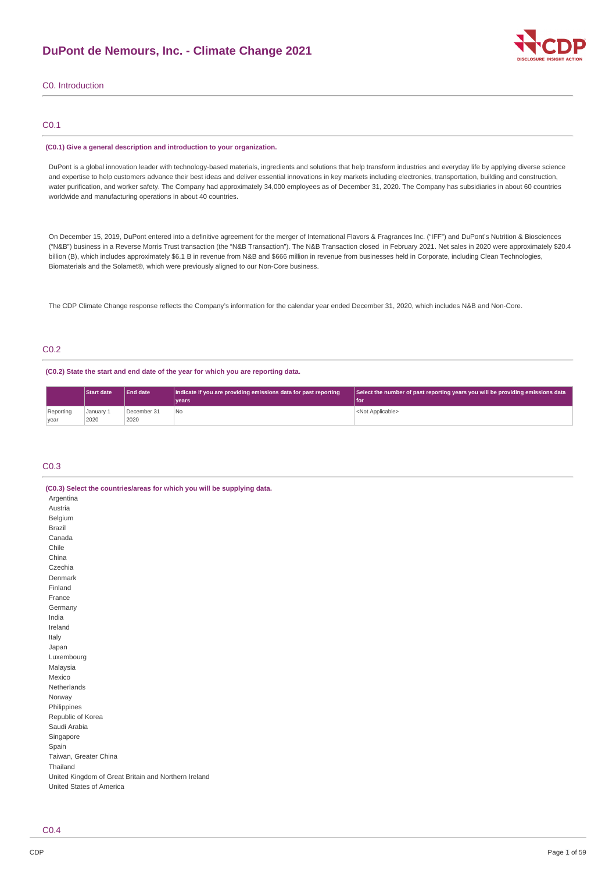

## C0. Introduction

# C0.1

### **(C0.1) Give a general description and introduction to your organization.**

DuPont is a global innovation leader with technology-based materials, ingredients and solutions that help transform industries and everyday life by applying diverse science and expertise to help customers advance their best ideas and deliver essential innovations in key markets including electronics, transportation, building and construction, water purification, and worker safety. The Company had approximately 34,000 employees as of December 31, 2020. The Company has subsidiaries in about 60 countries worldwide and manufacturing operations in about 40 countries.

On December 15, 2019, DuPont entered into a definitive agreement for the merger of International Flavors & Fragrances Inc. ("IFF") and DuPont's Nutrition & Biosciences ("N&B") business in a Reverse Morris Trust transaction (the "N&B Transaction"). The N&B Transaction closed in February 2021. Net sales in 2020 were approximately \$20.4 billion (B), which includes approximately \$6.1 B in revenue from N&B and \$666 million in revenue from businesses held in Corporate, including Clean Technologies, Biomaterials and the Solamet®, which were previously aligned to our Non-Core business.

The CDP Climate Change response reflects the Company's information for the calendar year ended December 31, 2020, which includes N&B and Non-Core.

# C0.2

### **(C0.2) State the start and end date of the year for which you are reporting data.**

|                   | <b>Start date</b> | <b>End date</b>     | Indicate if you are providing emissions data for past reporting<br>vears | Select the number of past reporting years you will be providing emissions data<br>l foi |
|-------------------|-------------------|---------------------|--------------------------------------------------------------------------|-----------------------------------------------------------------------------------------|
| Reporting<br>vear | January 1<br>2020 | December 31<br>2020 | l No                                                                     | <not applicable=""></not>                                                               |

## C0.3

| (C0.3) Select the countries/areas for which you will be supplying data. |
|-------------------------------------------------------------------------|
| Argentina                                                               |
| Austria                                                                 |
| Belgium                                                                 |
| <b>Brazil</b>                                                           |
| Canada                                                                  |
| Chile                                                                   |
| China                                                                   |
| Czechia                                                                 |
| Denmark                                                                 |
| Finland                                                                 |
| France                                                                  |
| Germany                                                                 |
| India                                                                   |
| Ireland                                                                 |
| Italy                                                                   |
| Japan                                                                   |
| Luxembourg                                                              |
| Malaysia                                                                |
| Mexico                                                                  |
| Netherlands                                                             |
| Norway                                                                  |
| Philippines                                                             |
| Republic of Korea                                                       |
| Saudi Arabia                                                            |
| Singapore                                                               |
| Spain                                                                   |
| Taiwan, Greater China                                                   |
| Thailand                                                                |
| United Kingdom of Great Britain and Northern Ireland                    |
| United States of America                                                |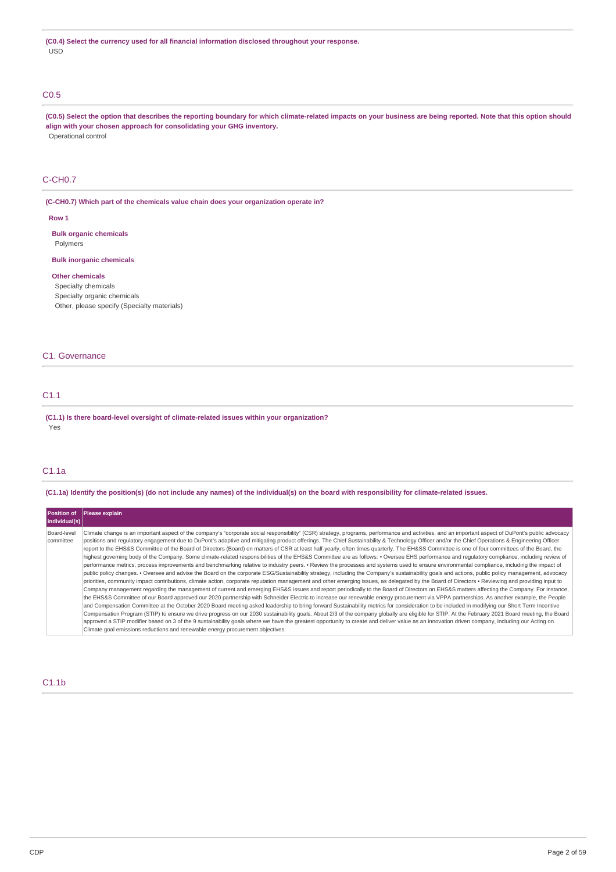## C0.5

(C0.5) Select the option that describes the reporting boundary for which climate-related impacts on your business are being reported. Note that this option should **align with your chosen approach for consolidating your GHG inventory.** Operational control

# C-CH0.7

**(C-CH0.7) Which part of the chemicals value chain does your organization operate in?**

### **Row 1**

**Bulk organic chemicals** Polymers

### **Bulk inorganic chemicals**

## **Other chemicals**

Specialty chemicals Specialty organic chemicals

Other, please specify (Specialty materials)

## C1. Governance

# C1.1

**(C1.1) Is there board-level oversight of climate-related issues within your organization?** Yes

# C1.1a

(C1.1a) Identify the position(s) (do not include any names) of the individual(s) on the board with responsibility for climate-related issues.

| Position of              | <b>Please explain</b>                                                                                                                                                                                                                                                                                                                                                                                                                                                                                                                                                                                                                                                                                                                                                                                                                                                                                                                                                                                                                                                                                                                                                                                                                                                                                                                                                                                                                                                                                                                                                                                                                                                                                                                                                                                                                                                                                                                                                                                                                                                                                                                                                                                                                                                                                                                                                                                                                                                                        |
|--------------------------|----------------------------------------------------------------------------------------------------------------------------------------------------------------------------------------------------------------------------------------------------------------------------------------------------------------------------------------------------------------------------------------------------------------------------------------------------------------------------------------------------------------------------------------------------------------------------------------------------------------------------------------------------------------------------------------------------------------------------------------------------------------------------------------------------------------------------------------------------------------------------------------------------------------------------------------------------------------------------------------------------------------------------------------------------------------------------------------------------------------------------------------------------------------------------------------------------------------------------------------------------------------------------------------------------------------------------------------------------------------------------------------------------------------------------------------------------------------------------------------------------------------------------------------------------------------------------------------------------------------------------------------------------------------------------------------------------------------------------------------------------------------------------------------------------------------------------------------------------------------------------------------------------------------------------------------------------------------------------------------------------------------------------------------------------------------------------------------------------------------------------------------------------------------------------------------------------------------------------------------------------------------------------------------------------------------------------------------------------------------------------------------------------------------------------------------------------------------------------------------------|
| individual(s)            |                                                                                                                                                                                                                                                                                                                                                                                                                                                                                                                                                                                                                                                                                                                                                                                                                                                                                                                                                                                                                                                                                                                                                                                                                                                                                                                                                                                                                                                                                                                                                                                                                                                                                                                                                                                                                                                                                                                                                                                                                                                                                                                                                                                                                                                                                                                                                                                                                                                                                              |
| Board-level<br>committee | Climate change is an important aspect of the company's "corporate social responsibility" (CSR) strategy, programs, performance and activities, and an important aspect of DuPont's public advocacy<br>positions and requlatory engagement due to DuPont's adaptive and mitigating product offerings. The Chief Sustainability & Technology Officer and/or the Chief Operations & Engineering Officer<br>report to the EHS&S Committee of the Board of Directors (Board) on matters of CSR at least half-yearly, often times quarterly. The EH&SS Committee is one of four committees of the Board, the<br>highest governing body of the Company. Some climate-related responsibilities of the EHS&S Committee are as follows: • Oversee EHS performance and regulatory compliance, including review of<br>performance metrics, process improvements and benchmarking relative to industry peers. • Review the processes and systems used to ensure environmental compliance, including the impact of<br>public policy changes. • Oversee and advise the Board on the corporate ESG/Sustainability strategy, including the Company's sustainability goals and actions, public policy management, advocacy<br>priorities, community impact contributions, climate action, corporate reputation management and other emerging issues, as delegated by the Board of Directors · Reviewing and providing input to<br>Company management regarding the management of current and emerging EHS&S issues and report periodically to the Board of Directors on EHS&S matters affecting the Company. For instance,<br>the EHS&S Committee of our Board approved our 2020 partnership with Schneider Electric to increase our renewable energy procurement via VPPA partnerships. As another example, the People<br>and Compensation Committee at the October 2020 Board meeting asked leadership to bring forward Sustainability metrics for consideration to be included in modifying our Short Term Incentive<br>Compensation Program (STIP) to ensure we drive progress on our 2030 sustainability goals. About 2/3 of the company globally are eligible for STIP. At the February 2021 Board meeting, the Board<br>approved a STIP modifier based on 3 of the 9 sustainability goals where we have the greatest opportunity to create and deliver value as an innovation driven company, including our Acting on<br>Climate goal emissions reductions and renewable energy procurement objectives. |

## C1.1b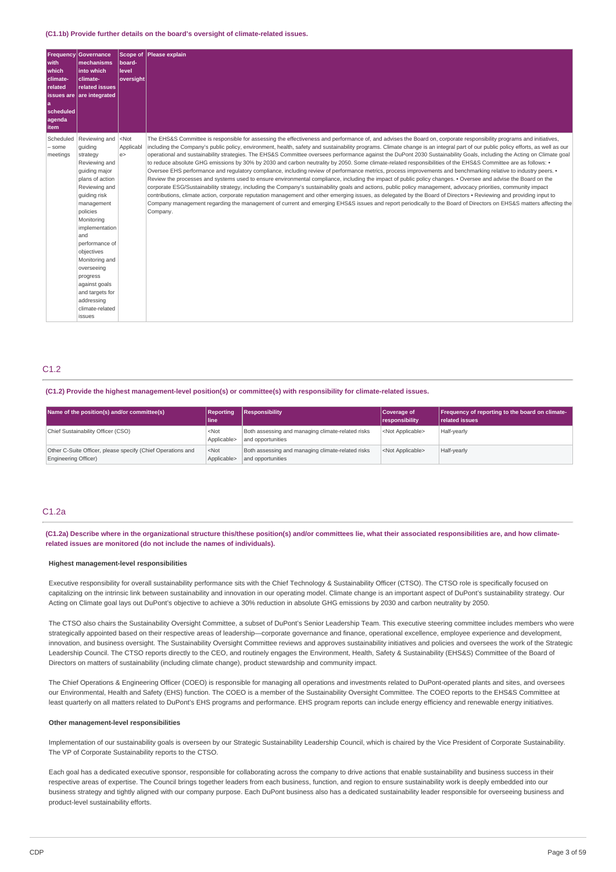#### **(C1.1b) Provide further details on the board's oversight of climate-related issues.**

| <b>Frequency</b><br>with<br><b>which</b><br>climate-<br>related<br>scheduled<br>agenda<br>item | <b>Governance</b><br>mechanisms<br>into which<br>climate-<br>related issues<br><b>issues are are integrated</b>                                                                                                                                                                                                                                        | Scope of<br>board-<br><b>level</b><br>oversight | Please explain                                                                                                                                                                                                                                                                                                                                                                                                                                                                                                                                                                                                                                                                                                                                                                                                                                                                                                                                                                                                                                                                                                                                                                                                                                                                                                                                                                                                                                                                                                                                                     |
|------------------------------------------------------------------------------------------------|--------------------------------------------------------------------------------------------------------------------------------------------------------------------------------------------------------------------------------------------------------------------------------------------------------------------------------------------------------|-------------------------------------------------|--------------------------------------------------------------------------------------------------------------------------------------------------------------------------------------------------------------------------------------------------------------------------------------------------------------------------------------------------------------------------------------------------------------------------------------------------------------------------------------------------------------------------------------------------------------------------------------------------------------------------------------------------------------------------------------------------------------------------------------------------------------------------------------------------------------------------------------------------------------------------------------------------------------------------------------------------------------------------------------------------------------------------------------------------------------------------------------------------------------------------------------------------------------------------------------------------------------------------------------------------------------------------------------------------------------------------------------------------------------------------------------------------------------------------------------------------------------------------------------------------------------------------------------------------------------------|
| Scheduled<br>- some<br>meetings                                                                | Reviewing and<br>quiding<br>strategy<br>Reviewing and<br>quiding major<br>plans of action<br>Reviewing and<br>quiding risk<br>management<br>policies<br>Monitoring<br>implementation<br>and<br>performance of<br>objectives<br>Monitoring and<br>overseeing<br>progress<br>against goals<br>and targets for<br>addressing<br>climate-related<br>issues | $<$ Not<br>Applicabl<br>e                       | The EHS&S Committee is responsible for assessing the effectiveness and performance of, and advises the Board on, corporate responsibility programs and initiatives,<br>including the Company's public policy, environment, health, safety and sustainability programs. Climate change is an integral part of our public policy efforts, as well as our<br>operational and sustainability strategies. The EHS&S Committee oversees performance against the DuPont 2030 Sustainability Goals, including the Acting on Climate goal<br>to reduce absolute GHG emissions by 30% by 2030 and carbon neutrality by 2050. Some climate-related responsibilities of the EHS&S Committee are as follows: .<br>Oversee EHS performance and requlatory compliance, including review of performance metrics, process improvements and benchmarking relative to industry peers. •<br>Review the processes and systems used to ensure environmental compliance, including the impact of public policy changes. • Oversee and advise the Board on the<br>corporate ESG/Sustainability strategy, including the Company's sustainability goals and actions, public policy management, advocacy priorities, community impact<br>contributions, climate action, corporate reputation management and other emerging issues, as delegated by the Board of Directors • Reviewing and providing input to<br>Company management regarding the management of current and emerging EHS&S issues and report periodically to the Board of Directors on EHS&S matters affecting the<br>Company. |

# C1.2

## **(C1.2) Provide the highest management-level position(s) or committee(s) with responsibility for climate-related issues.**

| Name of the position(s) and/or committee(s)                                                | <b>Reporting</b><br>l line i    | Responsibility                                                         | Coverage of<br>responsibility | <b>Frequency of reporting to the board on climate-</b><br><b>related issues</b> |
|--------------------------------------------------------------------------------------------|---------------------------------|------------------------------------------------------------------------|-------------------------------|---------------------------------------------------------------------------------|
| Chief Sustainability Officer (CSO)                                                         | <not<br>Applicable&gt;</not<br> | Both assessing and managing climate-related risks<br>and opportunities | <not applicable=""></not>     | Half-yearly                                                                     |
| Other C-Suite Officer, please specify (Chief Operations and<br><b>Engineering Officer)</b> | $<$ Not<br>Applicable>          | Both assessing and managing climate-related risks<br>and opportunities | <not applicable=""></not>     | Half-yearly                                                                     |

## C1.2a

## (C1.2a) Describe where in the organizational structure this/these position(s) and/or committees lie, what their associated responsibilities are, and how climate**related issues are monitored (do not include the names of individuals).**

## **Highest management-level responsibilities**

Executive responsibility for overall sustainability performance sits with the Chief Technology & Sustainability Officer (CTSO). The CTSO role is specifically focused on capitalizing on the intrinsic link between sustainability and innovation in our operating model. Climate change is an important aspect of DuPont's sustainability strategy. Our Acting on Climate goal lays out DuPont's objective to achieve a 30% reduction in absolute GHG emissions by 2030 and carbon neutrality by 2050.

The CTSO also chairs the Sustainability Oversight Committee, a subset of DuPont's Senior Leadership Team. This executive steering committee includes members who were strategically appointed based on their respective areas of leadership—corporate governance and finance, operational excellence, employee experience and development, innovation, and business oversight. The Sustainability Oversight Committee reviews and approves sustainability initiatives and policies and oversees the work of the Strategic Leadership Council. The CTSO reports directly to the CEO, and routinely engages the Environment, Health, Safety & Sustainability (EHS&S) Committee of the Board of Directors on matters of sustainability (including climate change), product stewardship and community impact.

The Chief Operations & Engineering Officer (COEO) is responsible for managing all operations and investments related to DuPont-operated plants and sites, and oversees our Environmental, Health and Safety (EHS) function. The COEO is a member of the Sustainability Oversight Committee. The COEO reports to the EHS&S Committee at least quarterly on all matters related to DuPont's EHS programs and performance. EHS program reports can include energy efficiency and renewable energy initiatives.

### **Other management-level responsibilities**

Implementation of our sustainability goals is overseen by our Strategic Sustainability Leadership Council, which is chaired by the Vice President of Corporate Sustainability. The VP of Corporate Sustainability reports to the CTSO.

Each goal has a dedicated executive sponsor, responsible for collaborating across the company to drive actions that enable sustainability and business success in their respective areas of expertise. The Council brings together leaders from each business, function, and region to ensure sustainability work is deeply embedded into our business strategy and tightly aligned with our company purpose. Each DuPont business also has a dedicated sustainability leader responsible for overseeing business and product-level sustainability efforts.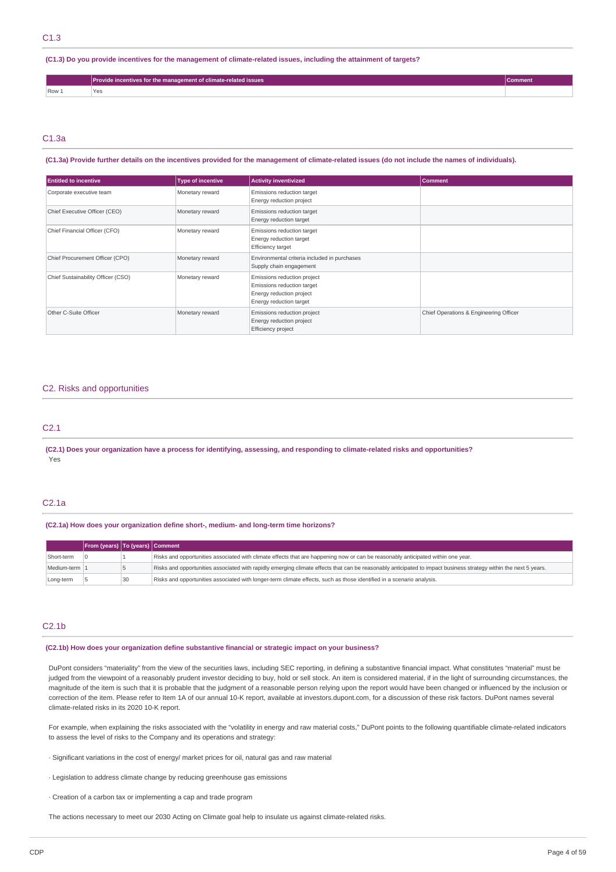### (C1.3) Do you provide incentives for the management of climate-related issues, including the attainment of targets?

|               | Provide incentives for the management of climate-related issues |  |
|---------------|-----------------------------------------------------------------|--|
| Row 1<br>- 63 |                                                                 |  |

## C1.3a

## (C1.3a) Provide further details on the incentives provided for the management of climate-related issues (do not include the names of individuals).

| <b>Entitled to incentive</b>       | <b>Type of incentive</b> | <b>Activity inventivized</b>                                                                                     | <b>Comment</b>                         |
|------------------------------------|--------------------------|------------------------------------------------------------------------------------------------------------------|----------------------------------------|
| Corporate executive team           | Monetary reward          | Emissions reduction target<br>Energy reduction project                                                           |                                        |
| Chief Executive Officer (CEO)      | Monetary reward          | Emissions reduction target<br>Energy reduction target                                                            |                                        |
| Chief Financial Officer (CFO)      | Monetary reward          | Emissions reduction target<br>Energy reduction target<br><b>Efficiency target</b>                                |                                        |
| Chief Procurement Officer (CPO)    | Monetary reward          | Environmental criteria included in purchases<br>Supply chain engagement                                          |                                        |
| Chief Sustainability Officer (CSO) | Monetary reward          | Emissions reduction project<br>Emissions reduction target<br>Energy reduction project<br>Energy reduction target |                                        |
| Other C-Suite Officer              | Monetary reward          | Emissions reduction project<br>Energy reduction project<br>Efficiency project                                    | Chief Operations & Engineering Officer |

## C2. Risks and opportunities

# C2.1

(C2.1) Does your organization have a process for identifying, assessing, and responding to climate-related risks and opportunities? Yes

# C2.1a

### **(C2.1a) How does your organization define short-, medium- and long-term time horizons?**

|               | From (years)   To (years)   Comment |    |                                                                                                                                                                  |
|---------------|-------------------------------------|----|------------------------------------------------------------------------------------------------------------------------------------------------------------------|
| Short-term    |                                     |    | Risks and opportunities associated with climate effects that are happening now or can be reasonably anticipated within one year.                                 |
| Medium-term 1 |                                     |    | Risks and opportunities associated with rapidly emerging climate effects that can be reasonably anticipated to impact business strategy within the next 5 years. |
| Long-term     |                                     | 30 | Risks and opportunities associated with longer-term climate effects, such as those identified in a scenario analysis.                                            |

## C2.1b

## **(C2.1b) How does your organization define substantive financial or strategic impact on your business?**

DuPont considers "materiality" from the view of the securities laws, including SEC reporting, in defining a substantive financial impact. What constitutes "material" must be judged from the viewpoint of a reasonably prudent investor deciding to buy, hold or sell stock. An item is considered material, if in the light of surrounding circumstances, the magnitude of the item is such that it is probable that the judgment of a reasonable person relying upon the report would have been changed or influenced by the inclusion or correction of the item. Please refer to Item 1A of our annual 10-K report, available at investors.dupont.com, for a discussion of these risk factors. DuPont names several climate-related risks in its 2020 10-K report.

For example, when explaining the risks associated with the "volatility in energy and raw material costs," DuPont points to the following quantifiable climate-related indicators to assess the level of risks to the Company and its operations and strategy:

- · Significant variations in the cost of energy/ market prices for oil, natural gas and raw material
- · Legislation to address climate change by reducing greenhouse gas emissions
- · Creation of a carbon tax or implementing a cap and trade program

The actions necessary to meet our 2030 Acting on Climate goal help to insulate us against climate-related risks.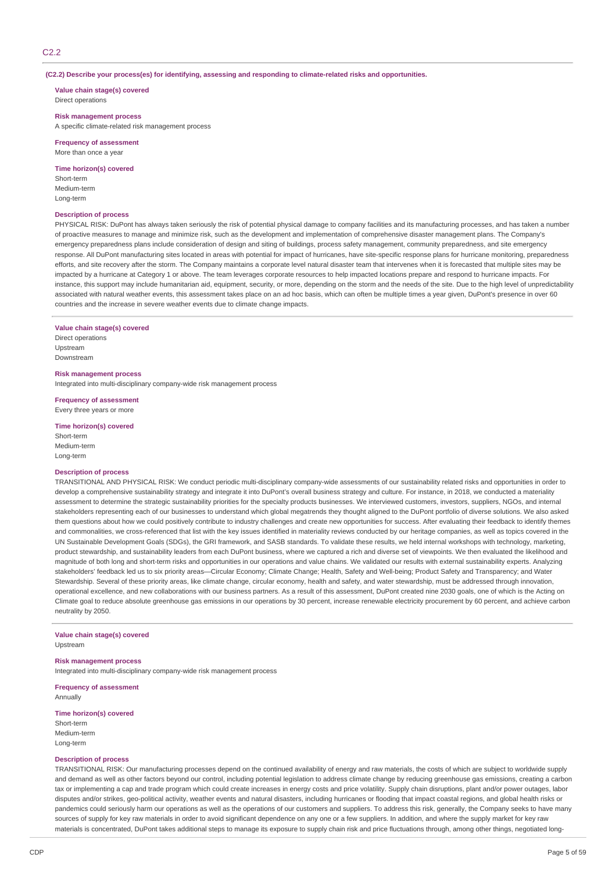## C2.2

**(C2.2) Describe your process(es) for identifying, assessing and responding to climate-related risks and opportunities.**

**Value chain stage(s) covered** Direct operations

### **Risk management process**

A specific climate-related risk management process

**Frequency of assessment** More than once a year

#### **Time horizon(s) covered**

Short-term Medium-term Long-term

### **Description of process**

PHYSICAL RISK: DuPont has always taken seriously the risk of potential physical damage to company facilities and its manufacturing processes, and has taken a number of proactive measures to manage and minimize risk, such as the development and implementation of comprehensive disaster management plans. The Company's emergency preparedness plans include consideration of design and siting of buildings, process safety management, community preparedness, and site emergency response. All DuPont manufacturing sites located in areas with potential for impact of hurricanes, have site-specific response plans for hurricane monitoring, preparedness efforts, and site recovery after the storm. The Company maintains a corporate level natural disaster team that intervenes when it is forecasted that multiple sites may be impacted by a hurricane at Category 1 or above. The team leverages corporate resources to help impacted locations prepare and respond to hurricane impacts. For instance, this support may include humanitarian aid, equipment, security, or more, depending on the storm and the needs of the site. Due to the high level of unpredictability associated with natural weather events, this assessment takes place on an ad hoc basis, which can often be multiple times a year given, DuPont's presence in over 60 countries and the increase in severe weather events due to climate change impacts.

### **Value chain stage(s) covered**

Direct operations **Unstream** Downstream

### **Risk management process**

Integrated into multi-disciplinary company-wide risk management process

**Frequency of assessment** Every three years or more

### **Time horizon(s) covered**

Short-term Medium-term Long-term

#### **Description of process**

TRANSITIONAL AND PHYSICAL RISK: We conduct periodic multi-disciplinary company-wide assessments of our sustainability related risks and opportunities in order to develop a comprehensive sustainability strategy and integrate it into DuPont's overall business strategy and culture. For instance, in 2018, we conducted a materiality assessment to determine the strategic sustainability priorities for the specialty products businesses. We interviewed customers, investors, suppliers, NGOs, and internal stakeholders representing each of our businesses to understand which global megatrends they thought aligned to the DuPont portfolio of diverse solutions. We also asked them questions about how we could positively contribute to industry challenges and create new opportunities for success. After evaluating their feedback to identify themes and commonalities, we cross-referenced that list with the key issues identified in materiality reviews conducted by our heritage companies, as well as topics covered in the UN Sustainable Development Goals (SDGs), the GRI framework, and SASB standards. To validate these results, we held internal workshops with technology, marketing, product stewardship, and sustainability leaders from each DuPont business, where we captured a rich and diverse set of viewpoints. We then evaluated the likelihood and magnitude of both long and short-term risks and opportunities in our operations and value chains. We validated our results with external sustainability experts. Analyzing stakeholders' feedback led us to six priority areas—Circular Economy; Climate Change; Health, Safety and Well-being; Product Safety and Transparency; and Water Stewardship. Several of these priority areas, like climate change, circular economy, health and safety, and water stewardship, must be addressed through innovation, operational excellence, and new collaborations with our business partners. As a result of this assessment, DuPont created nine 2030 goals, one of which is the Acting on Climate goal to reduce absolute greenhouse gas emissions in our operations by 30 percent, increase renewable electricity procurement by 60 percent, and achieve carbon neutrality by 2050.

### **Value chain stage(s) covered**

Upstream

## **Risk management process**

Integrated into multi-disciplinary company-wide risk management process

**Frequency of assessment** Annually

## **Time horizon(s) covered**

Short-term Medium-term Long-term

## **Description of process**

TRANSITIONAL RISK: Our manufacturing processes depend on the continued availability of energy and raw materials, the costs of which are subject to worldwide supply and demand as well as other factors beyond our control, including potential legislation to address climate change by reducing greenhouse gas emissions, creating a carbon tax or implementing a cap and trade program which could create increases in energy costs and price volatility. Supply chain disruptions, plant and/or power outages, labor disputes and/or strikes, geo-political activity, weather events and natural disasters, including hurricanes or flooding that impact coastal regions, and global health risks or pandemics could seriously harm our operations as well as the operations of our customers and suppliers. To address this risk, generally, the Company seeks to have many sources of supply for key raw materials in order to avoid significant dependence on any one or a few suppliers. In addition, and where the supply market for key raw materials is concentrated, DuPont takes additional steps to manage its exposure to supply chain risk and price fluctuations through, among other things, negotiated long-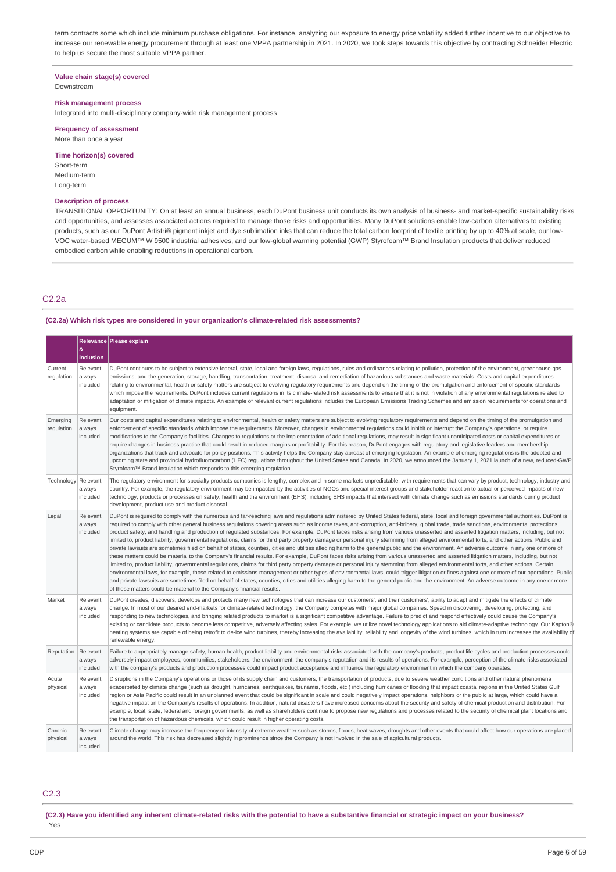term contracts some which include minimum purchase obligations. For instance, analyzing our exposure to energy price volatility added further incentive to our objective to increase our renewable energy procurement through at least one VPPA partnership in 2021. In 2020, we took steps towards this objective by contracting Schneider Electric to help us secure the most suitable VPPA partner.

### **Value chain stage(s) covered** Downstream

#### **Risk management process**

Integrated into multi-disciplinary company-wide risk management process

## **Frequency of assessment** More than once a year

#### **Time horizon(s) covered**

Short-term Medium-term Long-term

### **Description of process**

TRANSITIONAL OPPORTUNITY: On at least an annual business, each DuPont business unit conducts its own analysis of business- and market-specific sustainability risks and opportunities, and assesses associated actions required to manage those risks and opportunities. Many DuPont solutions enable low-carbon alternatives to existing products, such as our DuPont Artistri® pigment inkjet and dye sublimation inks that can reduce the total carbon footprint of textile printing by up to 40% at scale, our low-VOC water-based MEGUM™ W 9500 industrial adhesives, and our low-global warming potential (GWP) Styrofoam™ Brand Insulation products that deliver reduced embodied carbon while enabling reductions in operational carbon.

# C2.2a

### **(C2.2a) Which risk types are considered in your organization's climate-related risk assessments?**

|                        |                                 | Relevance Please explain                                                                                                                                                                                                                                                                                                                                                                                                                                                                                                                                                                                                                                                                                                                                                                                                                                                                                                                                                                                                                                                                                                                                                                                                                                                                                                                                                                                                                                                                                                                                                                                                                                                                                                                                                                                                                      |
|------------------------|---------------------------------|-----------------------------------------------------------------------------------------------------------------------------------------------------------------------------------------------------------------------------------------------------------------------------------------------------------------------------------------------------------------------------------------------------------------------------------------------------------------------------------------------------------------------------------------------------------------------------------------------------------------------------------------------------------------------------------------------------------------------------------------------------------------------------------------------------------------------------------------------------------------------------------------------------------------------------------------------------------------------------------------------------------------------------------------------------------------------------------------------------------------------------------------------------------------------------------------------------------------------------------------------------------------------------------------------------------------------------------------------------------------------------------------------------------------------------------------------------------------------------------------------------------------------------------------------------------------------------------------------------------------------------------------------------------------------------------------------------------------------------------------------------------------------------------------------------------------------------------------------|
|                        | &<br>inclusion                  |                                                                                                                                                                                                                                                                                                                                                                                                                                                                                                                                                                                                                                                                                                                                                                                                                                                                                                                                                                                                                                                                                                                                                                                                                                                                                                                                                                                                                                                                                                                                                                                                                                                                                                                                                                                                                                               |
| Current<br>regulation  | Relevant,<br>always<br>included | DuPont continues to be subject to extensive federal, state, local and foreign laws, regulations, rules and ordinances relating to pollution, protection of the environment, greenhouse gas<br>emissions, and the generation, storage, handling, transportation, treatment, disposal and remediation of hazardous substances and waste materials. Costs and capital expenditures<br>relating to environmental, health or safety matters are subject to evolving regulatory requirements and depend on the timing of the promulgation and enforcement of specific standards<br>which impose the requirements. DuPont includes current requlations in its climate-related risk assessments to ensure that it is not in violation of any environmental requlations related to<br>adaptation or mitigation of climate impacts. An example of relevant current regulations includes the European Emissions Trading Schemes and emission requirements for operations and<br>equipment.                                                                                                                                                                                                                                                                                                                                                                                                                                                                                                                                                                                                                                                                                                                                                                                                                                                               |
| Emerging<br>regulation | Relevant,<br>always<br>included | Our costs and capital expenditures relating to environmental, health or safety matters are subject to evolving regulatory requirements and depend on the timing of the promulgation and<br>enforcement of specific standards which impose the requirements. Moreover, changes in environmental requlations could inhibit or interrupt the Company's operations, or require<br>modifications to the Company's facilities. Changes to regulations or the implementation of additional regulations, may result in significant unanticipated costs or capital expenditures or<br>require changes in business practice that could result in reduced margins or profitability. For this reason, DuPont engages with regulatory and legislative leaders and membership<br>organizations that track and advocate for policy positions. This activity helps the Company stay abreast of emerging legislation. An example of emerging regulations is the adopted and<br>upcoming state and provincial hydrofluorocarbon (HFC) regulations throughout the United States and Canada. In 2020, we announced the January 1, 2021 launch of a new, reduced-GWP<br>Styrofoam™ Brand Insulation which responds to this emerging regulation.                                                                                                                                                                                                                                                                                                                                                                                                                                                                                                                                                                                                                    |
| Technology             | Relevant,<br>always<br>included | The regulatory environment for specialty products companies is lengthy, complex and in some markets unpredictable, with requirements that can vary by product, technology, industry and<br>country. For example, the regulatory environment may be impacted by the activities of NGOs and special interest groups and stakeholder reaction to actual or perceived impacts of new<br>technology, products or processes on safety, health and the environment (EHS), including EHS impacts that intersect with climate change such as emissions standards during product<br>development, product use and product disposal.                                                                                                                                                                                                                                                                                                                                                                                                                                                                                                                                                                                                                                                                                                                                                                                                                                                                                                                                                                                                                                                                                                                                                                                                                      |
| Legal                  | Relevant.<br>always<br>included | DuPont is required to comply with the numerous and far-reaching laws and requlations administered by United States federal, state, local and foreign governmental authorities. DuPont is<br>required to comply with other general business regulations covering areas such as income taxes, anti-corruption, anti-bribery, global trade, trade sanctions, environmental protections,<br>product safety, and handling and production of regulated substances. For example, DuPont faces risks arising from various unasserted and asserted litigation matters, including, but not<br>limited to, product liability, governmental regulations, claims for third party property damage or personal injury stemming from alleged environmental torts, and other actions. Public and<br>private lawsuits are sometimes filed on behalf of states, counties, cities and utilities alleging harm to the general public and the environment. An adverse outcome in any one or more of<br>these matters could be material to the Company's financial results. For example, DuPont faces risks arising from various unasserted and asserted litigation matters, including, but not<br>limited to, product liability, governmental regulations, claims for third party property damage or personal injury stemming from alleged environmental torts, and other actions. Certain<br>environmental laws, for example, those related to emissions management or other types of environmental laws, could trigger litigation or fines against one or more of our operations. Public<br>and private lawsuits are sometimes filed on behalf of states, counties, cities and utilities alleging harm to the general public and the environment. An adverse outcome in any one or more<br>of these matters could be material to the Company's financial results. |
| Market                 | Relevant,<br>always<br>included | DuPont creates, discovers, develops and protects many new technologies that can increase our customers', and their customers', ability to adapt and mitigate the effects of climate<br>change. In most of our desired end-markets for climate-related technology, the Company competes with major global companies. Speed in discovering, developing, protecting, and<br>responding to new technologies, and bringing related products to market is a significant competitive advantage. Failure to predict and respond effectively could cause the Company's<br>existing or candidate products to become less competitive, adversely affecting sales. For example, we utilize novel technology applications to aid climate-adaptive technology. Our Kapton®<br>heating systems are capable of being retrofit to de-ice wind turbines, thereby increasing the availability, reliability and longevity of the wind turbines, which in turn increases the availability of<br>renewable energy.                                                                                                                                                                                                                                                                                                                                                                                                                                                                                                                                                                                                                                                                                                                                                                                                                                                  |
| Reputation             | Relevant,<br>always<br>included | Failure to appropriately manage safety, human health, product liability and environmental risks associated with the company's products, product life cycles and production processes could<br>adversely impact employees, communities, stakeholders, the environment, the company's reputation and its results of operations. For example, perception of the climate risks associated<br>with the company's products and production processes could impact product acceptance and influence the regulatory environment in which the company operates.                                                                                                                                                                                                                                                                                                                                                                                                                                                                                                                                                                                                                                                                                                                                                                                                                                                                                                                                                                                                                                                                                                                                                                                                                                                                                         |
| Acute<br>physical      | Relevant,<br>always<br>included | Disruptions in the Company's operations or those of its supply chain and customers, the transportation of products, due to severe weather conditions and other natural phenomena<br>exacerbated by climate change (such as drought, hurricanes, earthquakes, tsunamis, floods, etc.) including hurricanes or flooding that impact coastal regions in the United States Gulf<br>region or Asia Pacific could result in an unplanned event that could be significant in scale and could negatively impact operations, neighbors or the public at large, which could have a<br>negative impact on the Company's results of operations. In addition, natural disasters have increased concerns about the security and safety of chemical production and distribution. For<br>example, local, state, federal and foreign governments, as well as shareholders continue to propose new regulations and processes related to the security of chemical plant locations and<br>the transportation of hazardous chemicals, which could result in higher operating costs.                                                                                                                                                                                                                                                                                                                                                                                                                                                                                                                                                                                                                                                                                                                                                                                |
| Chronic<br>physical    | Relevant.<br>always<br>included | Climate change may increase the frequency or intensity of extreme weather such as storms, floods, heat waves, droughts and other events that could affect how our operations are placed<br>around the world. This risk has decreased slightly in prominence since the Company is not involved in the sale of agricultural products.                                                                                                                                                                                                                                                                                                                                                                                                                                                                                                                                                                                                                                                                                                                                                                                                                                                                                                                                                                                                                                                                                                                                                                                                                                                                                                                                                                                                                                                                                                           |

## C2.3

(C2.3) Have you identified any inherent climate-related risks with the potential to have a substantive financial or strategic impact on your business?

Yes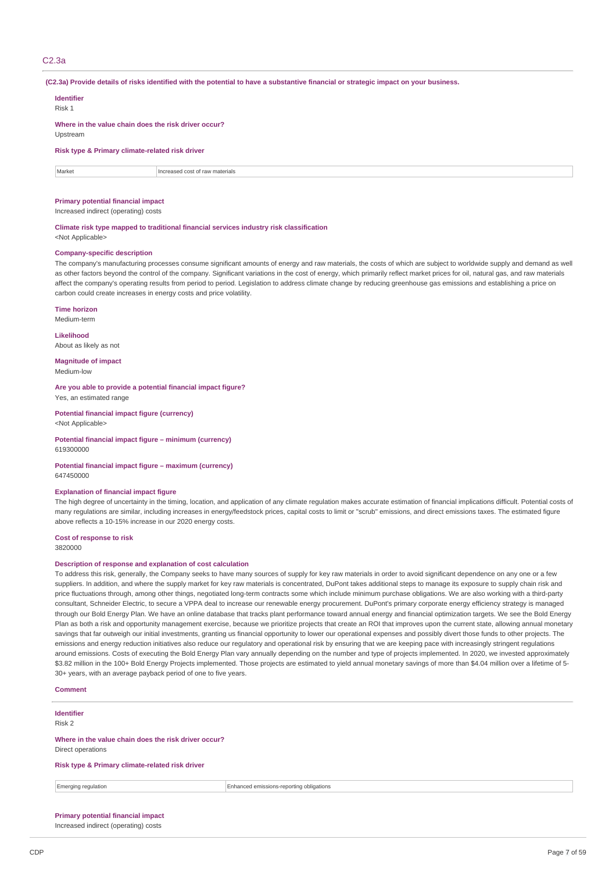## C2.3a

(C2.3a) Provide details of risks identified with the potential to have a substantive financial or strategic impact on your business.

| <b>Identifier</b><br>Risk 1                                      |                                 |  |
|------------------------------------------------------------------|---------------------------------|--|
| Where in the value chain does the risk driver occur?<br>Upstream |                                 |  |
| Risk type & Primary climate-related risk driver                  |                                 |  |
| Market                                                           | Increased cost of raw materials |  |
|                                                                  |                                 |  |

# **Primary potential financial impact**

Increased indirect (operating) costs

**Climate risk type mapped to traditional financial services industry risk classification** <Not Applicable>

### **Company-specific description**

The company's manufacturing processes consume significant amounts of energy and raw materials, the costs of which are subject to worldwide supply and demand as well as other factors beyond the control of the company. Significant variations in the cost of energy, which primarily reflect market prices for oil, natural gas, and raw materials affect the company's operating results from period to period. Legislation to address climate change by reducing greenhouse gas emissions and establishing a price on carbon could create increases in energy costs and price volatility.

**Time horizon** Medium-term

**Likelihood** About as likely as not

**Magnitude of impact** Medium-low

**Are you able to provide a potential financial impact figure?** Yes, an estimated range

**Potential financial impact figure (currency)** <Not Applicable>

**Potential financial impact figure – minimum (currency)** 619300000

**Potential financial impact figure – maximum (currency)** 647450000

## **Explanation of financial impact figure**

The high degree of uncertainty in the timing, location, and application of any climate regulation makes accurate estimation of financial implications difficult. Potential costs of many regulations are similar, including increases in energy/feedstock prices, capital costs to limit or "scrub" emissions, and direct emissions taxes. The estimated figure above reflects a 10-15% increase in our 2020 energy costs.

**Cost of response to risk**

3820000

## **Description of response and explanation of cost calculation**

To address this risk, generally, the Company seeks to have many sources of supply for key raw materials in order to avoid significant dependence on any one or a few suppliers. In addition, and where the supply market for key raw materials is concentrated, DuPont takes additional steps to manage its exposure to supply chain risk and price fluctuations through, among other things, negotiated long-term contracts some which include minimum purchase obligations. We are also working with a third-party consultant, Schneider Electric, to secure a VPPA deal to increase our renewable energy procurement. DuPont's primary corporate energy efficiency strategy is managed through our Bold Energy Plan. We have an online database that tracks plant performance toward annual energy and financial optimization targets. We see the Bold Energy Plan as both a risk and opportunity management exercise, because we prioritize projects that create an ROI that improves upon the current state, allowing annual monetary savings that far outweigh our initial investments, granting us financial opportunity to lower our operational expenses and possibly divert those funds to other projects. The emissions and energy reduction initiatives also reduce our regulatory and operational risk by ensuring that we are keeping pace with increasingly stringent regulations around emissions. Costs of executing the Bold Energy Plan vary annually depending on the number and type of projects implemented. In 2020, we invested approximately \$3.82 million in the 100+ Bold Energy Projects implemented. Those projects are estimated to yield annual monetary savings of more than \$4.04 million over a lifetime of 5-30+ years, with an average payback period of one to five years.

### **Comment**

**Identifier** Risk 2

**Where in the value chain does the risk driver occur?** Direct operations

**Risk type & Primary climate-related risk driver**

Emerging regulation Enhanced emissions-reporting obligations

**Primary potential financial impact** Increased indirect (operating) costs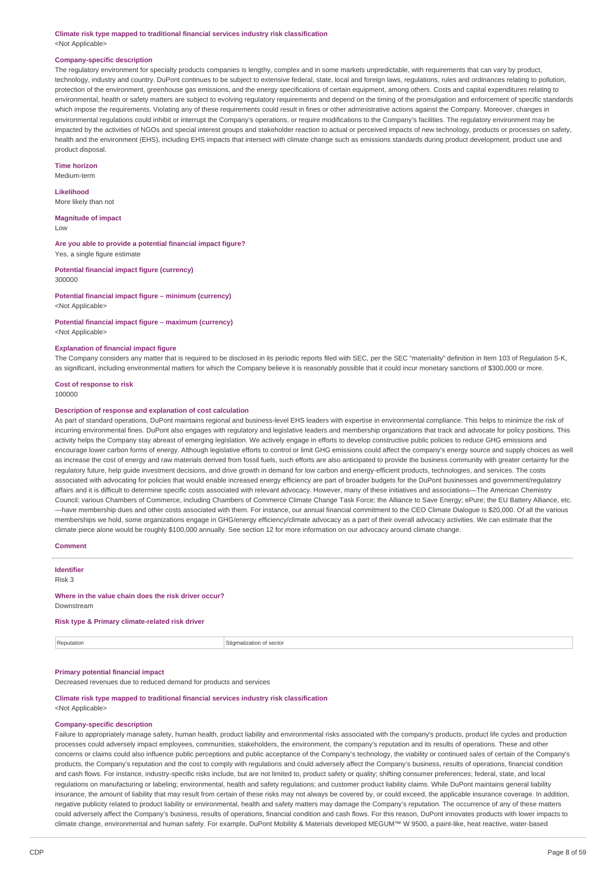### **Climate risk type mapped to traditional financial services industry risk classification** <Not Applicable>

### **Company-specific description**

The regulatory environment for specialty products companies is lengthy, complex and in some markets unpredictable, with requirements that can vary by product, technology, industry and country. DuPont continues to be subject to extensive federal, state, local and foreign laws, regulations, rules and ordinances relating to pollution, protection of the environment, greenhouse gas emissions, and the energy specifications of certain equipment, among others. Costs and capital expenditures relating to environmental, health or safety matters are subject to evolving regulatory requirements and depend on the timing of the promulgation and enforcement of specific standards which impose the requirements. Violating any of these requirements could result in fines or other administrative actions against the Company. Moreover, changes in environmental regulations could inhibit or interrupt the Company's operations, or require modifications to the Company's facilities. The regulatory environment may be impacted by the activities of NGOs and special interest groups and stakeholder reaction to actual or perceived impacts of new technology, products or processes on safety, health and the environment (EHS), including EHS impacts that intersect with climate change such as emissions standards during product development, product use and product disposal.

## **Time horizon**

Medium-term

### **Likelihood**

More likely than not

# **Magnitude of impact**

Low

**Are you able to provide a potential financial impact figure?** Yes, a single figure estimate

### **Potential financial impact figure (currency)** 300000

**Potential financial impact figure – minimum (currency)** <Not Applicable>

# **Potential financial impact figure – maximum (currency)**

<Not Applicable>

## **Explanation of financial impact figure**

The Company considers any matter that is required to be disclosed in its periodic reports filed with SEC, per the SEC "materiality" definition in Item 103 of Regulation S-K, as significant, including environmental matters for which the Company believe it is reasonably possible that it could incur monetary sanctions of \$300,000 or more.

## **Cost of response to risk**

### **Description of response and explanation of cost calculation**

As part of standard operations, DuPont maintains regional and business-level EHS leaders with expertise in environmental compliance. This helps to minimize the risk of incurring environmental fines. DuPont also engages with regulatory and legislative leaders and membership organizations that track and advocate for policy positions. This activity helps the Company stay abreast of emerging legislation. We actively engage in efforts to develop constructive public policies to reduce GHG emissions and encourage lower carbon forms of energy. Although legislative efforts to control or limit GHG emissions could affect the company's energy source and supply choices as well as increase the cost of energy and raw materials derived from fossil fuels, such efforts are also anticipated to provide the business community with greater certainty for the regulatory future, help guide investment decisions, and drive growth in demand for low carbon and energy-efficient products, technologies, and services. The costs associated with advocating for policies that would enable increased energy efficiency are part of broader budgets for the DuPont businesses and government/regulatory affairs and it is difficult to determine specific costs associated with relevant advocacy. However, many of these initiatives and associations—The American Chemistry Council; various Chambers of Commerce, including Chambers of Commerce Climate Change Task Force; the Alliance to Save Energy; ePure; the EU Battery Alliance, etc. —have membership dues and other costs associated with them. For instance, our annual financial commitment to the CEO Climate Dialogue is \$20,000. Of all the various memberships we hold, some organizations engage in GHG/energy efficiency/climate advocacy as a part of their overall advocacy activities. We can estimate that the climate piece alone would be roughly \$100,000 annually. See section 12 for more information on our advocacy around climate change.

## **Comment**

**Identifier**

Risk 3

### **Where in the value chain does the risk driver occur?** Downstream

## **Risk type & Primary climate-related risk driver**

**Reputation** Stigmatization of sector

## **Primary potential financial impact**

Decreased revenues due to reduced demand for products and services

## **Climate risk type mapped to traditional financial services industry risk classification** <Not Applicable>

#### **Company-specific description**

Failure to appropriately manage safety, human health, product liability and environmental risks associated with the company's products, product life cycles and production processes could adversely impact employees, communities, stakeholders, the environment, the company's reputation and its results of operations. These and other concerns or claims could also influence public perceptions and public acceptance of the Company's technology, the viability or continued sales of certain of the Company's products, the Company's reputation and the cost to comply with regulations and could adversely affect the Company's business, results of operations, financial condition and cash flows. For instance, industry-specific risks include, but are not limited to, product safety or quality; shifting consumer preferences; federal, state, and local regulations on manufacturing or labeling; environmental, health and safety regulations; and customer product liability claims. While DuPont maintains general liability insurance, the amount of liability that may result from certain of these risks may not always be covered by, or could exceed, the applicable insurance coverage. In addition, negative publicity related to product liability or environmental, health and safety matters may damage the Company's reputation. The occurrence of any of these matters could adversely affect the Company's business, results of operations, financial condition and cash flows. For this reason, DuPont innovates products with lower impacts to climate change, environmental and human safety. For example, DuPont Mobility & Materials developed MEGUM™ W 9500, a paint-like, heat reactive, water-based

<sup>100000</sup>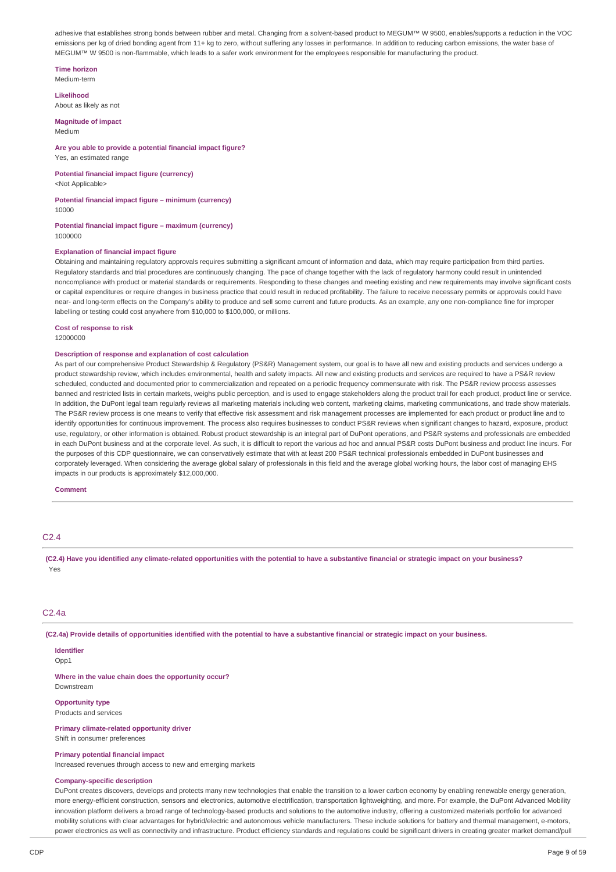adhesive that establishes strong bonds between rubber and metal. Changing from a solvent-based product to MEGUM™ W 9500, enables/supports a reduction in the VOC emissions per kg of dried bonding agent from 11+ kg to zero, without suffering any losses in performance. In addition to reducing carbon emissions, the water base of MEGUM™ W 9500 is non-flammable, which leads to a safer work environment for the employees responsible for manufacturing the product.

### **Time horizon**

Medium-term

## **Likelihood**

About as likely as not

# **Magnitude of impact**

Medium

#### **Are you able to provide a potential financial impact figure?** Yes, an estimated range

**Potential financial impact figure (currency)**

<Not Applicable>

# **Potential financial impact figure – minimum (currency)**

10000

#### **Potential financial impact figure – maximum (currency)** 1000000

### **Explanation of financial impact figure**

Obtaining and maintaining regulatory approvals requires submitting a significant amount of information and data, which may require participation from third parties. Regulatory standards and trial procedures are continuously changing. The pace of change together with the lack of regulatory harmony could result in unintended noncompliance with product or material standards or requirements. Responding to these changes and meeting existing and new requirements may involve significant costs or capital expenditures or require changes in business practice that could result in reduced profitability. The failure to receive necessary permits or approvals could have near- and long-term effects on the Company's ability to produce and sell some current and future products. As an example, any one non-compliance fine for improper labelling or testing could cost anywhere from \$10,000 to \$100,000, or millions.

### **Cost of response to risk**

12000000

#### **Description of response and explanation of cost calculation**

As part of our comprehensive Product Stewardship & Regulatory (PS&R) Management system, our goal is to have all new and existing products and services undergo a product stewardship review, which includes environmental, health and safety impacts. All new and existing products and services are required to have a PS&R review scheduled, conducted and documented prior to commercialization and repeated on a periodic frequency commensurate with risk. The PS&R review process assesses banned and restricted lists in certain markets, weighs public perception, and is used to engage stakeholders along the product trail for each product, product line or service. In addition, the DuPont legal team regularly reviews all marketing materials including web content, marketing claims, marketing communications, and trade show materials. The PS&R review process is one means to verify that effective risk assessment and risk management processes are implemented for each product or product line and to identify opportunities for continuous improvement. The process also requires businesses to conduct PS&R reviews when significant changes to hazard, exposure, product use, regulatory, or other information is obtained. Robust product stewardship is an integral part of DuPont operations, and PS&R systems and professionals are embedded in each DuPont business and at the corporate level. As such, it is difficult to report the various ad hoc and annual PS&R costs DuPont business and product line incurs. For the purposes of this CDP questionnaire, we can conservatively estimate that with at least 200 PS&R technical professionals embedded in DuPont businesses and corporately leveraged. When considering the average global salary of professionals in this field and the average global working hours, the labor cost of managing EHS impacts in our products is approximately \$12,000,000.

### **Comment**

# C2.4

(C2.4) Have you identified any climate-related opportunities with the potential to have a substantive financial or strategic impact on your business? Yes

## C2.4a

(C2.4a) Provide details of opportunities identified with the potential to have a substantive financial or strategic impact on your business.

# **Identifier**

Opp1

**Where in the value chain does the opportunity occur?** Downstream

### **Opportunity type**

Products and services

### **Primary climate-related opportunity driver** Shift in consumer preferences

#### **Primary potential financial impact**

Increased revenues through access to new and emerging markets

### **Company-specific description**

DuPont creates discovers, develops and protects many new technologies that enable the transition to a lower carbon economy by enabling renewable energy generation. more energy-efficient construction, sensors and electronics, automotive electrification, transportation lightweighting, and more. For example, the DuPont Advanced Mobility innovation platform delivers a broad range of technology-based products and solutions to the automotive industry, offering a customized materials portfolio for advanced mobility solutions with clear advantages for hybrid/electric and autonomous vehicle manufacturers. These include solutions for battery and thermal management, e-motors, power electronics as well as connectivity and infrastructure. Product efficiency standards and regulations could be significant drivers in creating greater market demand/pull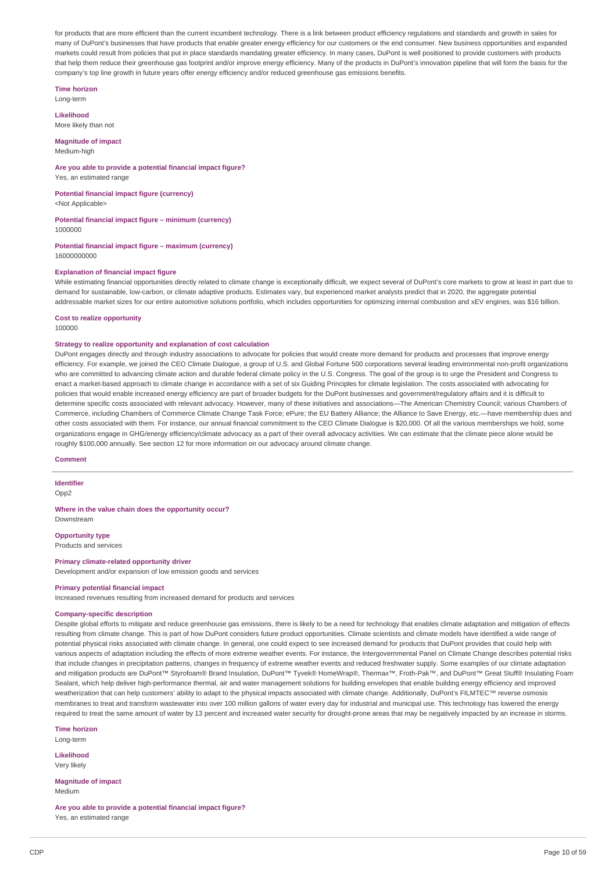for products that are more efficient than the current incumbent technology. There is a link between product efficiency regulations and standards and growth in sales for many of DuPont's businesses that have products that enable greater energy efficiency for our customers or the end consumer. New business opportunities and expanded markets could result from policies that put in place standards mandating greater efficiency. In many cases, DuPont is well positioned to provide customers with products that help them reduce their greenhouse gas footprint and/or improve energy efficiency. Many of the products in DuPont's innovation pipeline that will form the basis for the company's top line growth in future years offer energy efficiency and/or reduced greenhouse gas emissions benefits.

**Time horizon** Long-term

**Likelihood** More likely than not

**Magnitude of impact**

Medium-high

### **Are you able to provide a potential financial impact figure?** Yes, an estimated range

**Potential financial impact figure (currency)** <Not Applicable>

**Potential financial impact figure – minimum (currency)**

1000000

**Potential financial impact figure – maximum (currency)** 16000000000

## **Explanation of financial impact figure**

While estimating financial opportunities directly related to climate change is exceptionally difficult, we expect several of DuPont's core markets to grow at least in part due to demand for sustainable, low-carbon, or climate adaptive products. Estimates vary, but experienced market analysts predict that in 2020, the aggregate potential addressable market sizes for our entire automotive solutions portfolio, which includes opportunities for optimizing internal combustion and xEV engines, was \$16 billion.

# **Cost to realize opportunity**

100000

## **Strategy to realize opportunity and explanation of cost calculation**

DuPont engages directly and through industry associations to advocate for policies that would create more demand for products and processes that improve energy efficiency. For example, we joined the CEO Climate Dialogue, a group of U.S. and Global Fortune 500 corporations several leading environmental non-profit organizations who are committed to advancing climate action and durable federal climate policy in the U.S. Congress. The goal of the group is to urge the President and Congress to enact a market-based approach to climate change in accordance with a set of six Guiding Principles for climate legislation. The costs associated with advocating for policies that would enable increased energy efficiency are part of broader budgets for the DuPont businesses and government/regulatory affairs and it is difficult to determine specific costs associated with relevant advocacy. However, many of these initiatives and associations—The American Chemistry Council; various Chambers of Commerce, including Chambers of Commerce Climate Change Task Force; ePure; the EU Battery Alliance; the Alliance to Save Energy, etc.—have membership dues and other costs associated with them. For instance, our annual financial commitment to the CEO Climate Dialogue is \$20,000. Of all the various memberships we hold, some organizations engage in GHG/energy efficiency/climate advocacy as a part of their overall advocacy activities. We can estimate that the climate piece alone would be roughly \$100,000 annually. See section 12 for more information on our advocacy around climate change.

## **Comment**

**Identifier**

Opp2

# **Where in the value chain does the opportunity occur?**

Downstream

**Opportunity type** Products and services

**Primary climate-related opportunity driver**

Development and/or expansion of low emission goods and services

# **Primary potential financial impact**

Increased revenues resulting from increased demand for products and services

## **Company-specific description**

Despite global efforts to mitigate and reduce greenhouse gas emissions, there is likely to be a need for technology that enables climate adaptation and mitigation of effects resulting from climate change. This is part of how DuPont considers future product opportunities. Climate scientists and climate models have identified a wide range of potential physical risks associated with climate change. In general, one could expect to see increased demand for products that DuPont provides that could help with various aspects of adaptation including the effects of more extreme weather events. For instance, the Intergovernmental Panel on Climate Change describes potential risks that include changes in precipitation patterns, changes in frequency of extreme weather events and reduced freshwater supply. Some examples of our climate adaptation and mitigation products are DuPont™ Styrofoam® Brand Insulation, DuPont™ Tyvek® HomeWrap®, Thermax™, Froth-Pak™, and DuPont™ Great Stuff® Insulating Foam Sealant, which help deliver high-performance thermal, air and water management solutions for building envelopes that enable building energy efficiency and improved weatherization that can help customers' ability to adapt to the physical impacts associated with climate change. Additionally, DuPont's FILMTEC™ reverse osmosis membranes to treat and transform wastewater into over 100 million gallons of water every day for industrial and municipal use. This technology has lowered the energy required to treat the same amount of water by 13 percent and increased water security for drought-prone areas that may be negatively impacted by an increase in storms.

**Time horizon** Long-term

**Likelihood**

Very likely

**Magnitude of impact** Medium

**Are you able to provide a potential financial impact figure?** Yes, an estimated range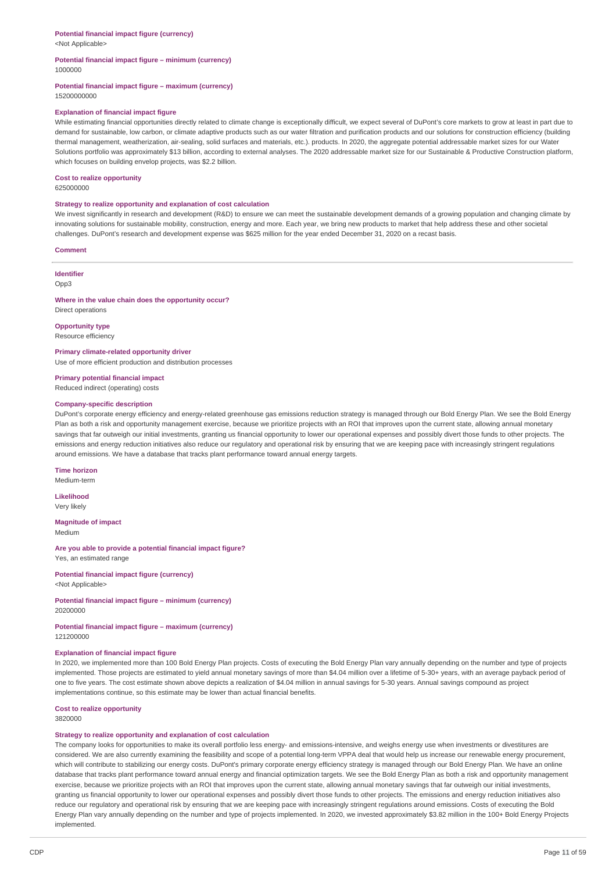# **Potential financial impact figure (currency)**

<Not Applicable>

## **Potential financial impact figure – minimum (currency)** 1000000

### **Potential financial impact figure – maximum (currency)** 15200000000

### **Explanation of financial impact figure**

While estimating financial opportunities directly related to climate change is exceptionally difficult, we expect several of DuPont's core markets to grow at least in part due to demand for sustainable, low carbon, or climate adaptive products such as our water filtration and purification products and our solutions for construction efficiency (building thermal management, weatherization, air-sealing, solid surfaces and materials, etc.). products. In 2020, the aggregate potential addressable market sizes for our Water Solutions portfolio was approximately \$13 billion, according to external analyses. The 2020 addressable market size for our Sustainable & Productive Construction platform, which focuses on building envelop projects, was \$2.2 billion.

#### **Cost to realize opportunity**

625000000

### **Strategy to realize opportunity and explanation of cost calculation**

We invest significantly in research and development (R&D) to ensure we can meet the sustainable development demands of a growing population and changing climate by innovating solutions for sustainable mobility, construction, energy and more. Each year, we bring new products to market that help address these and other societal challenges. DuPont's research and development expense was \$625 million for the year ended December 31, 2020 on a recast basis.

#### **Comment**

**Identifier**

Opp3

### **Where in the value chain does the opportunity occur?** Direct operations

**Opportunity type**

# Resource efficiency

**Primary climate-related opportunity driver** Use of more efficient production and distribution processes

**Primary potential financial impact** Reduced indirect (operating) costs

## **Company-specific description**

DuPont's corporate energy efficiency and energy-related greenhouse gas emissions reduction strategy is managed through our Bold Energy Plan. We see the Bold Energy Plan as both a risk and opportunity management exercise, because we prioritize projects with an ROI that improves upon the current state, allowing annual monetary savings that far outweigh our initial investments, granting us financial opportunity to lower our operational expenses and possibly divert those funds to other projects. The emissions and energy reduction initiatives also reduce our regulatory and operational risk by ensuring that we are keeping pace with increasingly stringent regulations around emissions. We have a database that tracks plant performance toward annual energy targets.

### **Time horizon**

Medium-term

**Likelihood** Very likely

# **Magnitude of impact**

Medium

**Are you able to provide a potential financial impact figure?** Yes, an estimated range

### **Potential financial impact figure (currency)** <Not Applicable>

#### **Potential financial impact figure – minimum (currency)** 20200000

**Potential financial impact figure – maximum (currency)** 121200000

### **Explanation of financial impact figure**

In 2020, we implemented more than 100 Bold Energy Plan projects. Costs of executing the Bold Energy Plan vary annually depending on the number and type of projects implemented. Those projects are estimated to yield annual monetary savings of more than \$4.04 million over a lifetime of 5-30+ years, with an average payback period of one to five years. The cost estimate shown above depicts a realization of \$4.04 million in annual savings for 5-30 years. Annual savings compound as project implementations continue, so this estimate may be lower than actual financial benefits.

**Cost to realize opportunity** 3820000

### **Strategy to realize opportunity and explanation of cost calculation**

The company looks for opportunities to make its overall portfolio less energy- and emissions-intensive, and weighs energy use when investments or divestitures are considered. We are also currently examining the feasibility and scope of a potential long-term VPPA deal that would help us increase our renewable energy procurement, which will contribute to stabilizing our energy costs. DuPont's primary corporate energy efficiency strategy is managed through our Bold Energy Plan. We have an online database that tracks plant performance toward annual energy and financial optimization targets. We see the Bold Energy Plan as both a risk and opportunity management exercise, because we prioritize projects with an ROI that improves upon the current state, allowing annual monetary savings that far outweigh our initial investments, granting us financial opportunity to lower our operational expenses and possibly divert those funds to other projects. The emissions and energy reduction initiatives also reduce our regulatory and operational risk by ensuring that we are keeping pace with increasingly stringent regulations around emissions. Costs of executing the Bold Energy Plan vary annually depending on the number and type of projects implemented. In 2020, we invested approximately \$3.82 million in the 100+ Bold Energy Projects implemented.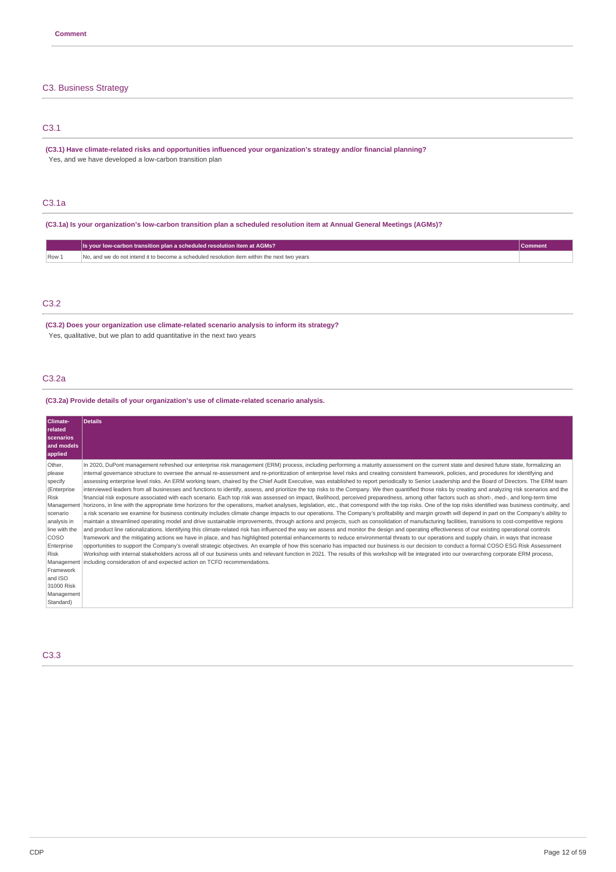# C3. Business Strategy

# C3.1

**(C3.1) Have climate-related risks and opportunities influenced your organization's strategy and/or financial planning?** Yes, and we have developed a low-carbon transition plan

# C3.1a

(C3.1a) Is your organization's low-carbon transition plan a scheduled resolution item at Annual General Meetings (AGMs)?

|     | Is your low-carbon transition plan a scheduled resolution item at AGMs?                     | .ommen |
|-----|---------------------------------------------------------------------------------------------|--------|
| Row | No, and we do not intend it to become a scheduled resolution item within the next two vears |        |

# C3.2

**(C3.2) Does your organization use climate-related scenario analysis to inform its strategy?** Yes, qualitative, but we plan to add quantitative in the next two years

# C3.2a

**(C3.2a) Provide details of your organization's use of climate-related scenario analysis.**

| Climate-<br><b>related</b><br>scenarios<br>and models<br>applied                                                                                                                                                          | <b>Details</b>                                                                                                                                                                                                                                                                                                                                                                                                                                                                                                                                                                                                                                                                                                                                                                                                                                                                                                                                                                                                                                                                                                                                                                                                                                                                                                                                                                                                                                                                                                                                                                                                                                                                                                                                                                                                                                                                                                                                                                                                                                                                                                                                                                                                                                                                                                                                                                                                                                                                                                                               |
|---------------------------------------------------------------------------------------------------------------------------------------------------------------------------------------------------------------------------|----------------------------------------------------------------------------------------------------------------------------------------------------------------------------------------------------------------------------------------------------------------------------------------------------------------------------------------------------------------------------------------------------------------------------------------------------------------------------------------------------------------------------------------------------------------------------------------------------------------------------------------------------------------------------------------------------------------------------------------------------------------------------------------------------------------------------------------------------------------------------------------------------------------------------------------------------------------------------------------------------------------------------------------------------------------------------------------------------------------------------------------------------------------------------------------------------------------------------------------------------------------------------------------------------------------------------------------------------------------------------------------------------------------------------------------------------------------------------------------------------------------------------------------------------------------------------------------------------------------------------------------------------------------------------------------------------------------------------------------------------------------------------------------------------------------------------------------------------------------------------------------------------------------------------------------------------------------------------------------------------------------------------------------------------------------------------------------------------------------------------------------------------------------------------------------------------------------------------------------------------------------------------------------------------------------------------------------------------------------------------------------------------------------------------------------------------------------------------------------------------------------------------------------------|
| Other,<br>please<br>specify<br>(Enterprise<br>Risk<br>Management<br>scenario<br>analysis in<br>line with the<br><b>COSO</b><br>Enterprise<br><b>Risk</b><br>Framework<br>and ISO<br>31000 Risk<br>Management<br>Standard) | In 2020, DuPont management refreshed our enterprise risk management (ERM) process, including performing a maturity assessment on the current state and desired future state, formalizing an<br>internal governance structure to oversee the annual re-assessment and re-prioritization of enterprise level risks and creating consistent framework, policies, and procedures for identifying and<br>assessing enterprise level risks. An ERM working team, chaired by the Chief Audit Executive, was established to report periodically to Senior Leadership and the Board of Directors. The ERM team<br>interviewed leaders from all businesses and functions to identify, assess, and prioritize the top risks to the Company. We then quantified those risks by creating and analyzing risk scenarios and the<br>financial risk exposure associated with each scenario. Each top risk was assessed on impact, likelihood, perceived preparedness, among other factors such as short-, med-, and long-term time<br>horizons, in line with the appropriate time horizons for the operations, market analyses, legislation, etc., that correspond with the top risks. One of the top risks identified was business continuity, and<br>a risk scenario we examine for business continuity includes climate change impacts to our operations. The Company's profitability and margin growth will depend in part on the Company's ability to<br>maintain a streamlined operating model and drive sustainable improvements, through actions and projects, such as consolidation of manufacturing facilities, transitions to cost-competitive regions<br>and product line rationalizations. Identifying this climate-related risk has influenced the way we assess and monitor the design and operating effectiveness of our existing operational controls<br>framework and the mitigating actions we have in place, and has highlighted potential enhancements to reduce environmental threats to our operations and supply chain, in ways that increase<br>opportunities to support the Company's overall strategic objectives. An example of how this scenario has impacted our business is our decision to conduct a formal COSO ESG Risk Assessment<br>Workshop with internal stakeholders across all of our business units and relevant function in 2021. The results of this workshop will be integrated into our overarching corporate ERM process,<br>Management including consideration of and expected action on TCFD recommendations. |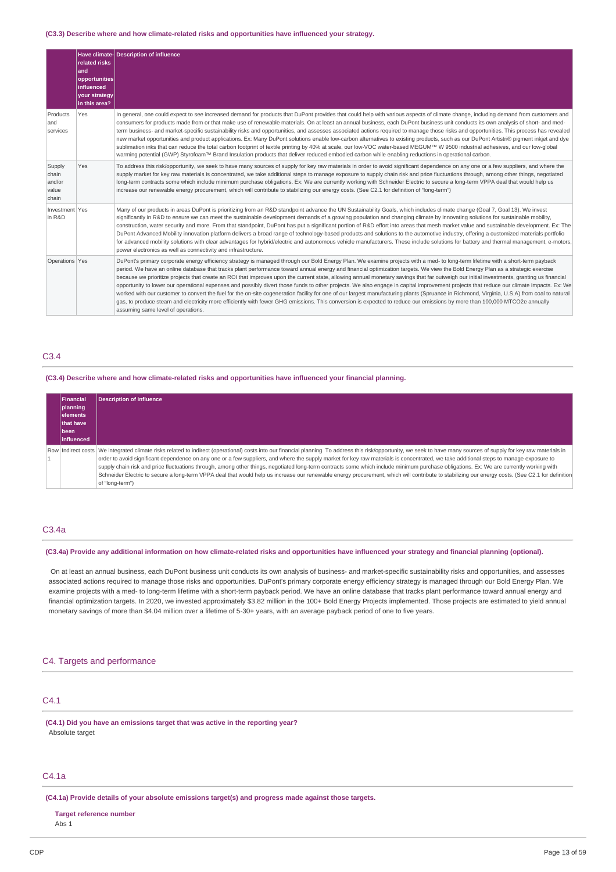### **(C3.3) Describe where and how climate-related risks and opportunities have influenced your strategy.**

|                                             | related risks<br>and<br>opportunities<br><b>influenced</b><br>your strategy<br>in this area? | Have climate-Description of influence                                                                                                                                                                                                                                                                                                                                                                                                                                                                                                                                                                                                                                                                                                                                                                                                                                                                                                                                                                                                                                                                                                                                      |
|---------------------------------------------|----------------------------------------------------------------------------------------------|----------------------------------------------------------------------------------------------------------------------------------------------------------------------------------------------------------------------------------------------------------------------------------------------------------------------------------------------------------------------------------------------------------------------------------------------------------------------------------------------------------------------------------------------------------------------------------------------------------------------------------------------------------------------------------------------------------------------------------------------------------------------------------------------------------------------------------------------------------------------------------------------------------------------------------------------------------------------------------------------------------------------------------------------------------------------------------------------------------------------------------------------------------------------------|
| Products<br>and<br>services                 | Yes                                                                                          | In general, one could expect to see increased demand for products that DuPont provides that could help with various aspects of climate change, including demand from customers and<br>consumers for products made from or that make use of renewable materials. On at least an annual business, each DuPont business unit conducts its own analysis of short- and med-<br>term business- and market-specific sustainability risks and opportunities, and assesses associated actions required to manage those risks and opportunities. This process has revealed<br>new market opportunities and product applications. Ex: Many DuPont solutions enable low-carbon alternatives to existing products, such as our DuPont Artistri® pigment inkjet and dye<br>sublimation inks that can reduce the total carbon footprint of textile printing by 40% at scale, our low-VOC water-based MEGUM™ W 9500 industrial adhesives, and our low-global<br>warming potential (GWP) Styrofoam™ Brand Insulation products that deliver reduced embodied carbon while enabling reductions in operational carbon.                                                                         |
| Supply<br>chain<br>and/or<br>value<br>chain | Yes                                                                                          | To address this risk/opportunity, we seek to have many sources of supply for key raw materials in order to avoid significant dependence on any one or a few suppliers, and where the<br>supply market for key raw materials is concentrated, we take additional steps to manage exposure to supply chain risk and price fluctuations through, among other things, negotiated<br>long-term contracts some which include minimum purchase obligations. Ex: We are currently working with Schneider Electric to secure a long-term VPPA deal that would help us<br>increase our renewable energy procurement, which will contribute to stabilizing our energy costs. (See C2.1 for definition of "long-term")                                                                                                                                                                                                                                                                                                                                                                                                                                                                 |
| Investment Yes<br>in R&D                    |                                                                                              | Many of our products in areas DuPont is prioritizing from an R&D standpoint advance the UN Sustainability Goals, which includes climate change (Goal 7, Goal 13). We invest<br>significantly in R&D to ensure we can meet the sustainable development demands of a growing population and changing climate by innovating solutions for sustainable mobility,<br>construction, water security and more. From that standpoint, DuPont has put a significant portion of R&D effort into areas that mesh market value and sustainable development. Ex: The<br>DuPont Advanced Mobility innovation platform delivers a broad range of technology-based products and solutions to the automotive industry, offering a customized materials portfolio<br>for advanced mobility solutions with clear advantages for hybrid/electric and autonomous vehicle manufacturers. These include solutions for battery and thermal management, e-motors,<br>power electronics as well as connectivity and infrastructure.                                                                                                                                                                   |
| Operations Yes                              |                                                                                              | DuPont's primary corporate energy efficiency strategy is managed through our Bold Energy Plan. We examine projects with a med- to long-term lifetime with a short-term payback<br>period. We have an online database that tracks plant performance toward annual energy and financial optimization targets. We view the Bold Energy Plan as a strategic exercise<br>because we prioritize projects that create an ROI that improves upon the current state, allowing annual monetary savings that far outweigh our initial investments, granting us financial<br>opportunity to lower our operational expenses and possibly divert those funds to other projects. We also engage in capital improvement projects that reduce our climate impacts. Ex: We<br>worked with our customer to convert the fuel for the on-site cogeneration facility for one of our largest manufacturing plants (Spruance in Richmond, Virginia, U.S.A) from coal to natural<br>gas, to produce steam and electricity more efficiently with fewer GHG emissions. This conversion is expected to reduce our emissions by more than 100,000 MTCO2e annually<br>assuming same level of operations. |

# C3.4

### **(C3.4) Describe where and how climate-related risks and opportunities have influenced your financial planning.**

| Financial          | Description of influence                                                                                                                                                                                                  |
|--------------------|---------------------------------------------------------------------------------------------------------------------------------------------------------------------------------------------------------------------------|
| planning           |                                                                                                                                                                                                                           |
| lelements          |                                                                                                                                                                                                                           |
| that have          |                                                                                                                                                                                                                           |
| <b>Ibeen</b>       |                                                                                                                                                                                                                           |
| <b>linfluenced</b> |                                                                                                                                                                                                                           |
|                    | Row   Indirect costs   We integrated climate risks related to indirect (operational) costs into our financial planning. To address this risk/opportunity, we seek to have many sources of supply for key raw materials in |
|                    | order to avoid significant dependence on any one or a few suppliers, and where the supply market for key raw materials is concentrated, we take additional steps to manage exposure to                                    |
|                    | supply chain risk and price fluctuations through, among other things, negotiated long-term contracts some which include minimum purchase obligations. Ex: We are currently working with                                   |
|                    | Schneider Electric to secure a long-term VPPA deal that would help us increase our renewable energy procurement, which will contribute to stabilizing our energy costs. (See C2.1 for definition                          |
|                    | of "long-term")                                                                                                                                                                                                           |

# C3.4a

### (C3.4a) Provide any additional information on how climate-related risks and opportunities have influenced your strategy and financial planning (optional).

On at least an annual business, each DuPont business unit conducts its own analysis of business- and market-specific sustainability risks and opportunities, and assesses associated actions required to manage those risks and opportunities. DuPont's primary corporate energy efficiency strategy is managed through our Bold Energy Plan. We examine projects with a med- to long-term lifetime with a short-term payback period. We have an online database that tracks plant performance toward annual energy and financial optimization targets. In 2020, we invested approximately \$3.82 million in the 100+ Bold Energy Projects implemented. Those projects are estimated to yield annual monetary savings of more than \$4.04 million over a lifetime of 5-30+ years, with an average payback period of one to five years.

# C4. Targets and performance

# C4.1

**(C4.1) Did you have an emissions target that was active in the reporting year?** Absolute target

# C4.1a

**(C4.1a) Provide details of your absolute emissions target(s) and progress made against those targets.**

### **Target reference number**

Abs 1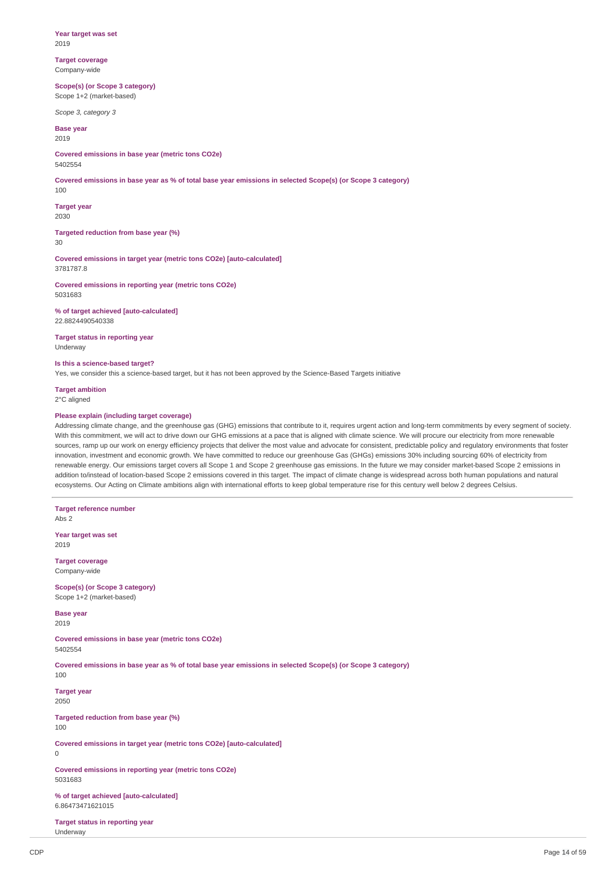**Year target was set** 2019

**Target coverage** Company-wide

**Scope(s) (or Scope 3 category)** Scope 1+2 (market-based)

*Scope 3, category 3*

**Base year**  $2019$ 

**Covered emissions in base year (metric tons CO2e)** 5402554

Covered emissions in base year as % of total base year emissions in selected Scope(s) (or Scope 3 category) 100

**Target year** 2030

**Targeted reduction from base year (%)** 30

**Covered emissions in target year (metric tons CO2e) [auto-calculated]** 3781787.8

**Covered emissions in reporting year (metric tons CO2e)** 5031683

**% of target achieved [auto-calculated]** 22.8824490540338

**Target status in reporting year** Underway

**Is this a science-based target?**

Yes, we consider this a science-based target, but it has not been approved by the Science-Based Targets initiative

**Target ambition**

2°C aligned

## **Please explain (including target coverage)**

Addressing climate change, and the greenhouse gas (GHG) emissions that contribute to it, requires urgent action and long-term commitments by every segment of society. With this commitment, we will act to drive down our GHG emissions at a pace that is aligned with climate science. We will procure our electricity from more renewable sources, ramp up our work on energy efficiency projects that deliver the most value and advocate for consistent, predictable policy and regulatory environments that foster innovation, investment and economic growth. We have committed to reduce our greenhouse Gas (GHGs) emissions 30% including sourcing 60% of electricity from renewable energy. Our emissions target covers all Scope 1 and Scope 2 greenhouse gas emissions. In the future we may consider market-based Scope 2 emissions in addition to/instead of location-based Scope 2 emissions covered in this target. The impact of climate change is widespread across both human populations and natural ecosystems. Our Acting on Climate ambitions align with international efforts to keep global temperature rise for this century well below 2 degrees Celsius.

**Target reference number** Abs 2 **Year target was set** 2019 **Target coverage** Company-wide **Scope(s) (or Scope 3 category)** Scope 1+2 (market-based) **Base year** 2019 **Covered emissions in base year (metric tons CO2e)** 5402554 Covered emissions in base year as % of total base year emissions in selected Scope(s) (or Scope 3 category) 100 **Target year** 2050 **Targeted reduction from base year (%)** 100 **Covered emissions in target year (metric tons CO2e) [auto-calculated]** 0 **Covered emissions in reporting year (metric tons CO2e)** 5031683 **% of target achieved [auto-calculated]** 6.86473471621015

**Target status in reporting year** Underway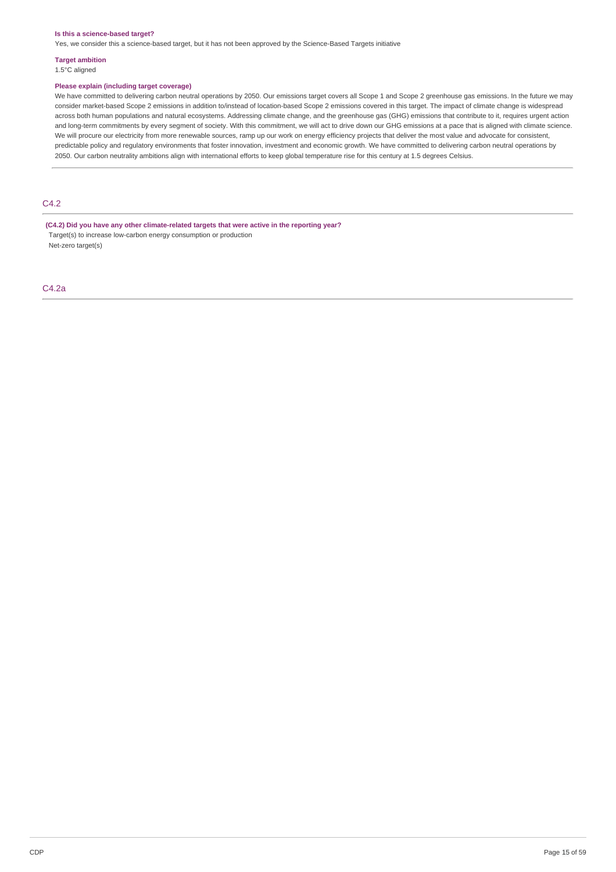### **Is this a science-based target?**

Yes, we consider this a science-based target, but it has not been approved by the Science-Based Targets initiative

# **Target ambition**

1.5°C aligned

### **Please explain (including target coverage)**

We have committed to delivering carbon neutral operations by 2050. Our emissions target covers all Scope 1 and Scope 2 greenhouse gas emissions. In the future we may consider market-based Scope 2 emissions in addition to/instead of location-based Scope 2 emissions covered in this target. The impact of climate change is widespread across both human populations and natural ecosystems. Addressing climate change, and the greenhouse gas (GHG) emissions that contribute to it, requires urgent action and long-term commitments by every segment of society. With this commitment, we will act to drive down our GHG emissions at a pace that is aligned with climate science. We will procure our electricity from more renewable sources, ramp up our work on energy efficiency projects that deliver the most value and advocate for consistent, predictable policy and regulatory environments that foster innovation, investment and economic growth. We have committed to delivering carbon neutral operations by 2050. Our carbon neutrality ambitions align with international efforts to keep global temperature rise for this century at 1.5 degrees Celsius.

# C4.2

**(C4.2) Did you have any other climate-related targets that were active in the reporting year?** Target(s) to increase low-carbon energy consumption or production Net-zero target(s)

C4.2a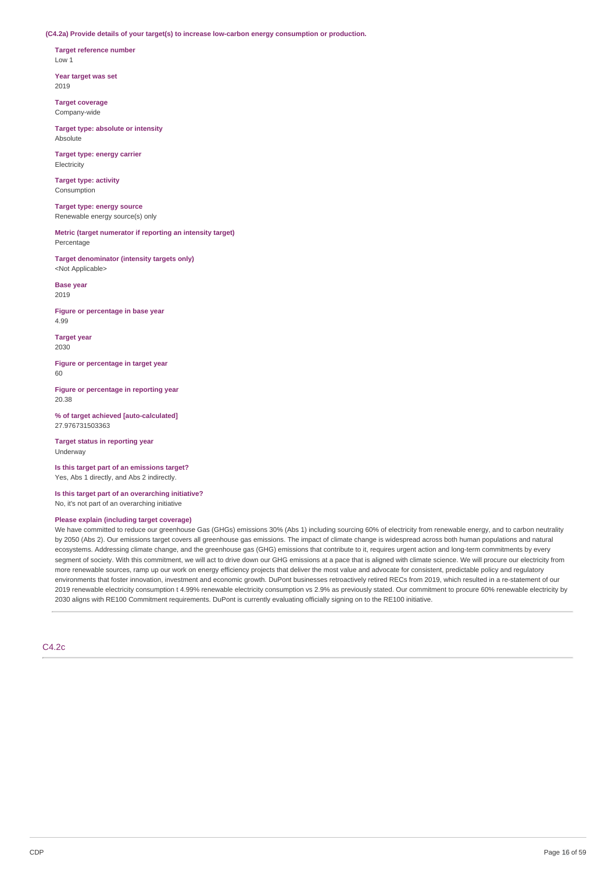**(C4.2a) Provide details of your target(s) to increase low-carbon energy consumption or production.**

**Target reference number** Low 1

**Year target was set** 2019

**Target coverage** Company-wide

**Target type: absolute or intensity** Absolute

**Target type: energy carrier** Electricity

**Target type: activity** Consumption

**Target type: energy source** Renewable energy source(s) only

**Metric (target numerator if reporting an intensity target)** Percentage

**Target denominator (intensity targets only)** <Not Applicable>

**Base year** 2019

**Figure or percentage in base year** 4.99

**Target year** 2030

**Figure or percentage in target year**  $60$ 

**Figure or percentage in reporting year** 20.38

**% of target achieved [auto-calculated]** 27.976731503363

**Target status in reporting year** Underway

**Is this target part of an emissions target?** Yes, Abs 1 directly, and Abs 2 indirectly.

**Is this target part of an overarching initiative?** No, it's not part of an overarching initiative

## **Please explain (including target coverage)**

We have committed to reduce our greenhouse Gas (GHGs) emissions 30% (Abs 1) including sourcing 60% of electricity from renewable energy, and to carbon neutrality by 2050 (Abs 2). Our emissions target covers all greenhouse gas emissions. The impact of climate change is widespread across both human populations and natural ecosystems. Addressing climate change, and the greenhouse gas (GHG) emissions that contribute to it, requires urgent action and long-term commitments by every segment of society. With this commitment, we will act to drive down our GHG emissions at a pace that is aligned with climate science. We will procure our electricity from more renewable sources, ramp up our work on energy efficiency projects that deliver the most value and advocate for consistent, predictable policy and regulatory environments that foster innovation, investment and economic growth. DuPont businesses retroactively retired RECs from 2019, which resulted in a re-statement of our 2019 renewable electricity consumption t 4.99% renewable electricity consumption vs 2.9% as previously stated. Our commitment to procure 60% renewable electricity by 2030 aligns with RE100 Commitment requirements. DuPont is currently evaluating officially signing on to the RE100 initiative.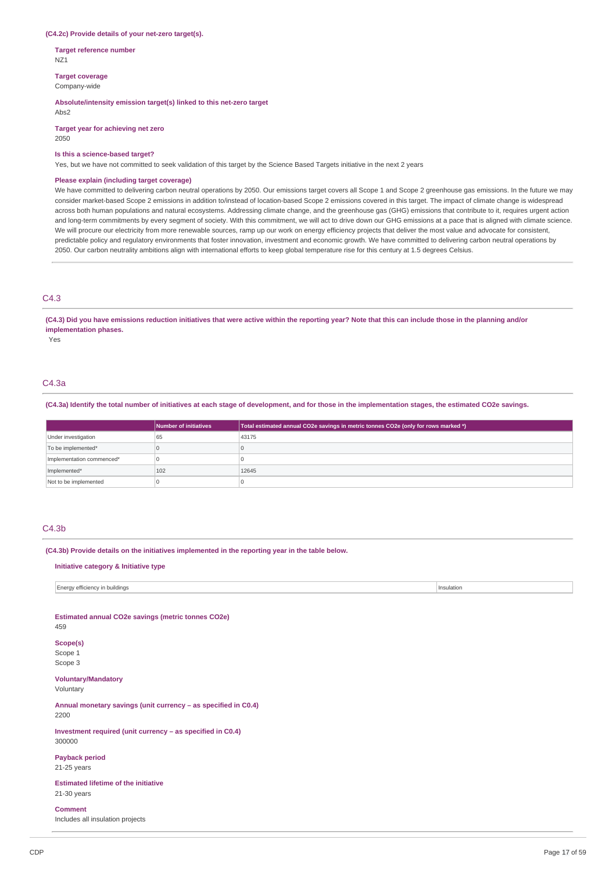### **(C4.2c) Provide details of your net-zero target(s).**

**Target reference number** NZ1

**Target coverage**

Company-wide

## **Absolute/intensity emission target(s) linked to this net-zero target**

Abs2

**Target year for achieving net zero** 2050

### **Is this a science-based target?**

Yes, but we have not committed to seek validation of this target by the Science Based Targets initiative in the next 2 years

### **Please explain (including target coverage)**

We have committed to delivering carbon neutral operations by 2050. Our emissions target covers all Scope 1 and Scope 2 greenhouse gas emissions. In the future we may consider market-based Scope 2 emissions in addition to/instead of location-based Scope 2 emissions covered in this target. The impact of climate change is widespread across both human populations and natural ecosystems. Addressing climate change, and the greenhouse gas (GHG) emissions that contribute to it, requires urgent action and long-term commitments by every segment of society. With this commitment, we will act to drive down our GHG emissions at a pace that is aligned with climate science. We will procure our electricity from more renewable sources, ramp up our work on energy efficiency projects that deliver the most value and advocate for consistent, predictable policy and regulatory environments that foster innovation, investment and economic growth. We have committed to delivering carbon neutral operations by 2050. Our carbon neutrality ambitions align with international efforts to keep global temperature rise for this century at 1.5 degrees Celsius.

## C4.3

### (C4.3) Did you have emissions reduction initiatives that were active within the reporting year? Note that this can include those in the planning and/or **implementation phases.**

Yes

## C4.3a

(C4.3a) Identify the total number of initiatives at each stage of development, and for those in the implementation stages, the estimated CO2e savings.

|                           | Number of initiatives | Total estimated annual CO2e savings in metric tonnes CO2e (only for rows marked *) |
|---------------------------|-----------------------|------------------------------------------------------------------------------------|
| Under investigation       | 65                    | 43175                                                                              |
| To be implemented*        |                       |                                                                                    |
| Implementation commenced* |                       |                                                                                    |
| Implemented*              | 102                   | 12645                                                                              |
| Not to be implemented     |                       |                                                                                    |

## C4.3b

**(C4.3b) Provide details on the initiatives implemented in the reporting year in the table below.**

## **Initiative category & Initiative type**

Energy efficiency in buildings Insulation

**Estimated annual CO2e savings (metric tonnes CO2e)** 459

# **Scope(s)**

Scope 1 Scope 3

## **Voluntary/Mandatory**

Voluntary

**Annual monetary savings (unit currency – as specified in C0.4)** 2200

**Investment required (unit currency – as specified in C0.4)** 300000

### **Payback period** 21-25 years

**Estimated lifetime of the initiative** 21-30 years

### **Comment**

Includes all insulation projects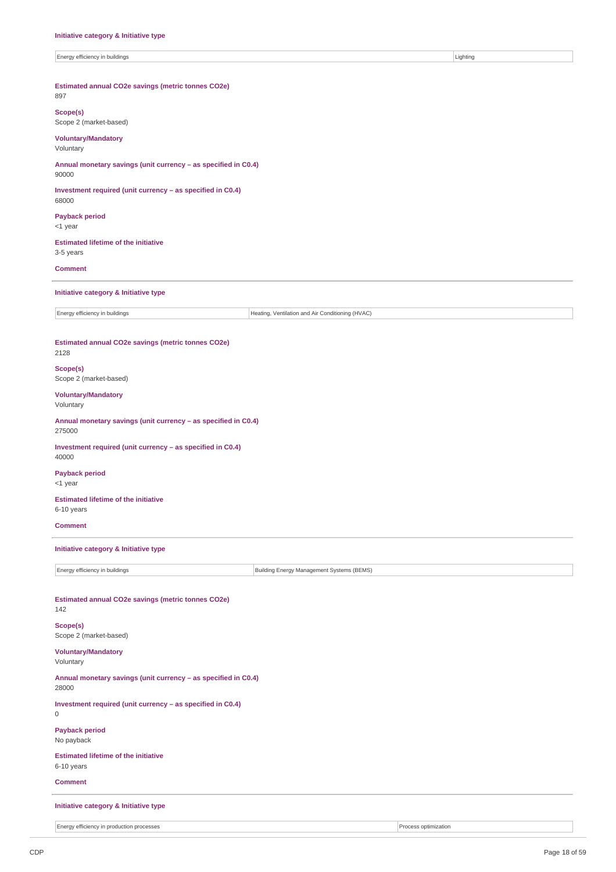| Energy efficiency in buildings                                           | Lighting                                         |  |  |
|--------------------------------------------------------------------------|--------------------------------------------------|--|--|
| Estimated annual CO2e savings (metric tonnes CO2e)<br>897                |                                                  |  |  |
| Scope(s)<br>Scope 2 (market-based)                                       |                                                  |  |  |
| <b>Voluntary/Mandatory</b><br>Voluntary                                  |                                                  |  |  |
| Annual monetary savings (unit currency - as specified in C0.4)<br>90000  |                                                  |  |  |
| Investment required (unit currency - as specified in C0.4)<br>68000      |                                                  |  |  |
| <b>Payback period</b><br><1 year                                         |                                                  |  |  |
| <b>Estimated lifetime of the initiative</b><br>3-5 years                 |                                                  |  |  |
| <b>Comment</b>                                                           |                                                  |  |  |
| Initiative category & Initiative type                                    |                                                  |  |  |
| Energy efficiency in buildings                                           | Heating, Ventilation and Air Conditioning (HVAC) |  |  |
| Estimated annual CO2e savings (metric tonnes CO2e)<br>2128               |                                                  |  |  |
| Scope(s)<br>Scope 2 (market-based)                                       |                                                  |  |  |
| <b>Voluntary/Mandatory</b><br>Voluntary                                  |                                                  |  |  |
| Annual monetary savings (unit currency - as specified in C0.4)<br>275000 |                                                  |  |  |
| Investment required (unit currency - as specified in C0.4)<br>40000      |                                                  |  |  |
| <b>Payback period</b><br><1 year                                         |                                                  |  |  |
| <b>Estimated lifetime of the initiative</b><br>6-10 years                |                                                  |  |  |
| <b>Comment</b>                                                           |                                                  |  |  |
| Initiative category & Initiative type                                    |                                                  |  |  |
| Energy efficiency in buildings                                           | Building Energy Management Systems (BEMS)        |  |  |
| Estimated annual CO2e savings (metric tonnes CO2e)<br>142                |                                                  |  |  |
| Scope(s)<br>Scope 2 (market-based)                                       |                                                  |  |  |
| <b>Voluntary/Mandatory</b><br>Voluntary                                  |                                                  |  |  |
| Annual monetary savings (unit currency - as specified in C0.4)<br>28000  |                                                  |  |  |
| Investment required (unit currency - as specified in C0.4)<br>0          |                                                  |  |  |
| <b>Payback period</b><br>No payback                                      |                                                  |  |  |
| <b>Estimated lifetime of the initiative</b><br>6-10 years                |                                                  |  |  |
| <b>Comment</b>                                                           |                                                  |  |  |
|                                                                          |                                                  |  |  |

**Initiative category & Initiative type**

Energy efficiency in production processes **Process** optimization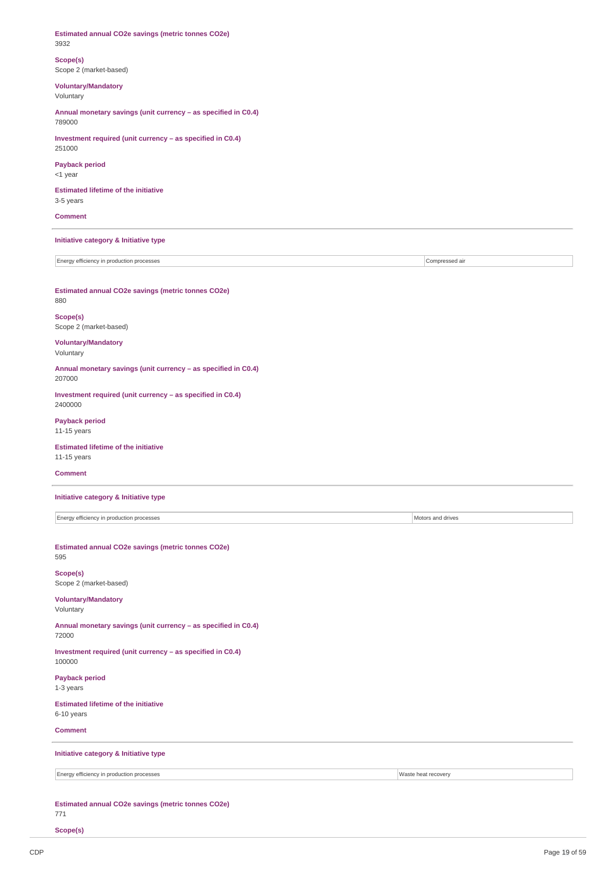**Estimated annual CO2e savings (metric tonnes CO2e)** 3932 **Scope(s)** Scope 2 (market-based) **Voluntary/Mandatory** Voluntary **Annual monetary savings (unit currency – as specified in C0.4)** 789000 **Investment required (unit currency – as specified in C0.4)** 251000 **Payback period** <1 year **Estimated lifetime of the initiative** 3-5 years **Comment Initiative category & Initiative type** Energy efficiency in production processes **Compressed air** compressed air compressed air **Estimated annual CO2e savings (metric tonnes CO2e)** 880 **Scope(s)** Scope 2 (market-based) **Voluntary/Mandatory** Voluntary **Annual monetary savings (unit currency – as specified in C0.4)** 207000 **Investment required (unit currency – as specified in C0.4)** 2400000 **Payback period** 11-15 years **Estimated lifetime of the initiative** 11-15 years **Comment Initiative category & Initiative type** Energy efficiency in production processes Motors and drives **Estimated annual CO2e savings (metric tonnes CO2e)** 595 **Scope(s)** Scope 2 (market-based) **Voluntary/Mandatory** Voluntary **Annual monetary savings (unit currency – as specified in C0.4)** 72000 **Investment required (unit currency – as specified in C0.4)** 100000 **Payback period** 1-3 years **Estimated lifetime of the initiative** 6-10 years **Comment Initiative category & Initiative type** Energy efficiency in production processes Waste heat recovery **Estimated annual CO2e savings (metric tonnes CO2e)**

771

**Scope(s)**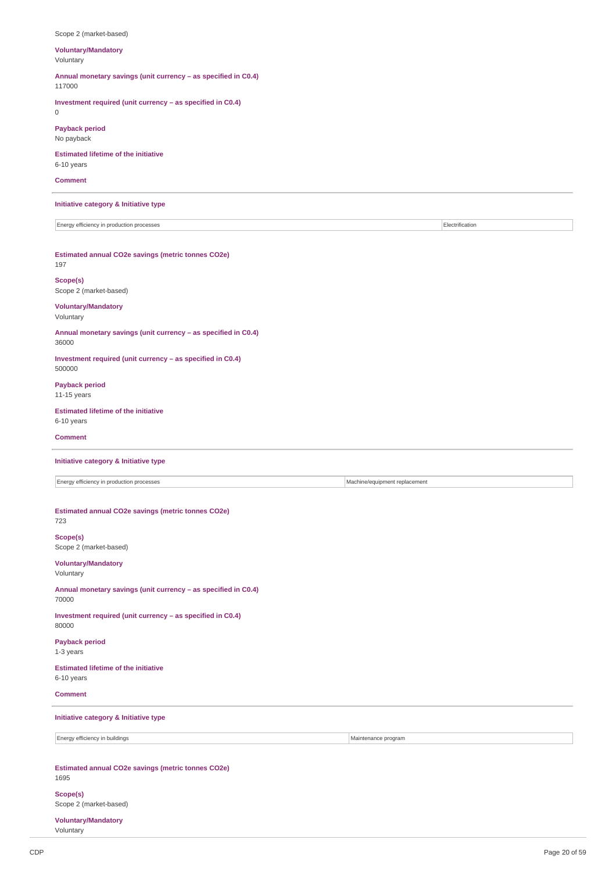| Scope 2 (market-based)                                                    |                               |                 |
|---------------------------------------------------------------------------|-------------------------------|-----------------|
| <b>Voluntary/Mandatory</b><br>Voluntary                                   |                               |                 |
| Annual monetary savings (unit currency - as specified in C0.4)<br>117000  |                               |                 |
| Investment required (unit currency - as specified in C0.4)<br>$\mathbb O$ |                               |                 |
| <b>Payback period</b><br>No payback                                       |                               |                 |
| <b>Estimated lifetime of the initiative</b><br>6-10 years                 |                               |                 |
| <b>Comment</b>                                                            |                               |                 |
| Initiative category & Initiative type                                     |                               |                 |
| Energy efficiency in production processes                                 |                               | Electrification |
| Estimated annual CO2e savings (metric tonnes CO2e)<br>197                 |                               |                 |
| Scope(s)<br>Scope 2 (market-based)                                        |                               |                 |
| <b>Voluntary/Mandatory</b><br>Voluntary                                   |                               |                 |
| Annual monetary savings (unit currency - as specified in C0.4)<br>36000   |                               |                 |
| Investment required (unit currency - as specified in C0.4)<br>500000      |                               |                 |
| <b>Payback period</b><br>11-15 years                                      |                               |                 |
| <b>Estimated lifetime of the initiative</b><br>6-10 years                 |                               |                 |
| <b>Comment</b>                                                            |                               |                 |
| Initiative category & Initiative type                                     |                               |                 |
| Energy efficiency in production processes                                 | Machine/equipment replacement |                 |
| Estimated annual CO2e savings (metric tonnes CO2e)<br>723                 |                               |                 |
| Scope(s)<br>Scope 2 (market-based)                                        |                               |                 |
| <b>Voluntary/Mandatory</b><br>Voluntary                                   |                               |                 |
| Annual monetary savings (unit currency - as specified in C0.4)<br>70000   |                               |                 |
| Investment required (unit currency - as specified in C0.4)<br>80000       |                               |                 |
| <b>Payback period</b><br>1-3 years                                        |                               |                 |
| <b>Estimated lifetime of the initiative</b><br>6-10 years                 |                               |                 |
| <b>Comment</b>                                                            |                               |                 |
| Initiative category & Initiative type                                     |                               |                 |
| Energy efficiency in buildings                                            | Maintenance program           |                 |
| Estimated annual CO2e savings (metric tonnes CO2e)<br>1695                |                               |                 |
| Scope(s)                                                                  |                               |                 |

Scope 2 (market-based)

**Voluntary/Mandatory** Voluntary

 $\overline{\phantom{a}}$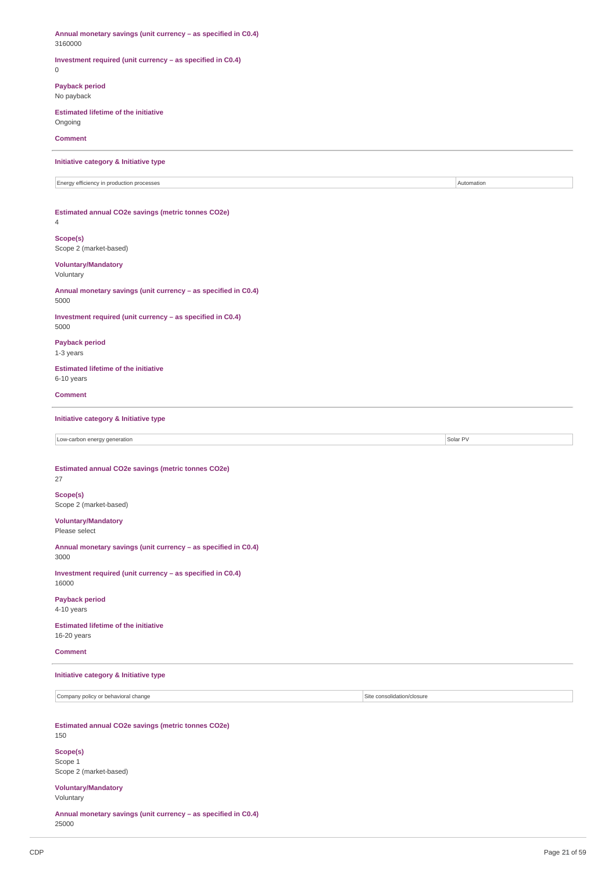**Annual monetary savings (unit currency – as specified in C0.4)** 3160000 **Investment required (unit currency – as specified in C0.4)** 0 **Payback period** No payback **Estimated lifetime of the initiative** Ongoing **Comment Initiative category & Initiative type** Energy efficiency in production processes Automation **Estimated annual CO2e savings (metric tonnes CO2e)** 4 **Scope(s)** Scope 2 (market-based) **Voluntary/Mandatory** Voluntary **Annual monetary savings (unit currency – as specified in C0.4)** 5000 **Investment required (unit currency – as specified in C0.4)** 5000 **Payback period** 1-3 years **Estimated lifetime of the initiative** 6-10 years **Comment Initiative category & Initiative type** Low-carbon energy generation Solar PV **Estimated annual CO2e savings (metric tonnes CO2e)** 27 **Scope(s)** Scope 2 (market-based) **Voluntary/Mandatory** Please select **Annual monetary savings (unit currency – as specified in C0.4)** 3000 **Investment required (unit currency – as specified in C0.4)** 16000 **Payback period** 4-10 years **Estimated lifetime of the initiative** 16-20 years **Comment Initiative category & Initiative type** Company policy or behavioral change Site consolidation/closure **Estimated annual CO2e savings (metric tonnes CO2e)** 150 **Scope(s)** Scope 1 Scope 2 (market-based) **Voluntary/Mandatory** Voluntary

**Annual monetary savings (unit currency – as specified in C0.4)** 25000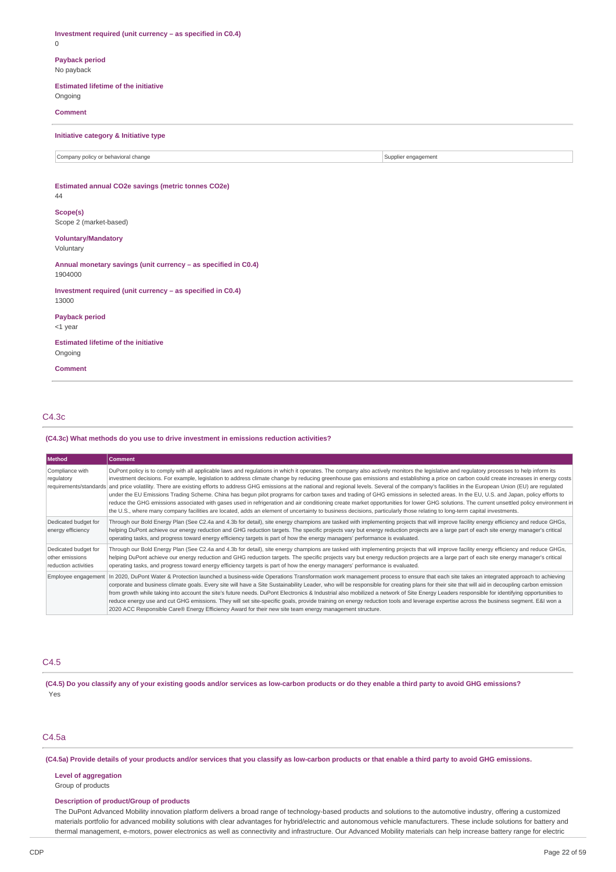**Investment required (unit currency – as specified in C0.4)** 0 **Payback period** No payback **Estimated lifetime of the initiative** Ongoing **Comment Initiative category & Initiative type** Company policy or behavioral change Supplier engagement Supplier engagement Supplier engagement **Estimated annual CO2e savings (metric tonnes CO2e)** 44 **Scope(s)** Scope 2 (market-based) **Voluntary/Mandatory** Voluntary **Annual monetary savings (unit currency – as specified in C0.4)** 1904000 **Investment required (unit currency – as specified in C0.4)** 13000 **Payback period** <1 year **Estimated lifetime of the initiative** Ongoing **Comment**

## C4.3c

### **(C4.3c) What methods do you use to drive investment in emissions reduction activities?**

| Method                                                          | <b>Comment</b>                                                                                                                                                                                                                                                                                                                                                                                                                                                                                                                                                                                                                                                                                                                                                                                                                                                                                                                                                                                                                                                                                                                                                             |
|-----------------------------------------------------------------|----------------------------------------------------------------------------------------------------------------------------------------------------------------------------------------------------------------------------------------------------------------------------------------------------------------------------------------------------------------------------------------------------------------------------------------------------------------------------------------------------------------------------------------------------------------------------------------------------------------------------------------------------------------------------------------------------------------------------------------------------------------------------------------------------------------------------------------------------------------------------------------------------------------------------------------------------------------------------------------------------------------------------------------------------------------------------------------------------------------------------------------------------------------------------|
| Compliance with<br>regulatory                                   | DuPont policy is to comply with all applicable laws and regulations in which it operates. The company also actively monitors the legislative and regulatory processes to help inform its<br>investment decisions. For example, legislation to address climate change by reducing greenhouse gas emissions and establishing a price on carbon could create increases in energy costs<br>requirements/standards and price volatility. There are existing efforts to address GHG emissions at the national and regional levels. Several of the company's facilities in the European Union (EU) are regulated<br>under the EU Emissions Trading Scheme. China has begun pilot programs for carbon taxes and trading of GHG emissions in selected areas. In the EU, U.S. and Japan, policy efforts to<br>reduce the GHG emissions associated with gases used in refrigeration and air conditioning create market opportunities for lower GHG solutions. The current unsettled policy environment in<br>the U.S., where many company facilities are located, adds an element of uncertainty to business decisions, particularly those relating to long-term capital investments. |
| Dedicated budget for<br>energy efficiency                       | Through our Bold Energy Plan (See C2.4a and 4.3b for detail), site energy champions are tasked with implementing projects that will improve facility energy efficiency and reduce GHGs,<br>helping DuPont achieve our energy reduction and GHG reduction targets. The specific projects vary but energy reduction projects are a large part of each site energy manager's critical<br>operating tasks, and progress toward energy efficiency targets is part of how the energy managers' performance is evaluated.                                                                                                                                                                                                                                                                                                                                                                                                                                                                                                                                                                                                                                                         |
| Dedicated budget for<br>other emissions<br>reduction activities | Through our Bold Energy Plan (See C2.4a and 4.3b for detail), site energy champions are tasked with implementing projects that will improve facility energy efficiency and reduce GHGs,<br>helping DuPont achieve our energy reduction and GHG reduction targets. The specific projects vary but energy reduction projects are a large part of each site energy manager's critical<br>operating tasks, and progress toward energy efficiency targets is part of how the energy managers' performance is evaluated.                                                                                                                                                                                                                                                                                                                                                                                                                                                                                                                                                                                                                                                         |
| Employee engagement                                             | In 2020, DuPont Water & Protection launched a business-wide Operations Transformation work management process to ensure that each site takes an integrated approach to achieving<br>corporate and business climate goals. Every site will have a Site Sustainability Leader, who will be responsible for creating plans for their site that will aid in decoupling carbon emission<br>from growth while taking into account the site's future needs. DuPont Electronics & Industrial also mobilized a network of Site Energy Leaders responsible for identifying opportunities to<br>reduce energy use and cut GHG emissions. They will set site-specific goals, provide training on energy reduction tools and leverage expertise across the business segment. E&I won a<br>2020 ACC Responsible Care® Energy Efficiency Award for their new site team energy management structure.                                                                                                                                                                                                                                                                                       |

## C4.5

(C4.5) Do you classify any of your existing goods and/or services as low-carbon products or do they enable a third party to avoid GHG emissions? Yes

## C4.5a

(C4.5a) Provide details of your products and/or services that you classify as low-carbon products or that enable a third party to avoid GHG emissions.

## **Level of aggregation**

Group of products

## **Description of product/Group of products**

The DuPont Advanced Mobility innovation platform delivers a broad range of technology-based products and solutions to the automotive industry, offering a customized materials portfolio for advanced mobility solutions with clear advantages for hybrid/electric and autonomous vehicle manufacturers. These include solutions for battery and thermal management, e-motors, power electronics as well as connectivity and infrastructure. Our Advanced Mobility materials can help increase battery range for electric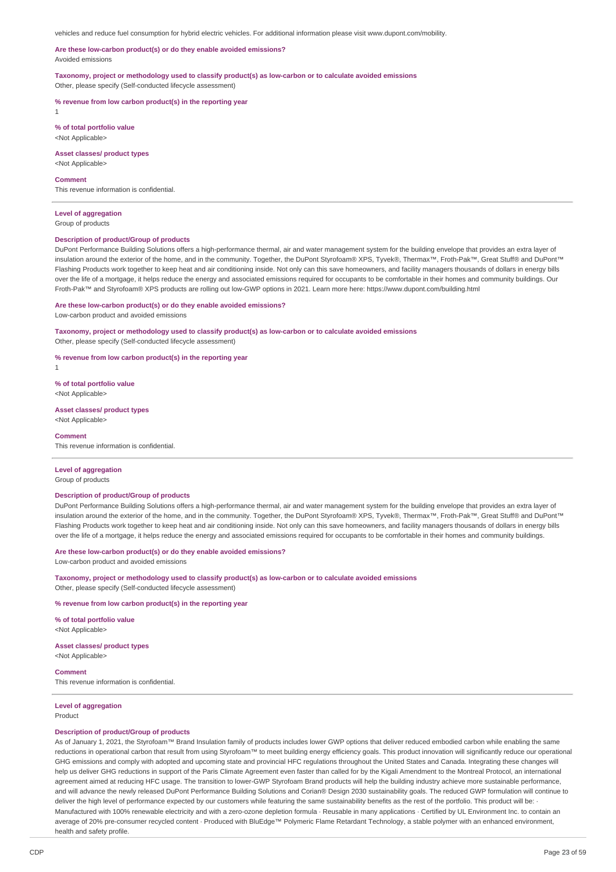vehicles and reduce fuel consumption for hybrid electric vehicles. For additional information please visit www.dupont.com/mobility.

### **Are these low-carbon product(s) or do they enable avoided emissions?** Avoided emissions

**Taxonomy, project or methodology used to classify product(s) as low-carbon or to calculate avoided emissions** Other, please specify (Self-conducted lifecycle assessment)

**% revenue from low carbon product(s) in the reporting year**

1

**% of total portfolio value** <Not Applicable>

**Asset classes/ product types** <Not Applicable>

**Comment**

This revenue information is confidential.

# **Level of aggregation**

Group of products

#### **Description of product/Group of products**

DuPont Performance Building Solutions offers a high-performance thermal, air and water management system for the building envelope that provides an extra layer of insulation around the exterior of the home, and in the community. Together, the DuPont Styrofoam® XPS, Tyvek®, Thermax™, Froth-Pak™, Great Stuff® and DuPont™ Flashing Products work together to keep heat and air conditioning inside. Not only can this save homeowners, and facility managers thousands of dollars in energy bills over the life of a mortgage, it helps reduce the energy and associated emissions required for occupants to be comfortable in their homes and community buildings. Our Froth-Pak™ and Styrofoam® XPS products are rolling out low-GWP options in 2021. Learn more here: https://www.dupont.com/building.html

#### **Are these low-carbon product(s) or do they enable avoided emissions?**

Low-carbon product and avoided emissions

**Taxonomy, project or methodology used to classify product(s) as low-carbon or to calculate avoided emissions** Other, please specify (Self-conducted lifecycle assessment)

**% revenue from low carbon product(s) in the reporting year**

**% of total portfolio value** <Not Applicable>

# **Asset classes/ product types**

<Not Applicable>

## **Comment**

1

This revenue information is confidential.

### **Level of aggregation**

Group of products

### **Description of product/Group of products**

DuPont Performance Building Solutions offers a high-performance thermal, air and water management system for the building envelope that provides an extra layer of insulation around the exterior of the home, and in the community. Together, the DuPont Styrofoam® XPS, Tyvek®, Thermax™, Froth-Pak™, Great Stuff® and DuPont™ Flashing Products work together to keep heat and air conditioning inside. Not only can this save homeowners, and facility managers thousands of dollars in energy bills over the life of a mortgage, it helps reduce the energy and associated emissions required for occupants to be comfortable in their homes and community buildings.

# **Are these low-carbon product(s) or do they enable avoided emissions?**

Low-carbon product and avoided emissions

**Taxonomy, project or methodology used to classify product(s) as low-carbon or to calculate avoided emissions** Other, please specify (Self-conducted lifecycle assessment)

**% revenue from low carbon product(s) in the reporting year**

**% of total portfolio value** <Not Applicable>

## **Asset classes/ product types**

<Not Applicable>

**Comment**

This revenue information is confidential.

#### **Level of aggregation** Product

## **Description of product/Group of products**

As of January 1, 2021, the Styrofoam™ Brand Insulation family of products includes lower GWP options that deliver reduced embodied carbon while enabling the same reductions in operational carbon that result from using Styrofoam™ to meet building energy efficiency goals. This product innovation will significantly reduce our operational GHG emissions and comply with adopted and upcoming state and provincial HFC regulations throughout the United States and Canada. Integrating these changes will help us deliver GHG reductions in support of the Paris Climate Agreement even faster than called for by the Kigali Amendment to the Montreal Protocol, an international agreement aimed at reducing HFC usage. The transition to lower-GWP Styrofoam Brand products will help the building industry achieve more sustainable performance, and will advance the newly released DuPont Performance Building Solutions and Corian® Design 2030 sustainability goals. The reduced GWP formulation will continue to deliver the high level of performance expected by our customers while featuring the same sustainability benefits as the rest of the portfolio. This product will be: Manufactured with 100% renewable electricity and with a zero-ozone depletion formula · Reusable in many applications · Certified by UL Environment Inc. to contain an average of 20% pre-consumer recycled content · Produced with BluEdge™ Polymeric Flame Retardant Technology, a stable polymer with an enhanced environment, health and safety profile.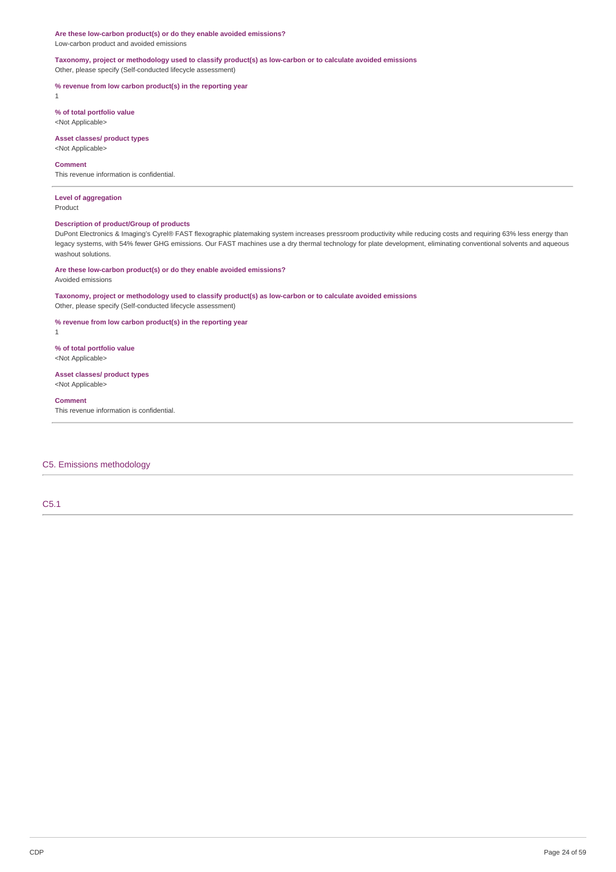**Are these low-carbon product(s) or do they enable avoided emissions?** Low-carbon product and avoided emissions

**Taxonomy, project or methodology used to classify product(s) as low-carbon or to calculate avoided emissions** Other, please specify (Self-conducted lifecycle assessment)

**% revenue from low carbon product(s) in the reporting year** 1

**% of total portfolio value** <Not Applicable>

**Asset classes/ product types**

<Not Applicable>

## **Comment**

This revenue information is confidential.

**Level of aggregation** Product

## **Description of product/Group of products**

DuPont Electronics & Imaging's Cyrel® FAST flexographic platemaking system increases pressroom productivity while reducing costs and requiring 63% less energy than legacy systems, with 54% fewer GHG emissions. Our FAST machines use a dry thermal technology for plate development, eliminating conventional solvents and aqueous washout solutions.

### **Are these low-carbon product(s) or do they enable avoided emissions?**

Avoided emissions

### **Taxonomy, project or methodology used to classify product(s) as low-carbon or to calculate avoided emissions** Other, please specify (Self-conducted lifecycle assessment)

**% revenue from low carbon product(s) in the reporting year**

1

**% of total portfolio value** <Not Applicable>

## **Asset classes/ product types** <Not Applicable>

# **Comment**

This revenue information is confidential.

## C5. Emissions methodology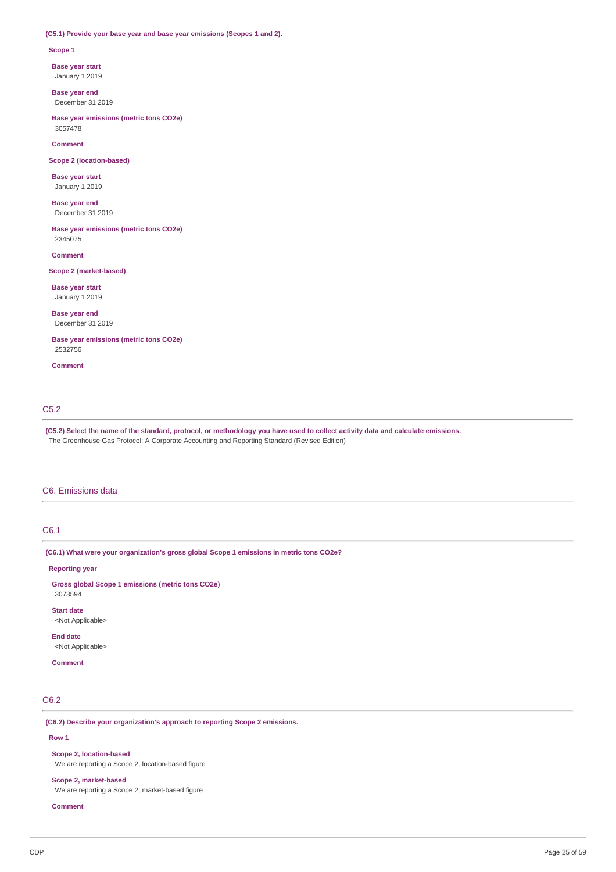## **(C5.1) Provide your base year and base year emissions (Scopes 1 and 2).**

### **Scope 1**

**Base year start**

January 1 2019

**Base year end** December 31 2019

**Base year emissions (metric tons CO2e)** 3057478

### **Comment**

**Scope 2 (location-based)**

**Base year start** January 1 2019

**Base year end** December 31 2019

**Base year emissions (metric tons CO2e)** 2345075

**Comment**

## **Scope 2 (market-based)**

**Base year start** January 1 2019

**Base year end** December 31 2019

**Base year emissions (metric tons CO2e)** 2532756

**Comment**

## C5.2

(C5.2) Select the name of the standard, protocol, or methodology you have used to collect activity data and calculate emissions. The Greenhouse Gas Protocol: A Corporate Accounting and Reporting Standard (Revised Edition)

## C6. Emissions data

# C6.1

**(C6.1) What were your organization's gross global Scope 1 emissions in metric tons CO2e?**

## **Reporting year**

**Gross global Scope 1 emissions (metric tons CO2e)** 3073594

**Start date** <Not Applicable>

**End date**

<Not Applicable>

# **Comment**

# C6.2

**(C6.2) Describe your organization's approach to reporting Scope 2 emissions.**

## **Row 1**

**Scope 2, location-based** We are reporting a Scope 2, location-based figure

**Scope 2, market-based**

We are reporting a Scope 2, market-based figure

**Comment**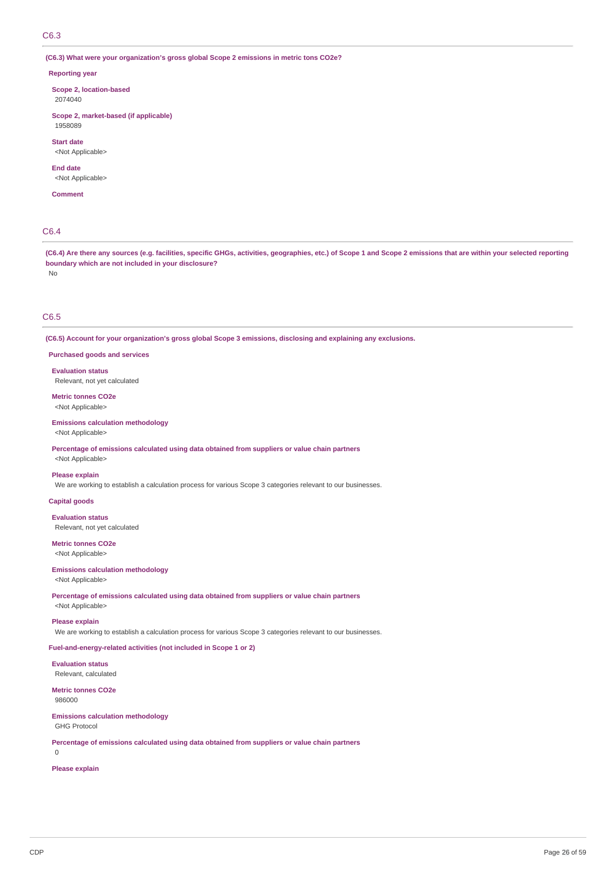**(C6.3) What were your organization's gross global Scope 2 emissions in metric tons CO2e?**

### **Reporting year**

**Scope 2, location-based** 2074040

**Scope 2, market-based (if applicable)** 1958089

**Start date**

<Not Applicable>

# **End date**

<Not Applicable>

**Comment**

# C6.4

(C6.4) Are there any sources (e.g. facilities, specific GHGs, activities, geographies, etc.) of Scope 1 and Scope 2 emissions that are within your selected reporting **boundary which are not included in your disclosure?** No

## C6.5

**(C6.5) Account for your organization's gross global Scope 3 emissions, disclosing and explaining any exclusions.**

**Purchased goods and services**

**Evaluation status** Relevant, not yet calculated

## **Metric tonnes CO2e** <Not Applicable>

**Emissions calculation methodology**

<Not Applicable>

**Percentage of emissions calculated using data obtained from suppliers or value chain partners** <Not Applicable>

# **Please explain**

We are working to establish a calculation process for various Scope 3 categories relevant to our businesses.

**Capital goods**

**Evaluation status**

Relevant, not yet calculated

**Metric tonnes CO2e** <Not Applicable>

### **Emissions calculation methodology**

<Not Applicable>

**Percentage of emissions calculated using data obtained from suppliers or value chain partners** <Not Applicable>

#### **Please explain**

We are working to establish a calculation process for various Scope 3 categories relevant to our businesses.

## **Fuel-and-energy-related activities (not included in Scope 1 or 2)**

**Evaluation status** Relevant, calculated

**Metric tonnes CO2e** 986000

## **Emissions calculation methodology**

GHG Protocol

**Percentage of emissions calculated using data obtained from suppliers or value chain partners**

0

**Please explain**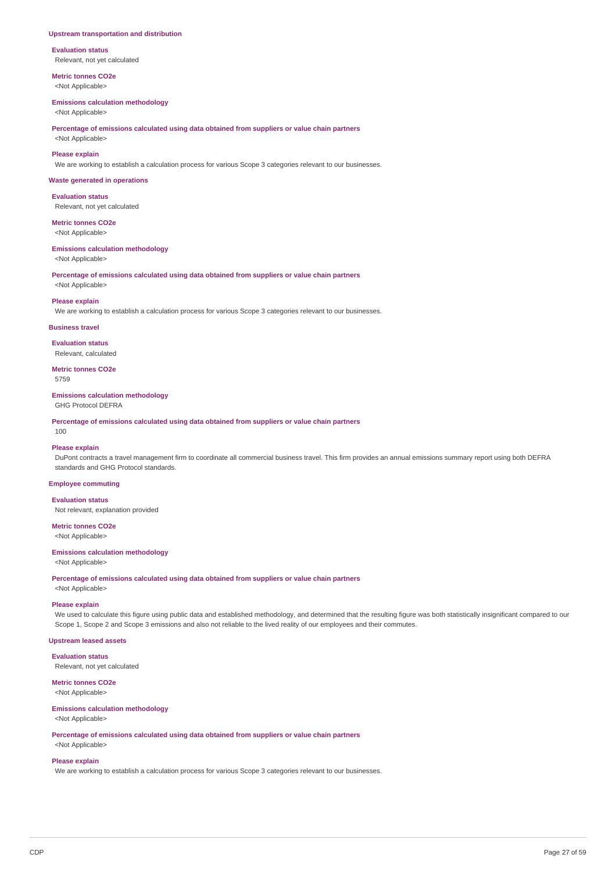### **Upstream transportation and distribution**

**Evaluation status** Relevant, not yet calculated

**Metric tonnes CO2e** <Not Applicable>

### **Emissions calculation methodology**

<Not Applicable>

**Percentage of emissions calculated using data obtained from suppliers or value chain partners**

<Not Applicable>

## **Please explain**

We are working to establish a calculation process for various Scope 3 categories relevant to our businesses.

### **Waste generated in operations**

**Evaluation status** Relevant, not yet calculated

# **Metric tonnes CO2e**

<Not Applicable>

### **Emissions calculation methodology**

<Not Applicable>

**Percentage of emissions calculated using data obtained from suppliers or value chain partners**

# <Not Applicable> **Please explain**

We are working to establish a calculation process for various Scope 3 categories relevant to our businesses.

### **Business travel**

**Evaluation status** Relevant, calculated

**Metric tonnes CO2e** 5759

### **Emissions calculation methodology**

GHG Protocol DEFRA

**Percentage of emissions calculated using data obtained from suppliers or value chain partners**

#### 100

## **Please explain**

DuPont contracts a travel management firm to coordinate all commercial business travel. This firm provides an annual emissions summary report using both DEFRA standards and GHG Protocol standards.

## **Employee commuting**

**Evaluation status** Not relevant, explanation provided

# **Metric tonnes CO2e**

<Not Applicable>

## **Emissions calculation methodology**

<Not Applicable>

**Percentage of emissions calculated using data obtained from suppliers or value chain partners**

<Not Applicable>

## **Please explain**

We used to calculate this figure using public data and established methodology, and determined that the resulting figure was both statistically insignificant compared to our Scope 1, Scope 2 and Scope 3 emissions and also not reliable to the lived reality of our employees and their commutes.

## **Upstream leased assets**

**Evaluation status**

Relevant, not yet calculated

# **Metric tonnes CO2e**

<Not Applicable>

## **Emissions calculation methodology**

# <Not Applicable>

**Percentage of emissions calculated using data obtained from suppliers or value chain partners** <Not Applicable>

# **Please explain**

We are working to establish a calculation process for various Scope 3 categories relevant to our businesses.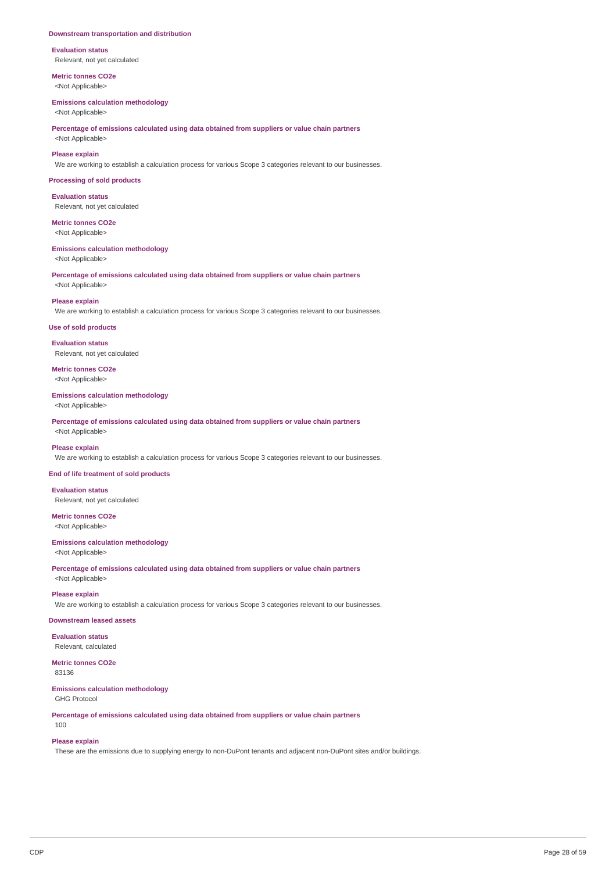### **Downstream transportation and distribution**

**Evaluation status** Relevant, not yet calculated

**Metric tonnes CO2e** <Not Applicable>

### **Emissions calculation methodology**

<Not Applicable>

**Percentage of emissions calculated using data obtained from suppliers or value chain partners** <Not Applicable>

## **Please explain**

We are working to establish a calculation process for various Scope 3 categories relevant to our businesses.

### **Processing of sold products**

**Evaluation status** Relevant, not yet calculated

**Metric tonnes CO2e** <Not Applicable>

# **Emissions calculation methodology**

<Not Applicable>

**Percentage of emissions calculated using data obtained from suppliers or value chain partners** <Not Applicable>

#### **Please explain**

We are working to establish a calculation process for various Scope 3 categories relevant to our businesses.

### **Use of sold products**

**Evaluation status** Relevant, not yet calculated

**Metric tonnes CO2e** <Not Applicable>

### **Emissions calculation methodology**

<Not Applicable>

**Percentage of emissions calculated using data obtained from suppliers or value chain partners** <Not Applicable>

### **Please explain**

We are working to establish a calculation process for various Scope 3 categories relevant to our businesses.

### **End of life treatment of sold products**

**Evaluation status** Relevant, not yet calculated

**Metric tonnes CO2e** <Not Applicable>

# **Emissions calculation methodology**

<Not Applicable>

**Percentage of emissions calculated using data obtained from suppliers or value chain partners** <Not Applicable>

# **Please explain**

We are working to establish a calculation process for various Scope 3 categories relevant to our businesses.

## **Downstream leased assets**

**Evaluation status** Relevant, calculated

## **Metric tonnes CO2e**

83136

100

**Emissions calculation methodology** GHG Protocol

**Percentage of emissions calculated using data obtained from suppliers or value chain partners**

## **Please explain**

These are the emissions due to supplying energy to non-DuPont tenants and adjacent non-DuPont sites and/or buildings.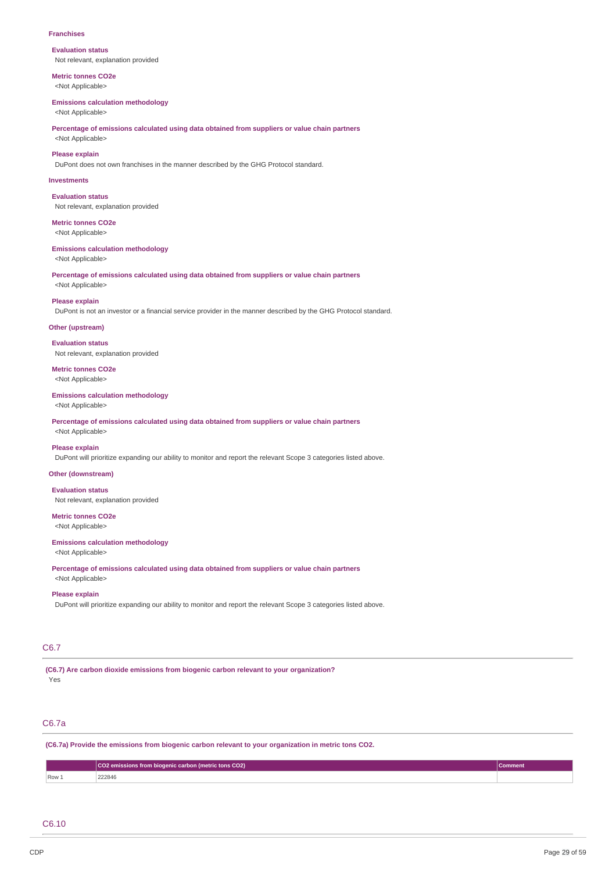#### **Franchises**

**Evaluation status** Not relevant, explanation provided

**Metric tonnes CO2e** <Not Applicable>

#### **Emissions calculation methodology**

<Not Applicable>

**Percentage of emissions calculated using data obtained from suppliers or value chain partners** <Not Applicable>

### **Please explain**

DuPont does not own franchises in the manner described by the GHG Protocol standard.

## **Investments**

**Evaluation status** Not relevant, explanation provided

**Metric tonnes CO2e** <Not Applicable>

## **Emissions calculation methodology**

<Not Applicable>

**Percentage of emissions calculated using data obtained from suppliers or value chain partners** <Not Applicable>

#### **Please explain**

DuPont is not an investor or a financial service provider in the manner described by the GHG Protocol standard.

### **Other (upstream)**

**Evaluation status** Not relevant, explanation provided

**Metric tonnes CO2e** <Not Applicable>

### **Emissions calculation methodology**

<Not Applicable>

**Percentage of emissions calculated using data obtained from suppliers or value chain partners** <Not Applicable>

### **Please explain**

DuPont will prioritize expanding our ability to monitor and report the relevant Scope 3 categories listed above.

## **Other (downstream)**

**Evaluation status**

Not relevant, explanation provided

# **Metric tonnes CO2e**

<Not Applicable>

#### **Emissions calculation methodology**

<Not Applicable>

**Percentage of emissions calculated using data obtained from suppliers or value chain partners** <Not Applicable>

#### **Please explain**

DuPont will prioritize expanding our ability to monitor and report the relevant Scope 3 categories listed above.

## C6.7

**(C6.7) Are carbon dioxide emissions from biogenic carbon relevant to your organization?** Yes

# C6.7a

**(C6.7a) Provide the emissions from biogenic carbon relevant to your organization in metric tons CO2.**

|       | CO2 emissions from biogenic carbon (metric tons CO2)  <br>Comment |  |  |  |
|-------|-------------------------------------------------------------------|--|--|--|
| Row 1 | 222846                                                            |  |  |  |

## C6.10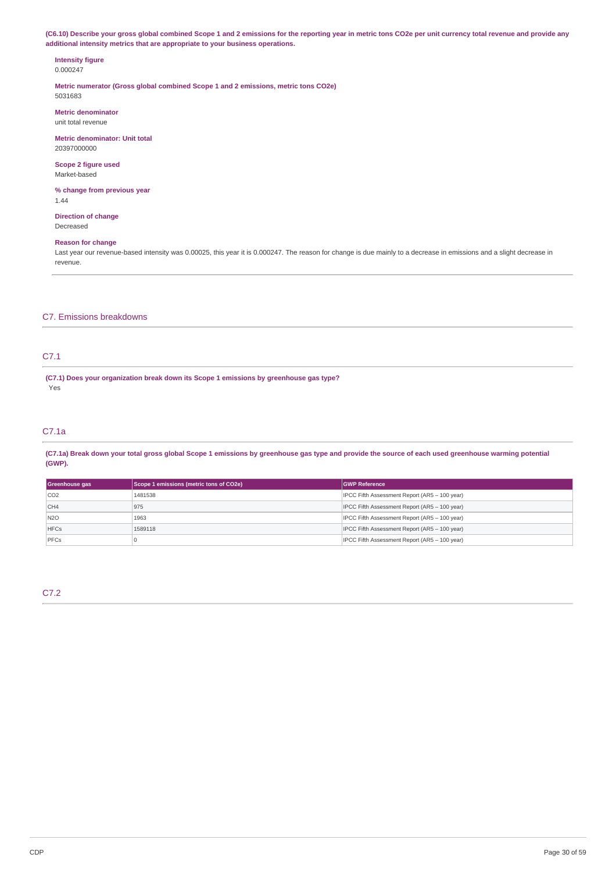(C6.10) Describe your gross global combined Scope 1 and 2 emissions for the reporting year in metric tons CO2e per unit currency total revenue and provide any **additional intensity metrics that are appropriate to your business operations.**

## **Intensity figure** 0.000247

**Metric numerator (Gross global combined Scope 1 and 2 emissions, metric tons CO2e)** 5031683

**Metric denominator** unit total revenue

**Metric denominator: Unit total** 20397000000

**Scope 2 figure used** Market-based

**% change from previous year** 1.44

**Direction of change** Decreased

## **Reason for change**

Last year our revenue-based intensity was 0.00025, this year it is 0.000247. The reason for change is due mainly to a decrease in emissions and a slight decrease in revenue.

# C7. Emissions breakdowns

# C7.1

**(C7.1) Does your organization break down its Scope 1 emissions by greenhouse gas type?** Yes

# C7.1a

(C7.1a) Break down your total gross global Scope 1 emissions by greenhouse gas type and provide the source of each used greenhouse warming potential **(GWP).**

| Greenhouse gas  | Scope 1 emissions (metric tons of CO2e) | <b>GWP Reference</b>                          |
|-----------------|-----------------------------------------|-----------------------------------------------|
| CO <sub>2</sub> | 1481538                                 | IPCC Fifth Assessment Report (AR5 - 100 year) |
| CH4             | 975                                     | IPCC Fifth Assessment Report (AR5 - 100 year) |
| N <sub>20</sub> | 1963                                    | IPCC Fifth Assessment Report (AR5 - 100 year) |
| <b>HFCs</b>     | 1589118                                 | IPCC Fifth Assessment Report (AR5 - 100 year) |
| PFCs            |                                         | IPCC Fifth Assessment Report (AR5 - 100 year) |

C7.2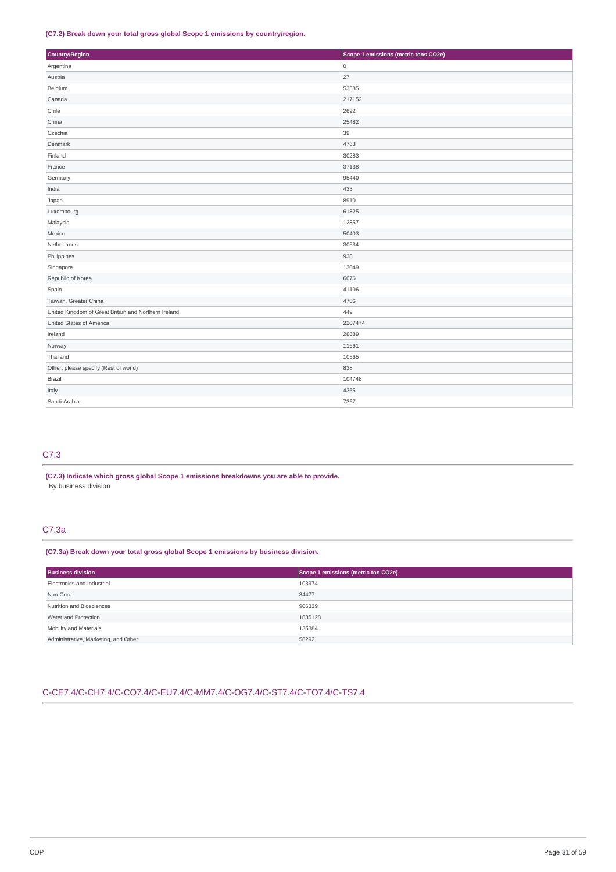## **(C7.2) Break down your total gross global Scope 1 emissions by country/region.**

| Country/Region                                       | Scope 1 emissions (metric tons CO2e) |
|------------------------------------------------------|--------------------------------------|
| Argentina                                            | 0                                    |
| Austria                                              | 27                                   |
| Belgium                                              | 53585                                |
| Canada                                               | 217152                               |
| Chile                                                | 2692                                 |
| China                                                | 25482                                |
| Czechia                                              | 39                                   |
| Denmark                                              | 4763                                 |
| Finland                                              | 30283                                |
| France                                               | 37138                                |
| Germany                                              | 95440                                |
| India                                                | 433                                  |
| Japan                                                | 8910                                 |
| Luxembourg                                           | 61825                                |
| Malaysia                                             | 12857                                |
| Mexico                                               | 50403                                |
| Netherlands                                          | 30534                                |
| Philippines                                          | 938                                  |
| Singapore                                            | 13049                                |
| Republic of Korea                                    | 6076                                 |
| Spain                                                | 41106                                |
| Taiwan, Greater China                                | 4706                                 |
| United Kingdom of Great Britain and Northern Ireland | 449                                  |
| United States of America                             | 2207474                              |
| Ireland                                              | 28689                                |
| Norway                                               | 11661                                |
| Thailand                                             | 10565                                |
| Other, please specify (Rest of world)                | 838                                  |
| Brazil                                               | 104748                               |
| Italy                                                | 4365                                 |
| Saudi Arabia                                         | 7367                                 |

# C7.3

**(C7.3) Indicate which gross global Scope 1 emissions breakdowns you are able to provide.** By business division

# C7.3a

**(C7.3a) Break down your total gross global Scope 1 emissions by business division.**

| <b>Business division</b>             | Scope 1 emissions (metric ton CO2e) |  |
|--------------------------------------|-------------------------------------|--|
| Electronics and Industrial           | 103974                              |  |
| Non-Core                             | 34477                               |  |
| Nutrition and Biosciences            | 906339                              |  |
| Water and Protection                 | 1835128                             |  |
| Mobility and Materials               | 135384                              |  |
| Administrative, Marketing, and Other | 58292                               |  |

# C-CE7.4/C-CH7.4/C-CO7.4/C-EU7.4/C-MM7.4/C-OG7.4/C-ST7.4/C-TO7.4/C-TS7.4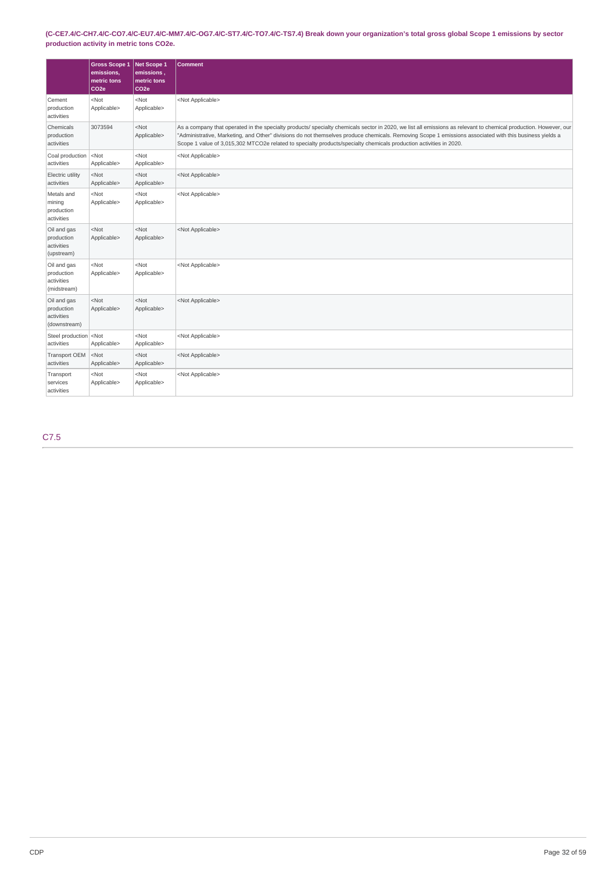# (C-CE7.4/C-CH7.4/C-CO7.4/C-EU7.4/C-MM7.4/C-OG7.4/C-ST7.4/C-TO7.4/C-TS7.4) Break down your organization's total gross global Scope 1 emissions by sector **production activity in metric tons CO2e.**

|                                                         | <b>Gross Scope 1</b><br>emissions,<br>metric tons<br>CO <sub>2e</sub> | Net Scope 1<br>emissions,<br>metric tons<br>CO <sub>2e</sub> | <b>Comment</b>                                                                                                                                                                                                                                                                                                                                                                                                                                    |
|---------------------------------------------------------|-----------------------------------------------------------------------|--------------------------------------------------------------|---------------------------------------------------------------------------------------------------------------------------------------------------------------------------------------------------------------------------------------------------------------------------------------------------------------------------------------------------------------------------------------------------------------------------------------------------|
| Cement<br>production<br>activities                      | $<$ Not<br>Applicable>                                                | $<$ Not<br>Applicable>                                       | <not applicable=""></not>                                                                                                                                                                                                                                                                                                                                                                                                                         |
| Chemicals<br>production<br>activities                   | 3073594                                                               | $<$ Not<br>Applicable>                                       | As a company that operated in the specialty products/ specialty chemicals sector in 2020, we list all emissions as relevant to chemical production. However, our<br>"Administrative, Marketing, and Other" divisions do not themselves produce chemicals. Removing Scope 1 emissions associated with this business yields a<br>Scope 1 value of 3,015,302 MTCO2e related to specialty products/specialty chemicals production activities in 2020. |
| Coal production<br>activities                           | $ \nNot$<br>Applicable>                                               | $<$ Not<br>Applicable>                                       | <not applicable=""></not>                                                                                                                                                                                                                                                                                                                                                                                                                         |
| Electric utility<br>activities                          | $<$ Not<br>Applicable>                                                | $<$ Not<br>Applicable>                                       | <not applicable=""></not>                                                                                                                                                                                                                                                                                                                                                                                                                         |
| Metals and<br>mining<br>production<br>activities        | $<$ Not<br>Applicable>                                                | $<$ Not<br>Applicable>                                       | <not applicable=""></not>                                                                                                                                                                                                                                                                                                                                                                                                                         |
| Oil and gas<br>production<br>activities<br>(upstream)   | $<$ Not<br>Applicable>                                                | $<$ Not<br>Applicable>                                       | <not applicable=""></not>                                                                                                                                                                                                                                                                                                                                                                                                                         |
| Oil and gas<br>production<br>activities<br>(midstream)  | $<$ Not<br>Applicable>                                                | $<$ Not<br>Applicable>                                       | <not applicable=""></not>                                                                                                                                                                                                                                                                                                                                                                                                                         |
| Oil and gas<br>production<br>activities<br>(downstream) | $<$ Not<br>Applicable>                                                | $<$ Not<br>Applicable>                                       | <not applicable=""></not>                                                                                                                                                                                                                                                                                                                                                                                                                         |
| Steel production<br>activities                          | $ \leq N$ ot<br>Applicable>                                           | $<$ Not<br>Applicable>                                       | <not applicable=""></not>                                                                                                                                                                                                                                                                                                                                                                                                                         |
| Transport OEM<br>activities                             | $<$ Not<br>Applicable>                                                | $<$ Not<br>Applicable>                                       | <not applicable=""></not>                                                                                                                                                                                                                                                                                                                                                                                                                         |
| Transport<br>services<br>activities                     | $<$ Not<br>Applicable>                                                | $<$ Not<br>Applicable>                                       | <not applicable=""></not>                                                                                                                                                                                                                                                                                                                                                                                                                         |

C7.5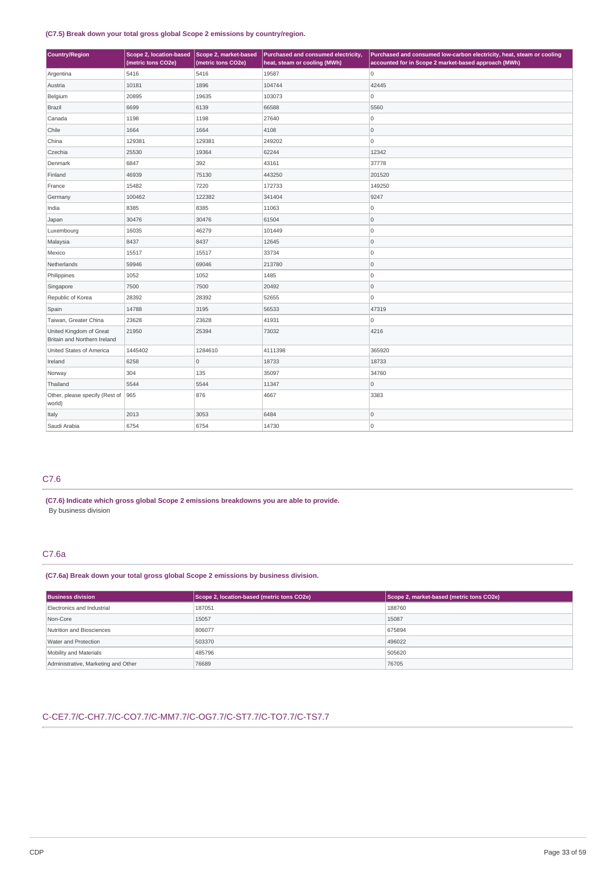## **(C7.5) Break down your total gross global Scope 2 emissions by country/region.**

| <b>Country/Region</b>                                   | Scope 2, location-based<br>(metric tons CO2e) | Scope 2, market-based<br>(metric tons CO2e) | Purchased and consumed electricity,<br>heat, steam or cooling (MWh) | Purchased and consumed low-carbon electricity, heat, steam or cooling<br>accounted for in Scope 2 market-based approach (MWh) |
|---------------------------------------------------------|-----------------------------------------------|---------------------------------------------|---------------------------------------------------------------------|-------------------------------------------------------------------------------------------------------------------------------|
| Argentina                                               | 5416                                          | 5416                                        | 19587                                                               | O                                                                                                                             |
| Austria                                                 | 10181                                         | 1896                                        | 104744                                                              | 42445                                                                                                                         |
| Belgium                                                 | 20895                                         | 19635                                       | 103073                                                              | 0                                                                                                                             |
| <b>Brazil</b>                                           | 6699                                          | 6139                                        | 66588                                                               | 5560                                                                                                                          |
| Canada                                                  | 1198                                          | 1198                                        | 27640                                                               | $\overline{0}$                                                                                                                |
| Chile                                                   | 1664                                          | 1664                                        | 4108                                                                | 0                                                                                                                             |
| China                                                   | 129381                                        | 129381                                      | 249202                                                              | 0                                                                                                                             |
| Czechia                                                 | 25530                                         | 19364                                       | 62244                                                               | 12342                                                                                                                         |
| Denmark                                                 | 6847                                          | 392                                         | 43161                                                               | 37778                                                                                                                         |
| Finland                                                 | 46939                                         | 75130                                       | 443250                                                              | 201520                                                                                                                        |
| France                                                  | 15482                                         | 7220                                        | 172733                                                              | 149250                                                                                                                        |
| Germany                                                 | 100462                                        | 122382                                      | 341404                                                              | 9247                                                                                                                          |
| India                                                   | 8385                                          | 8385                                        | 11063                                                               | 0                                                                                                                             |
| Japan                                                   | 30476                                         | 30476                                       | 61504                                                               | 0                                                                                                                             |
| Luxembourg                                              | 16035                                         | 46279                                       | 101449                                                              | O                                                                                                                             |
| Malaysia                                                | 8437                                          | 8437                                        | 12645                                                               | 0                                                                                                                             |
| Mexico                                                  | 15517                                         | 15517                                       | 33734                                                               | O                                                                                                                             |
| Netherlands                                             | 59946                                         | 69046                                       | 213780                                                              | 0                                                                                                                             |
| Philippines                                             | 1052                                          | 1052                                        | 1485                                                                | $\overline{0}$                                                                                                                |
| Singapore                                               | 7500                                          | 7500                                        | 20492                                                               | 0                                                                                                                             |
| Republic of Korea                                       | 28392                                         | 28392                                       | 52655                                                               | $\overline{0}$                                                                                                                |
| Spain                                                   | 14788                                         | 3195                                        | 56533                                                               | 47319                                                                                                                         |
| Taiwan, Greater China                                   | 23628                                         | 23628                                       | 41931                                                               | 0                                                                                                                             |
| United Kingdom of Great<br>Britain and Northern Ireland | 21950                                         | 25394                                       | 73032                                                               | 4216                                                                                                                          |
| United States of America                                | 1445402                                       | 1284610                                     | 4111398                                                             | 365920                                                                                                                        |
| Ireland                                                 | 6258                                          | $\mathsf{O}\xspace$                         | 18733                                                               | 18733                                                                                                                         |
| Norway                                                  | 304                                           | 135                                         | 35097                                                               | 34760                                                                                                                         |
| Thailand                                                | 5544                                          | 5544                                        | 11347                                                               | $\circ$                                                                                                                       |
| Other, please specify (Rest of<br>world)                | 965                                           | 876                                         | 4667                                                                | 3383                                                                                                                          |
| Italy                                                   | 2013                                          | 3053                                        | 6484                                                                | $\mathsf 0$                                                                                                                   |
| Saudi Arabia                                            | 6754                                          | 6754                                        | 14730                                                               | O                                                                                                                             |

# C7.6

**(C7.6) Indicate which gross global Scope 2 emissions breakdowns you are able to provide.** By business division

# C7.6a

## **(C7.6a) Break down your total gross global Scope 2 emissions by business division.**

| <b>Business division</b>            | Scope 2, location-based (metric tons CO2e) | Scope 2, market-based (metric tons CO2e) |
|-------------------------------------|--------------------------------------------|------------------------------------------|
| Electronics and Industrial          | 187051                                     | 188760                                   |
| Non-Core                            | 15057                                      | 15087                                    |
| Nutrition and Biosciences           | 806077                                     | 675894                                   |
| Water and Protection                | 503370                                     | 496022                                   |
| Mobility and Materials              | 485796                                     | 505620                                   |
| Administrative, Marketing and Other | 76689                                      | 76705                                    |

# C-CE7.7/C-CH7.7/C-CO7.7/C-MM7.7/C-OG7.7/C-ST7.7/C-TO7.7/C-TS7.7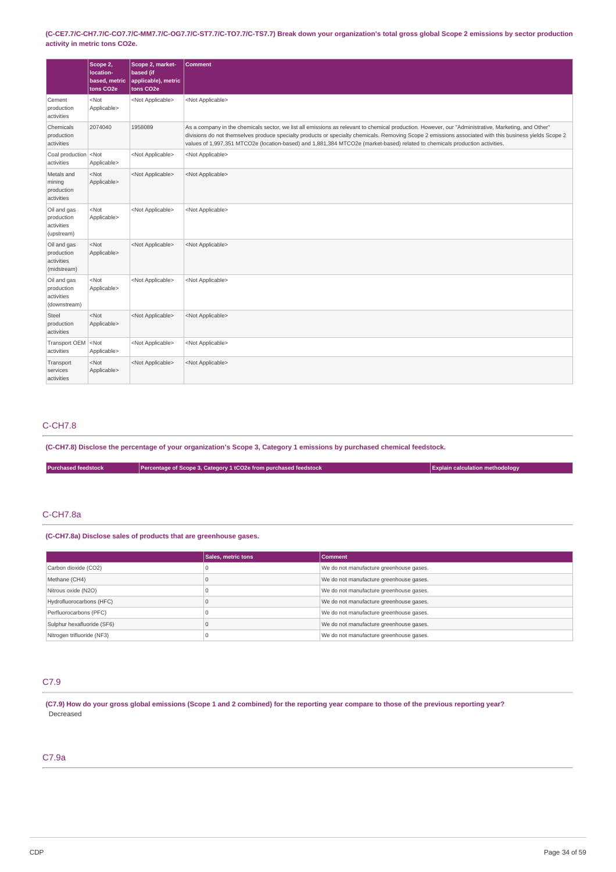(C-CE7.7/C-CH7.7/C-CO7.7/C-MM7.7/C-OG7.7/C-ST7.7/C-TO7.7/C-TS7.7) Break down your organization's total gross global Scope 2 emissions by sector production **activity in metric tons CO2e.**

|                                                         | Scope 2,<br>location-<br>based, metric<br>tons CO <sub>2</sub> e | Scope 2, market-<br>based (if<br>applicable), metric<br>tons CO <sub>2</sub> e | <b>Comment</b>                                                                                                                                                                                                                                                                                                                                                                                                                               |
|---------------------------------------------------------|------------------------------------------------------------------|--------------------------------------------------------------------------------|----------------------------------------------------------------------------------------------------------------------------------------------------------------------------------------------------------------------------------------------------------------------------------------------------------------------------------------------------------------------------------------------------------------------------------------------|
| Cement<br>production<br>activities                      | $<$ Not<br>Applicable>                                           | <not applicable=""></not>                                                      | <not applicable=""></not>                                                                                                                                                                                                                                                                                                                                                                                                                    |
| Chemicals<br>production<br>activities                   | 2074040                                                          | 1958089                                                                        | As a company in the chemicals sector, we list all emissions as relevant to chemical production. However, our "Administrative, Marketing, and Other"<br>divisions do not themselves produce specialty products or specialty chemicals. Removing Scope 2 emissions associated with this business yields Scope 2<br>values of 1,997,351 MTCO2e (location-based) and 1,881,384 MTCO2e (market-based) related to chemicals production activities. |
| Coal production <not<br>activities</not<br>             | Applicable>                                                      | <not applicable=""></not>                                                      | <not applicable=""></not>                                                                                                                                                                                                                                                                                                                                                                                                                    |
| Metals and<br>mining<br>production<br>activities        | $<$ Not<br>Applicable>                                           | <not applicable=""></not>                                                      | <not applicable=""></not>                                                                                                                                                                                                                                                                                                                                                                                                                    |
| Oil and gas<br>production<br>activities<br>(upstream)   | $<$ Not<br>Applicable>                                           | <not applicable=""></not>                                                      | <not applicable=""></not>                                                                                                                                                                                                                                                                                                                                                                                                                    |
| Oil and gas<br>production<br>activities<br>(midstream)  | $<$ Not<br>Applicable>                                           | <not applicable=""></not>                                                      | <not applicable=""></not>                                                                                                                                                                                                                                                                                                                                                                                                                    |
| Oil and gas<br>production<br>activities<br>(downstream) | $<$ Not<br>Applicable>                                           | <not applicable=""></not>                                                      | <not applicable=""></not>                                                                                                                                                                                                                                                                                                                                                                                                                    |
| Steel<br>production<br>activities                       | $<$ Not<br>Applicable>                                           | <not applicable=""></not>                                                      | <not applicable=""></not>                                                                                                                                                                                                                                                                                                                                                                                                                    |
| Transport OEM <not<br>activities</not<br>               | Applicable>                                                      | <not applicable=""></not>                                                      | <not applicable=""></not>                                                                                                                                                                                                                                                                                                                                                                                                                    |
| Transport<br>services<br>activities                     | $<$ Not<br>Applicable>                                           | <not applicable=""></not>                                                      | <not applicable=""></not>                                                                                                                                                                                                                                                                                                                                                                                                                    |

# C-CH7.8

(C-CH7.8) Disclose the percentage of your organization's Scope 3, Category 1 emissions by purchased chemical feedstock.

| <b>Explain calculation methodology</b><br><b>Purchased feedstock</b><br>Percentage of Scope 3, Category 1 tCO2e from purchased feedstock |  |
|------------------------------------------------------------------------------------------------------------------------------------------|--|
|------------------------------------------------------------------------------------------------------------------------------------------|--|

## C-CH7.8a

**(C-CH7.8a) Disclose sales of products that are greenhouse gases.**

|                            | Sales, metric tons | <b>Comment</b>                          |
|----------------------------|--------------------|-----------------------------------------|
| Carbon dioxide (CO2)       |                    | We do not manufacture greenhouse gases. |
| Methane (CH4)              |                    | We do not manufacture greenhouse gases. |
| Nitrous oxide (N2O)        |                    | We do not manufacture greenhouse gases. |
| Hydrofluorocarbons (HFC)   |                    | We do not manufacture greenhouse gases. |
| Perfluorocarbons (PFC)     |                    | We do not manufacture greenhouse gases. |
| Sulphur hexafluoride (SF6) |                    | We do not manufacture greenhouse gases. |
| Nitrogen trifluoride (NF3) |                    | We do not manufacture greenhouse gases. |

# C7.9

(C7.9) How do your gross global emissions (Scope 1 and 2 combined) for the reporting year compare to those of the previous reporting year? Decreased

# C7.9a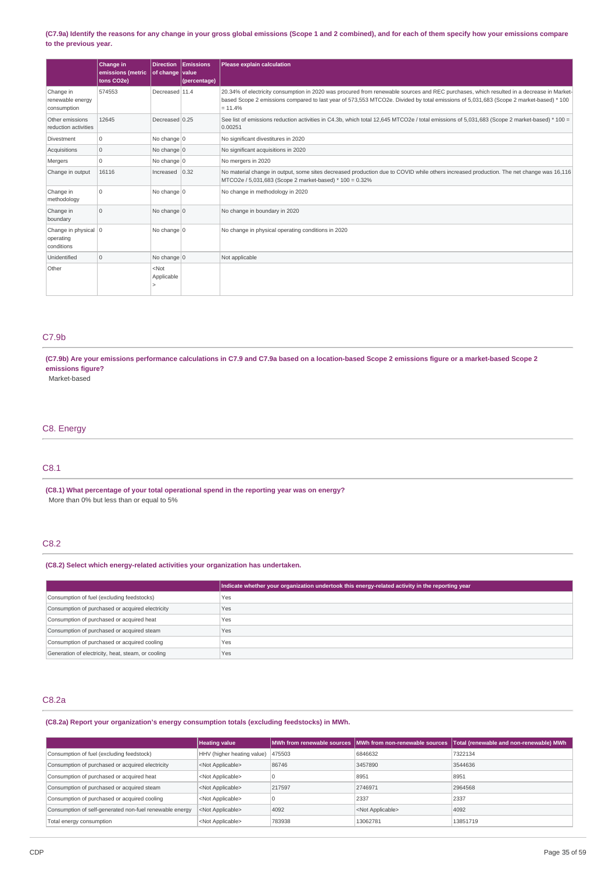## (C7.9a) Identify the reasons for any change in your gross global emissions (Scope 1 and 2 combined), and for each of them specify how your emissions compare **to the previous year.**

|                                                 | Change in<br>emissions (metric<br>tons CO2e) | <b>Direction</b><br>of change | Emissions<br>value<br>(percentage) | Please explain calculation                                                                                                                                                                                                                                                                     |
|-------------------------------------------------|----------------------------------------------|-------------------------------|------------------------------------|------------------------------------------------------------------------------------------------------------------------------------------------------------------------------------------------------------------------------------------------------------------------------------------------|
| Change in<br>renewable energy<br>consumption    | 574553                                       | Decreased 11.4                |                                    | 20.34% of electricity consumption in 2020 was procured from renewable sources and REC purchases, which resulted in a decrease in Market-<br>based Scope 2 emissions compared to last year of 573,553 MTCO2e. Divided by total emissions of 5,031,683 (Scope 2 market-based) * 100<br>$= 11.4%$ |
| Other emissions<br>reduction activities         | 12645                                        | Decreased 0.25                |                                    | See list of emissions reduction activities in C4.3b, which total 12,645 MTCO2e / total emissions of 5,031,683 (Scope 2 market-based) * 100 =<br>0.00251                                                                                                                                        |
| Divestment                                      | 0                                            | No change $ 0$                |                                    | No significant divestitures in 2020                                                                                                                                                                                                                                                            |
| Acquisitions                                    | $\mathbf 0$                                  | No change $ 0$                |                                    | No significant acquisitions in 2020                                                                                                                                                                                                                                                            |
| Mergers                                         | 0                                            | No change 0                   |                                    | No mergers in 2020                                                                                                                                                                                                                                                                             |
| Change in output                                | 16116                                        | Increased 0.32                |                                    | No material change in output, some sites decreased production due to COVID while others increased production. The net change was 16,116<br>MTCO2e / 5,031,683 (Scope 2 market-based) * 100 = 0.32%                                                                                             |
| Change in<br>methodology                        | $\Omega$                                     | No change $ 0$                |                                    | No change in methodology in 2020                                                                                                                                                                                                                                                               |
| Change in<br>boundary                           | $\Omega$                                     | No change $ 0$                |                                    | No change in boundary in 2020                                                                                                                                                                                                                                                                  |
| Change in physical 0<br>operating<br>conditions |                                              | No change $ 0$                |                                    | No change in physical operating conditions in 2020                                                                                                                                                                                                                                             |
| Unidentified                                    | $\mathbf 0$                                  | No change $ 0$                |                                    | Not applicable                                                                                                                                                                                                                                                                                 |
| Other                                           |                                              | $<$ Not<br>Applicable         |                                    |                                                                                                                                                                                                                                                                                                |

# C7.9b

(C7.9b) Are your emissions performance calculations in C7.9 and C7.9a based on a location-based Scope 2 emissions figure or a market-based Scope 2 **emissions figure?**

Market-based

# C8. Energy

## C8.1

**(C8.1) What percentage of your total operational spend in the reporting year was on energy?** More than 0% but less than or equal to 5%

# C8.2

# **(C8.2) Select which energy-related activities your organization has undertaken.**

|                                                    | Indicate whether your organization undertook this energy-related activity in the reporting year |
|----------------------------------------------------|-------------------------------------------------------------------------------------------------|
| Consumption of fuel (excluding feedstocks)         | Yes                                                                                             |
| Consumption of purchased or acquired electricity   | Yes                                                                                             |
| Consumption of purchased or acquired heat          | Yes                                                                                             |
| Consumption of purchased or acquired steam         | <b>Yes</b>                                                                                      |
| Consumption of purchased or acquired cooling       | Yes                                                                                             |
| Generation of electricity, heat, steam, or cooling | Yes                                                                                             |

## C8.2a

**(C8.2a) Report your organization's energy consumption totals (excluding feedstocks) in MWh.**

|                                                         | <b>Heating value</b>                |        | MWh from renewable sources NMWh from non-renewable sources | Total (renewable and non-renewable) MWh |
|---------------------------------------------------------|-------------------------------------|--------|------------------------------------------------------------|-----------------------------------------|
| Consumption of fuel (excluding feedstock)               | HHV (higher heating value)   475503 |        | 6846632                                                    | 7322134                                 |
| Consumption of purchased or acquired electricity        | <not applicable=""></not>           | 86746  | 3457890                                                    | 3544636                                 |
| Consumption of purchased or acquired heat               | <not applicable=""></not>           |        | 8951                                                       | 8951                                    |
| Consumption of purchased or acquired steam              | <not applicable=""></not>           | 217597 | 2746971                                                    | 2964568                                 |
| Consumption of purchased or acquired cooling            | <not applicable=""></not>           |        | 2337                                                       | 2337                                    |
| Consumption of self-generated non-fuel renewable energy | <not applicable=""></not>           | 4092   | <not applicable=""></not>                                  | 4092                                    |
| Total energy consumption                                | <not applicable=""></not>           | 783938 | 13062781                                                   | 13851719                                |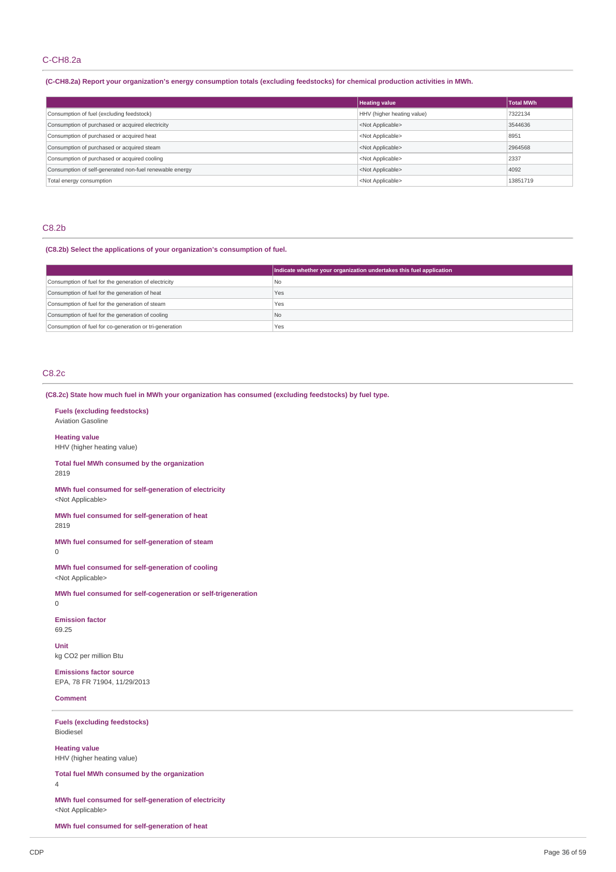## C-CH8.2a

## (C-CH8.2a) Report your organization's energy consumption totals (excluding feedstocks) for chemical production activities in MWh.

|                                                         | <b>Heating value</b>       | <b>Total MWh</b> |
|---------------------------------------------------------|----------------------------|------------------|
| Consumption of fuel (excluding feedstock)               | HHV (higher heating value) | 7322134          |
| Consumption of purchased or acquired electricity        | <not applicable=""></not>  | 3544636          |
| Consumption of purchased or acquired heat               | <not applicable=""></not>  | 8951             |
| Consumption of purchased or acquired steam              | <not applicable=""></not>  | 2964568          |
| Consumption of purchased or acquired cooling            | <not applicable=""></not>  | 2337             |
| Consumption of self-generated non-fuel renewable energy | <not applicable=""></not>  | 4092             |
| Total energy consumption                                | <not applicable=""></not>  | 13851719         |

## C8.2b

### **(C8.2b) Select the applications of your organization's consumption of fuel.**

|                                                         | Indicate whether your organization undertakes this fuel application |
|---------------------------------------------------------|---------------------------------------------------------------------|
| Consumption of fuel for the generation of electricity   | l No                                                                |
| Consumption of fuel for the generation of heat          | Yes                                                                 |
| Consumption of fuel for the generation of steam         | Yes                                                                 |
| Consumption of fuel for the generation of cooling       | l No                                                                |
| Consumption of fuel for co-generation or tri-generation | Yes                                                                 |

# C8.2c

**(C8.2c) State how much fuel in MWh your organization has consumed (excluding feedstocks) by fuel type.**

**Fuels (excluding feedstocks)** Aviation Gasoline

**Heating value** HHV (higher heating value)

**Total fuel MWh consumed by the organization** 2819

**MWh fuel consumed for self-generation of electricity** <Not Applicable>

**MWh fuel consumed for self-generation of heat** 2819

**MWh fuel consumed for self-generation of steam** 0

**MWh fuel consumed for self-generation of cooling** <Not Applicable>

**MWh fuel consumed for self-cogeneration or self-trigeneration**  $\overline{0}$ 

**Emission factor** 69.25

**Unit** kg CO2 per million Btu

**Emissions factor source** EPA, 78 FR 71904, 11/29/2013

**Comment**

**Fuels (excluding feedstocks)** Biodiesel

**Heating value** HHV (higher heating value)

**Total fuel MWh consumed by the organization** 4

**MWh fuel consumed for self-generation of electricity** <Not Applicable>

**MWh fuel consumed for self-generation of heat**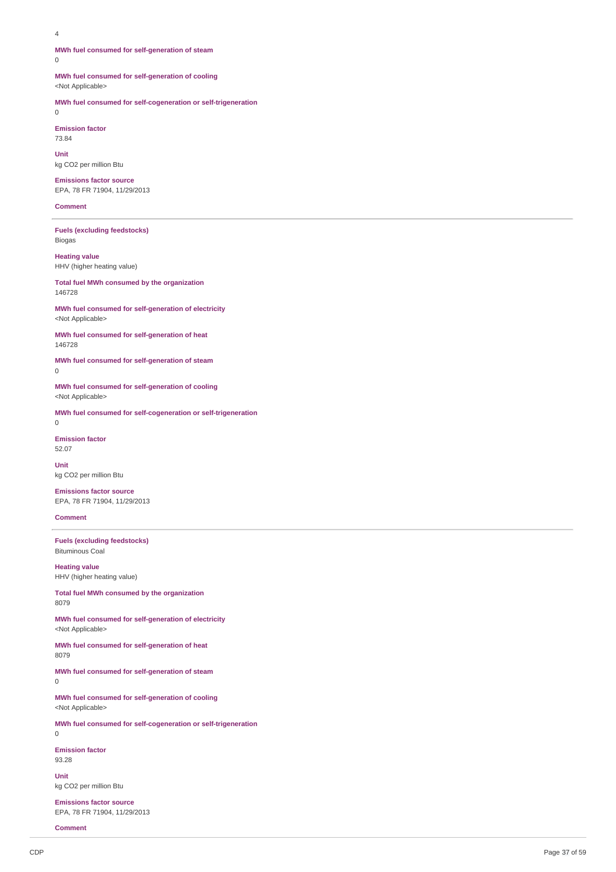#### 4

0

#### **MWh fuel consumed for self-generation of steam**  $\Omega$

**MWh fuel consumed for self-generation of cooling** <Not Applicable>

**MWh fuel consumed for self-cogeneration or self-trigeneration**

**Emission factor** 73.84

**Unit** kg CO2 per million Btu

**Emissions factor source** EPA, 78 FR 71904, 11/29/2013

**Comment**

**Fuels (excluding feedstocks)** Biogas

**Heating value** HHV (higher heating value)

**Total fuel MWh consumed by the organization** 146728

**MWh fuel consumed for self-generation of electricity** <Not Applicable>

**MWh fuel consumed for self-generation of heat** 146728

**MWh fuel consumed for self-generation of steam** 0

**MWh fuel consumed for self-generation of cooling** <Not Applicable>

**MWh fuel consumed for self-cogeneration or self-trigeneration**  $\Omega$ 

**Emission factor** 52.07

**Unit** kg CO2 per million Btu

**Emissions factor source** EPA, 78 FR 71904, 11/29/2013

# **Comment**

**Fuels (excluding feedstocks)** Bituminous Coal

**Heating value** HHV (higher heating value)

**Total fuel MWh consumed by the organization** 8079

**MWh fuel consumed for self-generation of electricity** <Not Applicable>

**MWh fuel consumed for self-generation of heat** 8079

**MWh fuel consumed for self-generation of steam**

**MWh fuel consumed for self-generation of cooling** <Not Applicable>

**MWh fuel consumed for self-cogeneration or self-trigeneration**  $\Omega$ 

**Emission factor** 93.28

 $\theta$ 

**Unit** kg CO2 per million Btu

**Emissions factor source** EPA, 78 FR 71904, 11/29/2013

**Comment**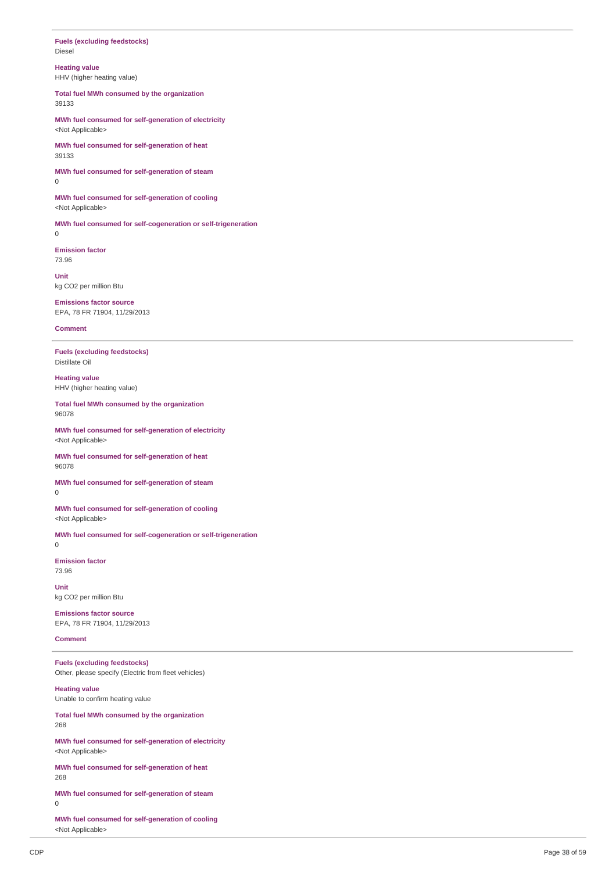### **Fuels** (excluding feedstocks) Diesel

**Heatin g v alu e**

HHV (higher heating value)

Total fuel MWh consumed by the organization 3 9 1 3 3

MWh fuel consumed for self-generation of electricity <Not Applicable>

MWh fuel consumed for self-generation of heat 3 9 1 3 3

MWh fuel consumed for self-generation of steam  $\Omega$ 

MWh fuel consumed for self-generation of cooling <Not Applicable>

MWh fuel consumed for self-cogeneration or self-trigeneration 0

**Emission factor** 7 3.9 6

**U nit** kg CO2 per million Btu

**Emissions factor source** EPA, 78 FR 71904, 11/29/2013

### **Comment**

**Fuels** (excluding feedstocks) Distillate Oil

**Heating valu e** HHV (higher heating value)

Total fuel MWh consumed by the organization 9 6 0 7 8

MWh fuel consumed for self-generation of electricity <Not Applicable>

MWh fuel consumed for self-generation of heat 9 6 0 7 8

MWh fuel consumed for self-generation of steam 0

MWh fuel consumed for self-generation of cooling <Not Applicable>

MWh fuel consumed for self-cogeneration or self-trigeneration  $\Omega$ 

**Emission factor** 7 3.9 6

**U nit** kg CO2 per million Btu

**Emissions factor source** EPA, 78 FR 71904, 11/29/2013

### **Comment**

**Fuels** (excluding feedstocks) Other, please specify (Electric from fleet vehicles) **Heating value** Unable to confirm heating value Total fuel MWh consumed by the organization 2 6 8 MWh fuel consumed for self-generation of electricity <Not Applicable> MWh fuel consumed for self-generation of heat 2 6 8 MWh fuel consumed for self-generation of steam

MWh fuel consumed for self-generation of cooling <Not Applicable>

 $\Omega$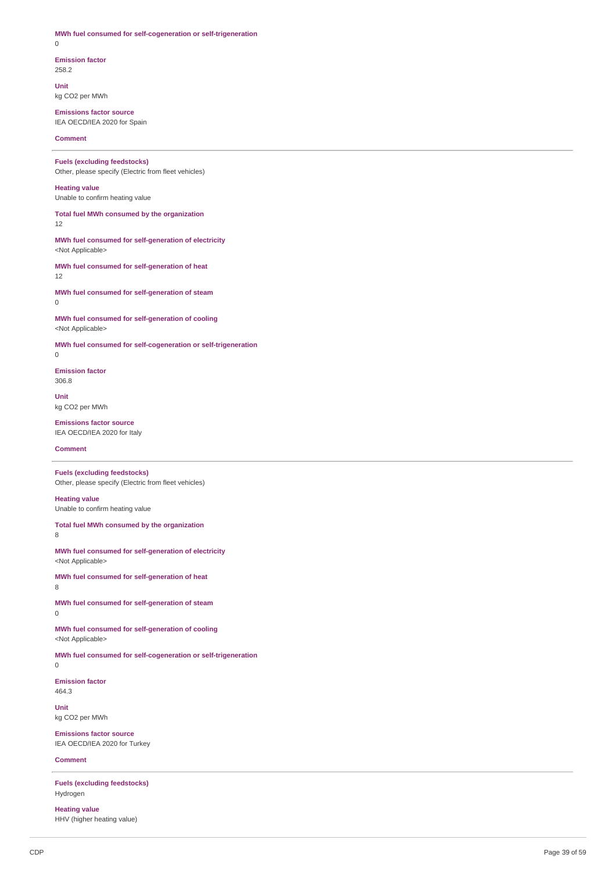### **MWh fuel consumed for self-cogeneration or self-trigeneration** 0

**Emission factor** 258.2

**Unit** kg CO2 per MWh

**Emissions factor source** IEA OECD/IEA 2020 for Spain

**Comment**

# **Fuels (excluding feedstocks)**

Other, please specify (Electric from fleet vehicles)

### **Heating value** Unable to confirm heating value

**Total fuel MWh consumed by the organization**

12

### **MWh fuel consumed for self-generation of electricity** <Not Applicable>

**MWh fuel consumed for self-generation of heat** 12

**MWh fuel consumed for self-generation of steam** 0

**MWh fuel consumed for self-generation of cooling** <Not Applicable>

**MWh fuel consumed for self-cogeneration or self-trigeneration**

0 **Emission factor**

306.8

**Unit** kg CO2 per MWh

**Emissions factor source** IEA OECD/IEA 2020 for Italy

### **Comment**

**Fuels (excluding feedstocks)** Other, please specify (Electric from fleet vehicles)

# **Heating value**

Unable to confirm heating value

## **Total fuel MWh consumed by the organization**

8

**MWh fuel consumed for self-generation of electricity** <Not Applicable>

**MWh fuel consumed for self-generation of heat**

# 8

**MWh fuel consumed for self-generation of steam** 0

**MWh fuel consumed for self-generation of cooling** <Not Applicable>

**MWh fuel consumed for self-cogeneration or self-trigeneration** 0

**Emission factor**

464.3

**Unit** kg CO2 per MWh

**Emissions factor source** IEA OECD/IEA 2020 for Turkey

### **Comment**

**Fuels (excluding feedstocks)** Hydrogen

**Heating value** HHV (higher heating value)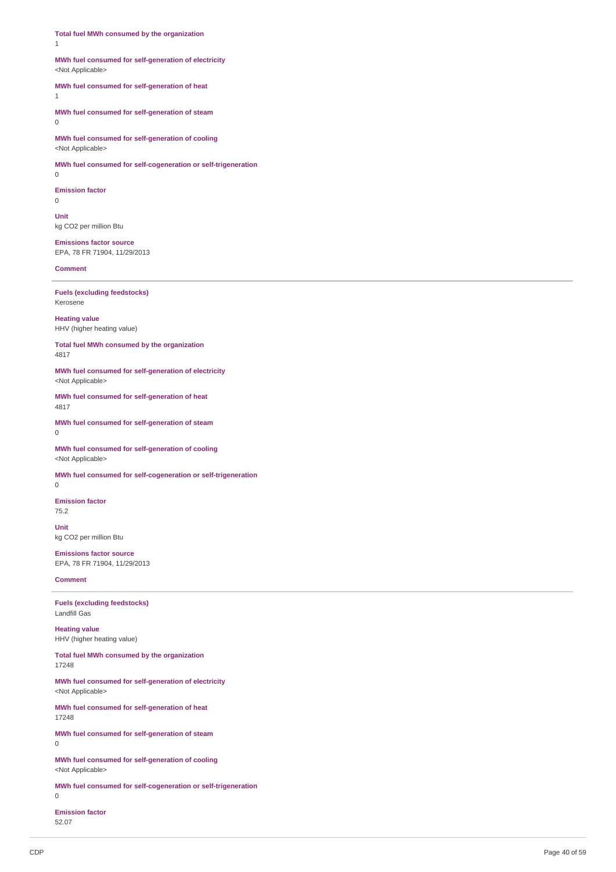**Total fuel MWh consumed by the organization** 1

## **MWh fuel consumed for self-generation of electricity** <Not Applicable>

## **MWh fuel consumed for self-generation of heat**

1

**MWh fuel consumed for self-generation of steam** 0

**MWh fuel consumed for self-generation of cooling** <Not Applicable>

**MWh fuel consumed for self-cogeneration or self-trigeneration**

0

### **Emission factor** 0

**Unit** kg CO2 per million Btu

**Emissions factor source** EPA, 78 FR 71904, 11/29/2013

## **Comment**

**Fuels (excluding feedstocks)** Kerosene

**Heating value** HHV (higher heating value)

**Total fuel MWh consumed by the organization** 4817

**MWh fuel consumed for self-generation of electricity** <Not Applicable>

**MWh fuel consumed for self-generation of heat** 4817

**MWh fuel consumed for self-generation of steam** 0

**MWh fuel consumed for self-generation of cooling** <Not Applicable>

**MWh fuel consumed for self-cogeneration or self-trigeneration**

0

**Emission factor**

75.2

**Unit** kg CO2 per million Btu

**Emissions factor source** EPA, 78 FR 71904, 11/29/2013

### **Comment**

**Fuels (excluding feedstocks)** Landfill Gas

**Heating value** HHV (higher heating value)

**Total fuel MWh consumed by the organization** 17248

**MWh fuel consumed for self-generation of electricity** <Not Applicable>

**MWh fuel consumed for self-generation of heat** 17248

**MWh fuel consumed for self-generation of steam** 0

**MWh fuel consumed for self-generation of cooling** <Not Applicable>

**MWh fuel consumed for self-cogeneration or self-trigeneration**

 $\Omega$ 

**Emission factor** 52.07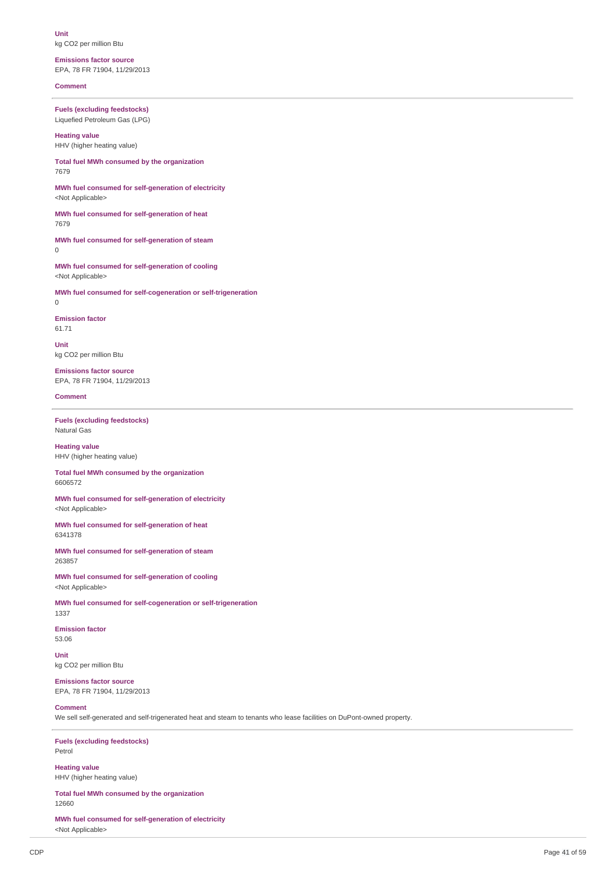**Unit** kg CO2 per million Btu

**Emissions factor source** EPA, 78 FR 71904, 11/29/2013

**Comment**

**Fuels (excluding feedstocks)** Liquefied Petroleum Gas (LPG)

**Heating value** HHV (higher heating value)

**Total fuel MWh consumed by the organization** 7679

**MWh fuel consumed for self-generation of electricity** <Not Applicable>

**MWh fuel consumed for self-generation of heat** 7679

**MWh fuel consumed for self-generation of steam**  $\Omega$ 

**MWh fuel consumed for self-generation of cooling** <Not Applicable>

**MWh fuel consumed for self-cogeneration or self-trigeneration** 0

**Emission factor** 61.71

**Unit** kg CO2 per million Btu

**Emissions factor source** EPA, 78 FR 71904, 11/29/2013

**Comment**

**Fuels (excluding feedstocks)** Natural Gas

**Heating value** HHV (higher heating value)

**Total fuel MWh consumed by the organization** 6606572

**MWh fuel consumed for self-generation of electricity** <Not Applicable>

**MWh fuel consumed for self-generation of heat** 6341378

**MWh fuel consumed for self-generation of steam** 263857

**MWh fuel consumed for self-generation of cooling** <Not Applicable>

**MWh fuel consumed for self-cogeneration or self-trigeneration** 1337

**Emission factor** 53.06

**Unit** kg CO2 per million Btu

**Emissions factor source** EPA, 78 FR 71904, 11/29/2013

## **Comment**

We sell self-generated and self-trigenerated heat and steam to tenants who lease facilities on DuPont-owned property.

**Fuels (excluding feedstocks)** Petrol

**Heating value** HHV (higher heating value)

**Total fuel MWh consumed by the organization** 12660

**MWh fuel consumed for self-generation of electricity** <Not Applicable>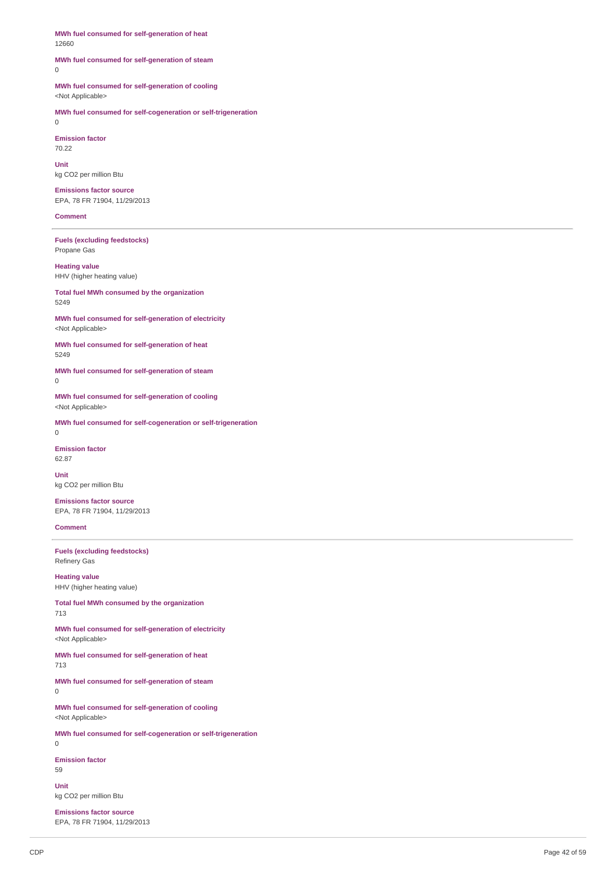**MWh fuel consumed for self-generation of heat** 12660

### **MWh fuel consumed for self-generation of steam** 0

**MWh fuel consumed for self-generation of cooling** <Not Applicable>

**MWh fuel consumed for self-cogeneration or self-trigeneration** 0

**Emission factor** 70.22

**Unit** kg CO2 per million Btu

**Emissions factor source** EPA, 78 FR 71904, 11/29/2013

### **Comment**

**Fuels (excluding feedstocks)** Propane Gas

**Heating value** HHV (higher heating value)

**Total fuel MWh consumed by the organization** 5249

**MWh fuel consumed for self-generation of electricity** <Not Applicable>

**MWh fuel consumed for self-generation of heat** 5249

**MWh fuel consumed for self-generation of steam** 0

**MWh fuel consumed for self-generation of cooling** <Not Applicable>

**MWh fuel consumed for self-cogeneration or self-trigeneration** 0

**Emission factor**

62.87

**Unit** kg CO2 per million Btu

**Emissions factor source** EPA, 78 FR 71904, 11/29/2013

**Comment**

**Fuels (excluding feedstocks)** Refinery Gas

**Heating value** HHV (higher heating value)

**Total fuel MWh consumed by the organization** 713

**MWh fuel consumed for self-generation of electricity** <Not Applicable>

**MWh fuel consumed for self-generation of heat** 713

**MWh fuel consumed for self-generation of steam** 0

**MWh fuel consumed for self-generation of cooling** <Not Applicable>

**MWh fuel consumed for self-cogeneration or self-trigeneration** 0

**Emission factor** 59

**Unit** kg CO2 per million Btu

**Emissions factor source** EPA, 78 FR 71904, 11/29/2013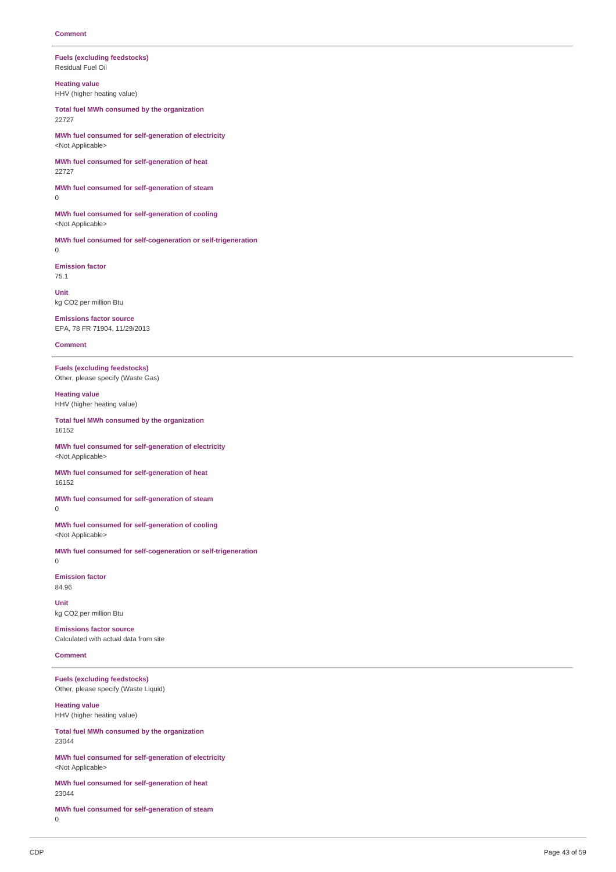### **Fuels (excluding feedstocks)** Residual Fuel Oil

**Heating value**

HHV (higher heating value)

**Total fuel MWh consumed by the organization** 22727

**MWh fuel consumed for self-generation of electricity** <Not Applicable>

**MWh fuel consumed for self-generation of heat** 22727

**MWh fuel consumed for self-generation of steam**  $\overline{0}$ 

**MWh fuel consumed for self-generation of cooling** <Not Applicable>

**MWh fuel consumed for self-cogeneration or self-trigeneration**  $\Omega$ 

**Emission factor** 75.1

**Unit** kg CO2 per million Btu

**Emissions factor source** EPA, 78 FR 71904, 11/29/2013

**Comment**

**Fuels (excluding feedstocks)** Other, please specify (Waste Gas)

**Heating value** HHV (higher heating value)

**Total fuel MWh consumed by the organization** 16152

**MWh fuel consumed for self-generation of electricity** <Not Applicable>

**MWh fuel consumed for self-generation of heat** 16152

**MWh fuel consumed for self-generation of steam** 0

**MWh fuel consumed for self-generation of cooling** <Not Applicable>

**MWh fuel consumed for self-cogeneration or self-trigeneration** 0

**Emission factor** 84.96

**Unit** kg CO2 per million Btu

**Emissions factor source** Calculated with actual data from site

**Comment**

**Fuels (excluding feedstocks)** Other, please specify (Waste Liquid)

**Heating value** HHV (higher heating value)

**Total fuel MWh consumed by the organization** 23044

**MWh fuel consumed for self-generation of electricity** <Not Applicable>

**MWh fuel consumed for self-generation of heat** 23044

**MWh fuel consumed for self-generation of steam** 0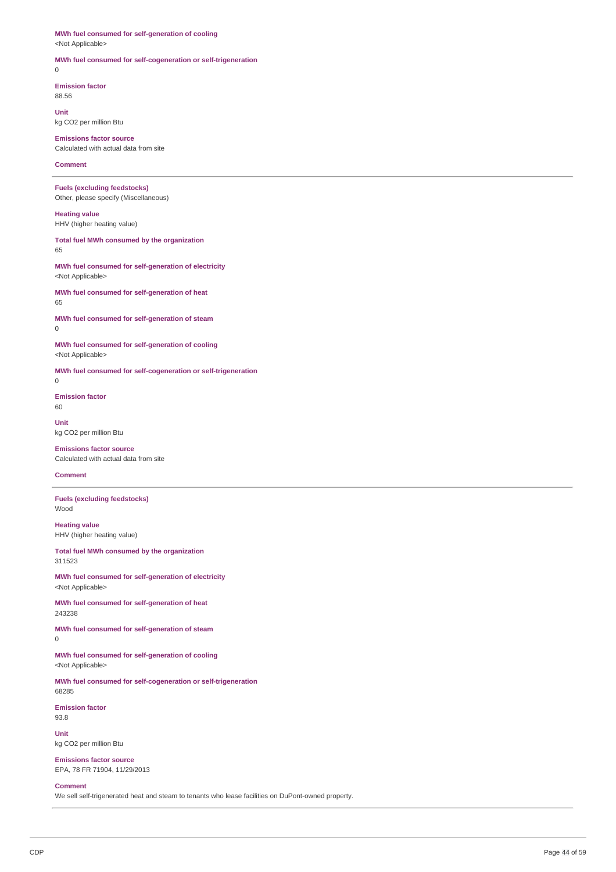# **MWh fuel consumed for self-generation of cooling**

<Not Applicable>

## **MWh fuel consumed for self-cogeneration or self-trigeneration**

 $\theta$ 

**Emission factor**

88.56

**Unit** kg CO2 per million Btu

**Emissions factor source** Calculated with actual data from site

## **Comment**

**Fuels (excluding feedstocks)** Other, please specify (Miscellaneous)

**Heating value** HHV (higher heating value)

**Total fuel MWh consumed by the organization** 65

**MWh fuel consumed for self-generation of electricity** <Not Applicable>

**MWh fuel consumed for self-generation of heat** 65

**MWh fuel consumed for self-generation of steam** 0

**MWh fuel consumed for self-generation of cooling** <Not Applicable>

**MWh fuel consumed for self-cogeneration or self-trigeneration** 0

**Emission factor** 60

**Unit** kg CO2 per million Btu

**Emissions factor source** Calculated with actual data from site

# **Comment**

**Fuels (excluding feedstocks)** Wood

**Heating value** HHV (higher heating value)

**Total fuel MWh consumed by the organization** 311523

**MWh fuel consumed for self-generation of electricity** <Not Applicable>

**MWh fuel consumed for self-generation of heat** 243238

**MWh fuel consumed for self-generation of steam**  $\overline{0}$ 

**MWh fuel consumed for self-generation of cooling** <Not Applicable>

**MWh fuel consumed for self-cogeneration or self-trigeneration** 68285

**Emission factor** 93.8

**Unit** kg CO2 per million Btu

**Emissions factor source** EPA, 78 FR 71904, 11/29/2013

### **Comment**

We sell self-trigenerated heat and steam to tenants who lease facilities on DuPont-owned property.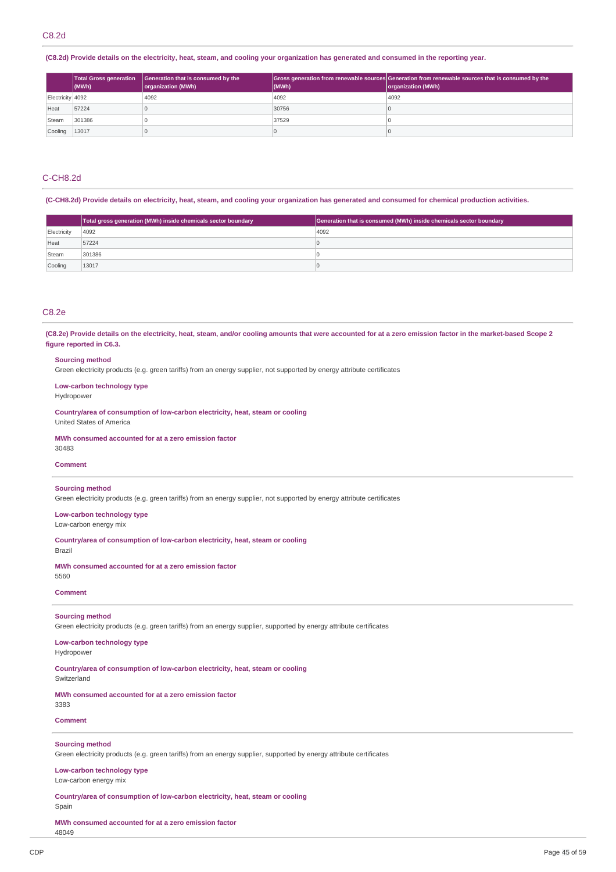(C8.2d) Provide details on the electricity, heat, steam, and cooling your organization has generated and consumed in the reporting year.

|                  | <b>Total Gross generation</b><br>$ $ (MWh) | Generation that is consumed by the<br>organization (MWh) | (MWh) | Gross generation from renewable sources Generation from renewable sources that is consumed by the<br>organization (MWh) |
|------------------|--------------------------------------------|----------------------------------------------------------|-------|-------------------------------------------------------------------------------------------------------------------------|
| Electricity 4092 |                                            | 4092                                                     | 4092  | 4092                                                                                                                    |
| Heat             | 57224                                      |                                                          | 30756 |                                                                                                                         |
| Steam            | 301386                                     |                                                          | 37529 |                                                                                                                         |
| Cooling          | 13017                                      |                                                          |       |                                                                                                                         |

# C-CH8.2d

(C-CH8.2d) Provide details on electricity, heat, steam, and cooling your organization has generated and consumed for chemical production activities.

|             | Total gross generation (MWh) inside chemicals sector boundary | Generation that is consumed (MWh) inside chemicals sector boundary |
|-------------|---------------------------------------------------------------|--------------------------------------------------------------------|
| Electricity | 4092                                                          | 4092                                                               |
| Heat        | 57224                                                         |                                                                    |
| Steam       | 301386                                                        |                                                                    |
| Cooling     | 13017                                                         |                                                                    |

# C8.2e

(C8.2e) Provide details on the electricity, heat, steam, and/or cooling amounts that were accounted for at a zero emission factor in the market-based Scope 2 **figure reported in C6.3.**

### **Sourcing method**

Green electricity products (e.g. green tariffs) from an energy supplier, not supported by energy attribute certificates

**Low-carbon technology type**

Hydropower

**Country/area of consumption of low-carbon electricity, heat, steam or cooling** United States of America

### **MWh consumed accounted for at a zero emission factor**

30483

## **Comment**

### **Sourcing method**

Green electricity products (e.g. green tariffs) from an energy supplier, not supported by energy attribute certificates

### **Low-carbon technology type** Low-carbon energy mix

**Country/area of consumption of low-carbon electricity, heat, steam or cooling**

Brazil

**MWh consumed accounted for at a zero emission factor**

# 5560

**Comment**

## **Sourcing method**

Green electricity products (e.g. green tariffs) from an energy supplier, supported by energy attribute certificates

## **Low-carbon technology type**

Hydropower

**Country/area of consumption of low-carbon electricity, heat, steam or cooling Switzerland** 

**MWh consumed accounted for at a zero emission factor**

# **Comment**

3383

## **Sourcing method**

Green electricity products (e.g. green tariffs) from an energy supplier, supported by energy attribute certificates

# **Low-carbon technology type**

Low-carbon energy mix

**Country/area of consumption of low-carbon electricity, heat, steam or cooling** Spain

**MWh consumed accounted for at a zero emission factor** 48049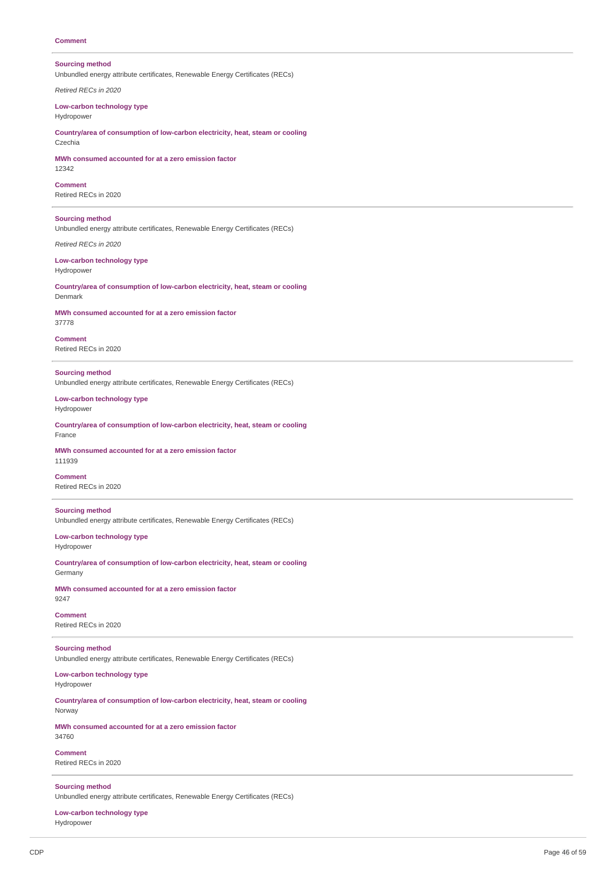## **Comment**

## **Sourcing method**

Unbundled energy attribute certificates, Renewable Energy Certificates (RECs)

*Retired RECs in 2020*

**Low-carbon technology type** Hydropower

**Country/area of consumption of low-carbon electricity, heat, steam or cooling** Czechia

**MWh consumed accounted for at a zero emission factor** 12342

**Comment**

Retired RECs in 2020

**Sourcing method**

Unbundled energy attribute certificates, Renewable Energy Certificates (RECs)

*Retired RECs in 2020*

#### **Low-carbon technology type** Hydropower

**Country/area of consumption of low-carbon electricity, heat, steam or cooling** Denmark

**MWh consumed accounted for at a zero emission factor** 37778

**Comment** Retired RECs in 2020

**Sourcing method** Unbundled energy attribute certificates, Renewable Energy Certificates (RECs)

**Low-carbon technology type** Hydropower

**Country/area of consumption of low-carbon electricity, heat, steam or cooling** France

**MWh consumed accounted for at a zero emission factor** 111939

**Comment** Retired RECs in 2020

### **Sourcing method**

Unbundled energy attribute certificates, Renewable Energy Certificates (RECs)

**Low-carbon technology type** Hydropower

**Country/area of consumption of low-carbon electricity, heat, steam or cooling** Germany

**MWh consumed accounted for at a zero emission factor** 9247

**Comment** Retired RECs in 2020

**Sourcing method** Unbundled energy attribute certificates, Renewable Energy Certificates (RECs)

**Low-carbon technology type** Hydropower

**Country/area of consumption of low-carbon electricity, heat, steam or cooling** Norway

**MWh consumed accounted for at a zero emission factor** 34760

**Comment** Retired RECs in 2020

**Sourcing method**

Unbundled energy attribute certificates, Renewable Energy Certificates (RECs)

**Low-carbon technology type** Hydropower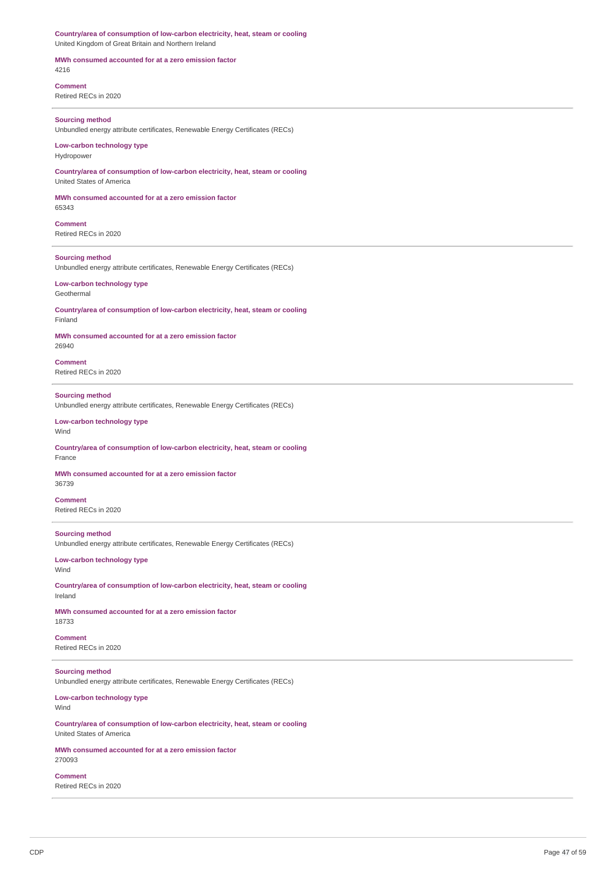**Country/area of consumption of low-carbon electricity, heat, steam or cooling** United Kingdom of Great Britain and Northern Ireland

**MWh consumed accounted for at a zero emission factor** 4216

**Comment** Retired RECs in 2020

## **Sourcing method**

Unbundled energy attribute certificates, Renewable Energy Certificates (RECs)

## **Low-carbon technology type** Hydropower

**Country/area of consumption of low-carbon electricity, heat, steam or cooling** United States of America

**MWh consumed accounted for at a zero emission factor** 65343

**Comment** Retired RECs in 2020

### **Sourcing method**

Unbundled energy attribute certificates, Renewable Energy Certificates (RECs)

#### **Low-carbon technology type** Geothermal

**Country/area of consumption of low-carbon electricity, heat, steam or cooling** Finland

# **MWh consumed accounted for at a zero emission factor**

26940

**Comment** Retired RECs in 2020

### **Sourcing method** Unbundled energy attribute certificates, Renewable Energy Certificates (RECs)

### **Low-carbon technology type** Wind

### **Country/area of consumption of low-carbon electricity, heat, steam or cooling** France

**MWh consumed accounted for at a zero emission factor** 36739

### **Comment** Retired RECs in 2020

## **Sourcing method**

Unbundled energy attribute certificates, Renewable Energy Certificates (RECs)

## **Low-carbon technology type** Wind

**Country/area of consumption of low-carbon electricity, heat, steam or cooling** Ireland

### **MWh consumed accounted for at a zero emission factor** 18733

**Comment**

Retired RECs in 2020

# **Sourcing method**

Unbundled energy attribute certificates, Renewable Energy Certificates (RECs)

**Low-carbon technology type** Wind

**Country/area of consumption of low-carbon electricity, heat, steam or cooling** United States of America

### **MWh consumed accounted for at a zero emission factor** 270093

**Comment** Retired RECs in 2020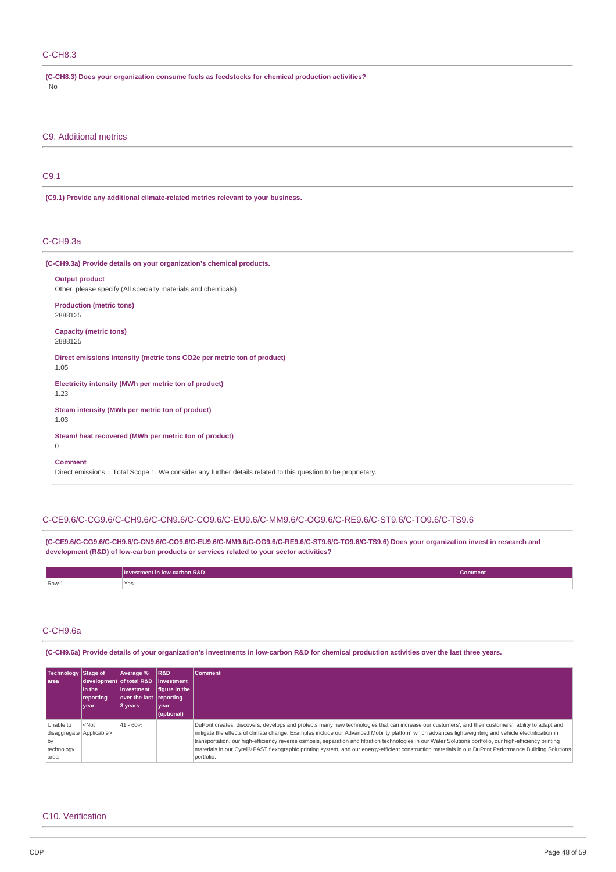## C-CH8.3

| (C-CH8.3) Does your organization consume fuels as feedstocks for chemical production activities? |  |
|--------------------------------------------------------------------------------------------------|--|
| No.                                                                                              |  |

C9. Additional metrics

# C9.1

**(C9.1) Provide any additional climate-related metrics relevant to your business.**

## C-CH9.3a

| (C-CH9.3a) Provide details on your organization's chemical products.                   |
|----------------------------------------------------------------------------------------|
| <b>Output product</b><br>Other, please specify (All specialty materials and chemicals) |
| <b>Production (metric tons)</b><br>2888125                                             |
| <b>Capacity (metric tons)</b><br>2888125                                               |
| Direct emissions intensity (metric tons CO2e per metric ton of product)<br>1.05        |
| Electricity intensity (MWh per metric ton of product)<br>1.23                          |
| Steam intensity (MWh per metric ton of product)<br>1.03                                |
| Steam/heat recovered (MWh per metric ton of product)<br>$\mathbf 0$                    |
| <b>Comment</b>                                                                         |

Direct emissions = Total Scope 1. We consider any further details related to this question to be proprietary.

## C-CE9.6/C-CG9.6/C-CH9.6/C-CN9.6/C-CO9.6/C-EU9.6/C-MM9.6/C-OG9.6/C-RE9.6/C-ST9.6/C-TO9.6/C-TS9.6

**(C-CE9.6/C-CG9.6/C-CH9.6/C-CN9.6/C-CO9.6/C-EU9.6/C-MM9.6/C-OG9.6/C-RE9.6/C-ST9.6/C-TO9.6/C-TS9.6) Does your organization invest in research and development (R&D) of low-carbon products or services related to your sector activities?**

|       | <b>Investment in low-carbon R&amp;D</b> | Comment <sup>1</sup> |
|-------|-----------------------------------------|----------------------|
| Row 1 | Yes<br>$\sim$ $\sim$                    |                      |

## C-CH9.6a

(C-CH9.6a) Provide details of your organization's investments in low-carbon R&D for chemical production activities over the last three years.

| Technology Stage of<br>larea                                      | lin the<br>reporting<br>year | Average %<br>development of total R&D investment<br>linvestment<br>over the last reporting<br>3 years | R&D<br>figure in the  <br>year<br>(optional) | <b>Comment</b>                                                                                                                                                                                                                                                                                                                                                                                                                                                                                                                                                                                                                                     |
|-------------------------------------------------------------------|------------------------------|-------------------------------------------------------------------------------------------------------|----------------------------------------------|----------------------------------------------------------------------------------------------------------------------------------------------------------------------------------------------------------------------------------------------------------------------------------------------------------------------------------------------------------------------------------------------------------------------------------------------------------------------------------------------------------------------------------------------------------------------------------------------------------------------------------------------------|
| Unable to<br>disaggregate Applicable><br>by<br>technology<br>area | $<$ Not                      | $ 41 - 60%$                                                                                           |                                              | DuPont creates, discovers, develops and protects many new technologies that can increase our customers', and their customers', ability to adapt and<br>mitigate the effects of climate change. Examples include our Advanced Mobility platform which advances lightweighting and vehicle electrification in<br>transportation, our high-efficiency reverse osmosis, separation and filtration technologies in our Water Solutions portfolio, our high-efficiency printing<br>materials in our Cyrel® FAST flexographic printing system, and our energy-efficient construction materials in our DuPont Performance Building Solutions<br>portfolio. |

## C10. Verification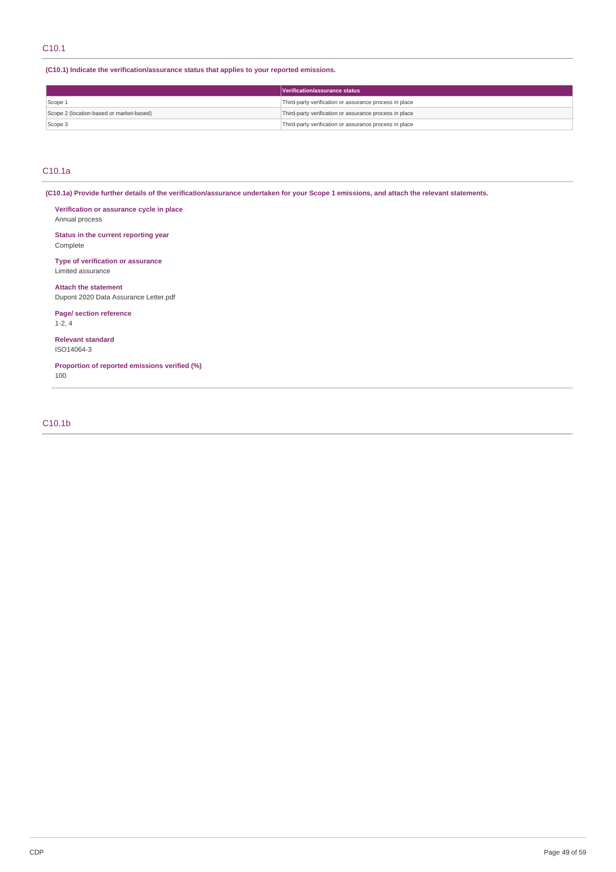**(C10.1) Indicate the verification/assurance status that applies to your reported emissions.**

|                                          | Verification/assurance status                          |  |
|------------------------------------------|--------------------------------------------------------|--|
| Scope 1                                  | Third-party verification or assurance process in place |  |
| Scope 2 (location-based or market-based) | Third-party verification or assurance process in place |  |
| Scope 3                                  | Third-party verification or assurance process in place |  |

## C10.1a

(C10.1a) Provide further details of the verification/assurance undertaken for your Scope 1 emissions, and attach the relevant statements.

**Verification or assurance cycle in place** Annual process

**Status in the current reporting year** Complete

**Type of verification or assurance** Limited assurance

**Attach the statement** Dupont 2020 Data Assurance Letter.pdf

**Page/ section reference** 1-2, 4

**Relevant standard** ISO14064-3

**Proportion of reported emissions verified (%)** 100

# C10.1b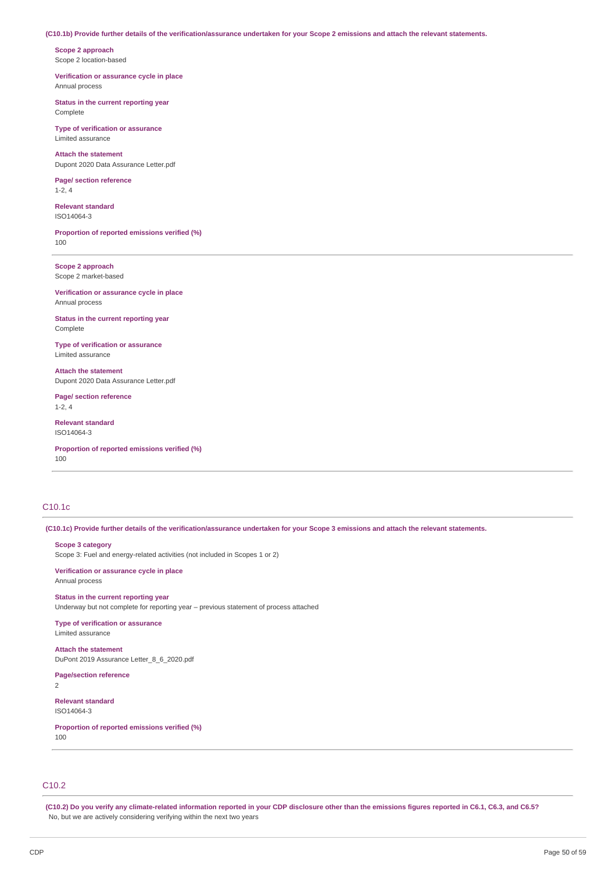### (C10.1b) Provide further details of the verification/assurance undertaken for your Scope 2 emissions and attach the relevant statements.

**Scope 2 approach** Scope 2 location-based

**Verification or assurance cycle in place** Annual process

**Status in the current reporting year** Complete

**Type of verification or assurance** Limited assurance

**Attach the statement** Dupont 2020 Data Assurance Letter.pdf

**Page/ section reference** 1-2, 4

**Relevant standard** ISO14064-3

**Proportion of reported emissions verified (%)** 100

**Scope 2 approach** Scope 2 market-based

**Verification or assurance cycle in place** Annual process

**Status in the current reporting year** Complete

**Type of verification or assurance** Limited assurance

**Attach the statement** Dupont 2020 Data Assurance Letter.pdf

**Page/ section reference** 1-2, 4

**Relevant standard** ISO14064-3

**Proportion of reported emissions verified (%)** 100

# C10.1c

(C10.1c) Provide further details of the verification/assurance undertaken for your Scope 3 emissions and attach the relevant statements.

**Scope 3 category**

Scope 3: Fuel and energy-related activities (not included in Scopes 1 or 2)

**Verification or assurance cycle in place** Annual process

**Status in the current reporting year** Underway but not complete for reporting year – previous statement of process attached

**Type of verification or assurance** Limited assurance

**Attach the statement** DuPont 2019 Assurance Letter\_8\_6\_2020.pdf

**Page/section reference**

2

**Relevant standard** ISO14064-3

**Proportion of reported emissions verified (%)** 100

C10.2

(C10.2) Do you verify any climate-related information reported in your CDP disclosure other than the emissions figures reported in C6.1, C6.3, and C6.5? No, but we are actively considering verifying within the next two years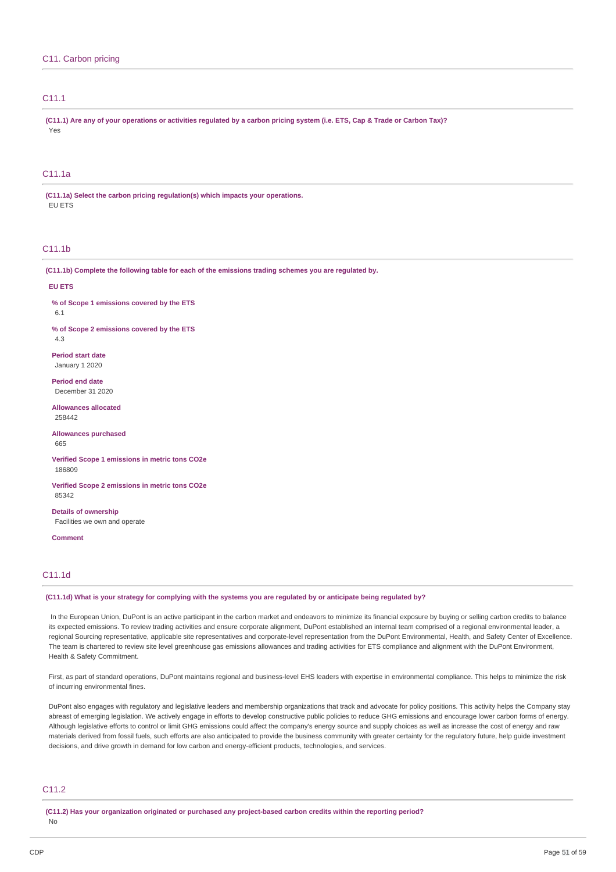# C11.1

(C11.1) Are any of your operations or activities regulated by a carbon pricing system (i.e. ETS, Cap & Trade or Carbon Tax)? Yes

# C11.1a

**(C11.1a) Select the carbon pricing regulation(s) which impacts your operations.** EU ETS

# C11.1b

**(C11.1b) Complete the following table for each of the emissions trading schemes you are regulated by.**

#### **EU ETS**

**% of Scope 1 emissions covered by the ETS**

6.1

**% of Scope 2 emissions covered by the ETS**

4.3

**Period start date** January 1 2020

**Period end date** December 31 2020

**Allowances allocated** 258442

**Allowances purchased** 665

**Verified Scope 1 emissions in metric tons CO2e** 186809

**Verified Scope 2 emissions in metric tons CO2e** 85342

**Details of ownership** Facilities we own and operate

**Comment**

# C11.1d

## (C11.1d) What is your strategy for complying with the systems you are regulated by or anticipate being regulated by?

In the European Union, DuPont is an active participant in the carbon market and endeavors to minimize its financial exposure by buying or selling carbon credits to balance its expected emissions. To review trading activities and ensure corporate alignment, DuPont established an internal team comprised of a regional environmental leader, a regional Sourcing representative, applicable site representatives and corporate-level representation from the DuPont Environmental, Health, and Safety Center of Excellence. The team is chartered to review site level greenhouse gas emissions allowances and trading activities for ETS compliance and alignment with the DuPont Environment, Health & Safety Commitment.

First, as part of standard operations, DuPont maintains regional and business-level EHS leaders with expertise in environmental compliance. This helps to minimize the risk of incurring environmental fines.

DuPont also engages with regulatory and legislative leaders and membership organizations that track and advocate for policy positions. This activity helps the Company stay abreast of emerging legislation. We actively engage in efforts to develop constructive public policies to reduce GHG emissions and encourage lower carbon forms of energy. Although legislative efforts to control or limit GHG emissions could affect the company's energy source and supply choices as well as increase the cost of energy and raw materials derived from fossil fuels, such efforts are also anticipated to provide the business community with greater certainty for the regulatory future, help guide investment decisions, and drive growth in demand for low carbon and energy-efficient products, technologies, and services.

## C<sub>11.2</sub>

**(C11.2) Has your organization originated or purchased any project-based carbon credits within the reporting period?**

No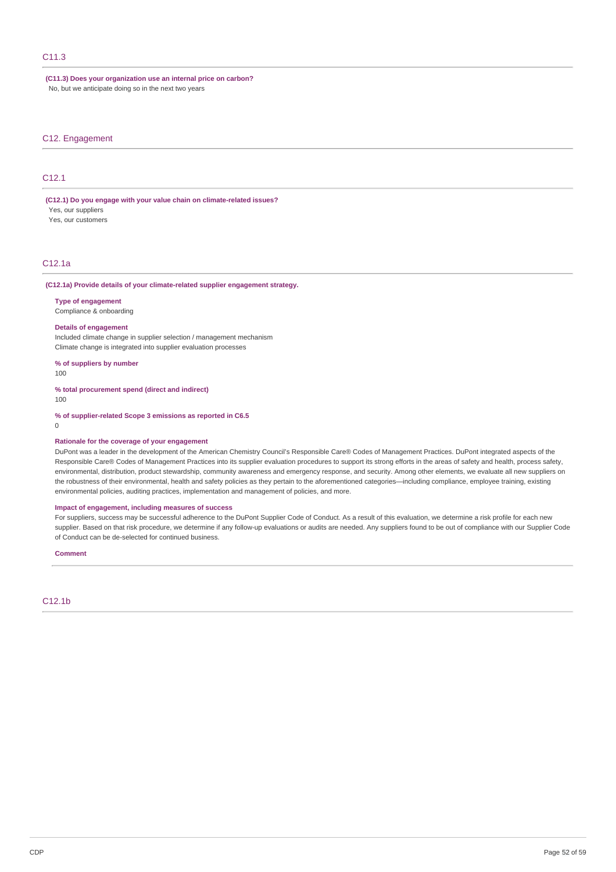# C11.3

**(C11.3) Does your organization use an internal price on carbon?** No, but we anticipate doing so in the next two years

## C12. Engagement

# C12.1

**(C12.1) Do you engage with your value chain on climate-related issues?** Yes, our suppliers

Yes, our customers

# C12.1a

### **(C12.1a) Provide details of your climate-related supplier engagement strategy.**

### **Type of engagement**

Compliance & onboarding

### **Details of engagement**

Included climate change in supplier selection / management mechanism Climate change is integrated into supplier evaluation processes

**% of suppliers by number**

100

**% total procurement spend (direct and indirect)** 100

**% of supplier-related Scope 3 emissions as reported in C6.5**

0

### **Rationale for the coverage of your engagement**

DuPont was a leader in the development of the American Chemistry Council's Responsible Care® Codes of Management Practices. DuPont integrated aspects of the Responsible Care® Codes of Management Practices into its supplier evaluation procedures to support its strong efforts in the areas of safety and health, process safety, environmental, distribution, product stewardship, community awareness and emergency response, and security. Among other elements, we evaluate all new suppliers on the robustness of their environmental, health and safety policies as they pertain to the aforementioned categories—including compliance, employee training, existing environmental policies, auditing practices, implementation and management of policies, and more.

### **Impact of engagement, including measures of success**

For suppliers, success may be successful adherence to the DuPont Supplier Code of Conduct. As a result of this evaluation, we determine a risk profile for each new supplier. Based on that risk procedure, we determine if any follow-up evaluations or audits are needed. Any suppliers found to be out of compliance with our Supplier Code of Conduct can be de-selected for continued business.

#### **Comment**

C12.1b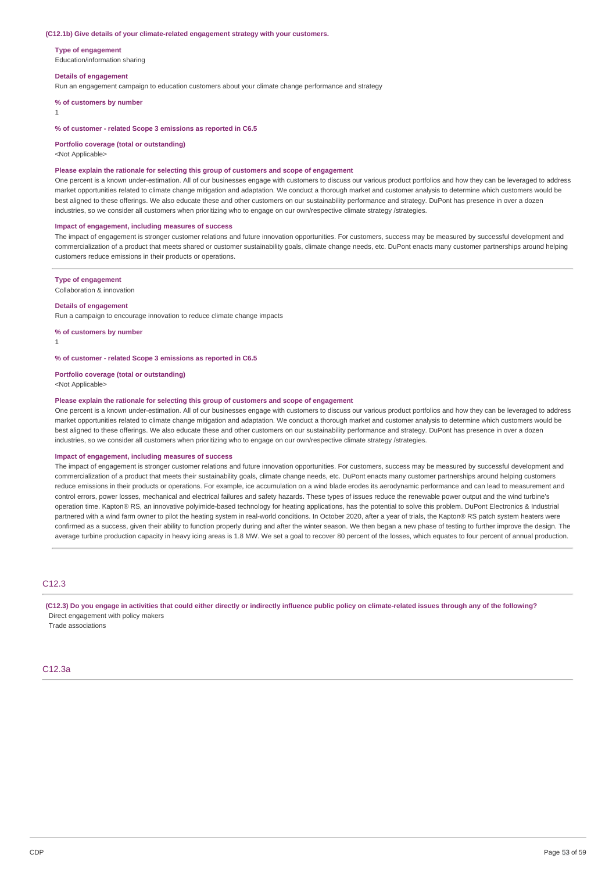### **(C12.1b) Give details of your climate-related engagement strategy with your customers.**

**Type of engagement**

Education/information sharing

#### **Details of engagement**

Run an engagement campaign to education customers about your climate change performance and strategy

**% of customers by number**

1

### **% of customer - related Scope 3 emissions as reported in C6.5**

### **Portfolio coverage (total or outstanding)**

<Not Applicable>

### **Please explain the rationale for selecting this group of customers and scope of engagement**

One percent is a known under-estimation. All of our businesses engage with customers to discuss our various product portfolios and how they can be leveraged to address market opportunities related to climate change mitigation and adaptation. We conduct a thorough market and customer analysis to determine which customers would be best aligned to these offerings. We also educate these and other customers on our sustainability performance and strategy. DuPont has presence in over a dozen industries, so we consider all customers when prioritizing who to engage on our own/respective climate strategy /strategies.

#### **Impact of engagement, including measures of success**

The impact of engagement is stronger customer relations and future innovation opportunities. For customers, success may be measured by successful development and commercialization of a product that meets shared or customer sustainability goals, climate change needs, etc. DuPont enacts many customer partnerships around helping customers reduce emissions in their products or operations.

#### **Type of engagement**

Collaboration & innovation

### **Details of engagement**

Run a campaign to encourage innovation to reduce climate change impacts

**% of customers by number**

1

## **% of customer - related Scope 3 emissions as reported in C6.5**

### **Portfolio coverage (total or outstanding)**

<Not Applicable>

## **Please explain the rationale for selecting this group of customers and scope of engagement**

One percent is a known under-estimation. All of our businesses engage with customers to discuss our various product portfolios and how they can be leveraged to address market opportunities related to climate change mitigation and adaptation. We conduct a thorough market and customer analysis to determine which customers would be best aligned to these offerings. We also educate these and other customers on our sustainability performance and strategy. DuPont has presence in over a dozen industries, so we consider all customers when prioritizing who to engage on our own/respective climate strategy /strategies.

#### **Impact of engagement, including measures of success**

The impact of engagement is stronger customer relations and future innovation opportunities. For customers, success may be measured by successful development and commercialization of a product that meets their sustainability goals, climate change needs, etc. DuPont enacts many customer partnerships around helping customers reduce emissions in their products or operations. For example, ice accumulation on a wind blade erodes its aerodynamic performance and can lead to measurement and control errors, power losses, mechanical and electrical failures and safety hazards. These types of issues reduce the renewable power output and the wind turbine's operation time. Kapton® RS, an innovative polyimide-based technology for heating applications, has the potential to solve this problem. DuPont Electronics & Industrial partnered with a wind farm owner to pilot the heating system in real-world conditions. In October 2020, after a year of trials, the Kapton® RS patch system heaters were confirmed as a success, given their ability to function properly during and after the winter season. We then began a new phase of testing to further improve the design. The average turbine production capacity in heavy icing areas is 1.8 MW. We set a goal to recover 80 percent of the losses, which equates to four percent of annual production.

## C12.3

(C12.3) Do you engage in activities that could either directly or indirectly influence public policy on climate-related issues through any of the following? Direct engagement with policy makers

Trade associations

## C12.3a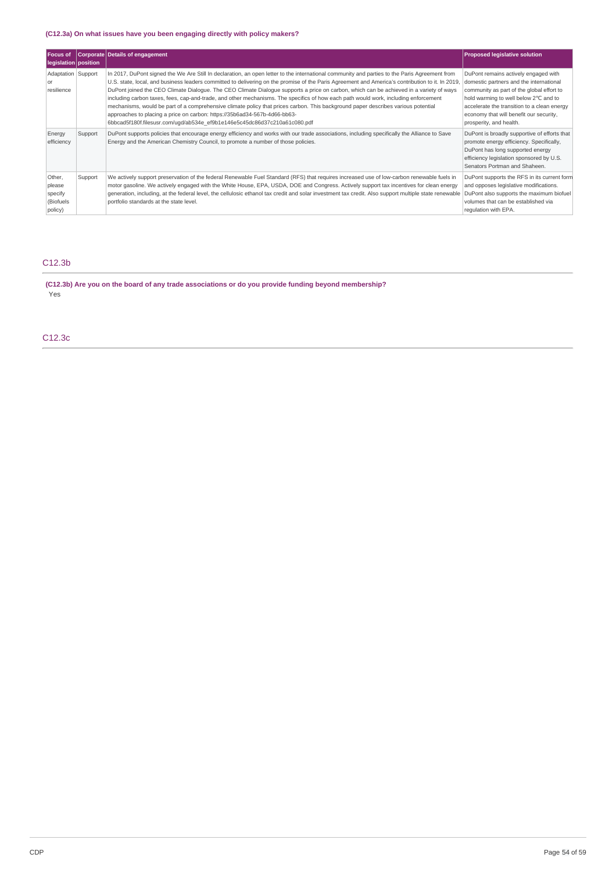# **(C12.3a) On what issues have you been engaging directly with policy makers?**

| <b>Focus of</b><br>legislation   position            |         | Corporate Details of engagement                                                                                                                                                                                                                                                                                                                                                                                                                                                                                                                                                                                                                                                                                                                                                                                                                                                    | <b>Proposed legislative solution</b>                                                                                                                                                                                                                                                       |
|------------------------------------------------------|---------|------------------------------------------------------------------------------------------------------------------------------------------------------------------------------------------------------------------------------------------------------------------------------------------------------------------------------------------------------------------------------------------------------------------------------------------------------------------------------------------------------------------------------------------------------------------------------------------------------------------------------------------------------------------------------------------------------------------------------------------------------------------------------------------------------------------------------------------------------------------------------------|--------------------------------------------------------------------------------------------------------------------------------------------------------------------------------------------------------------------------------------------------------------------------------------------|
| Adaptation Support<br><sub>or</sub><br>resilience    |         | In 2017, DuPont signed the We Are Still In declaration, an open letter to the international community and parties to the Paris Agreement from<br>U.S. state, local, and business leaders committed to delivering on the promise of the Paris Agreement and America's contribution to it. In 2019,<br>DuPont joined the CEO Climate Dialoque. The CEO Climate Dialoque supports a price on carbon, which can be achieved in a variety of ways<br>including carbon taxes, fees, cap-and-trade, and other mechanisms. The specifics of how each path would work, including enforcement<br>mechanisms, would be part of a comprehensive climate policy that prices carbon. This background paper describes various potential<br>approaches to placing a price on carbon: https://35b6ad34-567b-4d66-bb63-<br>6bbcad5f180f.filesusr.com/uqd/ab534e ef9b1e146e5c45dc86d37c210a61c080.pdf | DuPont remains actively engaged with<br>domestic partners and the international<br>community as part of the global effort to<br>hold warming to well below 2°C and to<br>accelerate the transition to a clean energy<br>economy that will benefit our security,<br>prosperity, and health. |
| Energy<br>efficiency                                 | Support | DuPont supports policies that encourage energy efficiency and works with our trade associations, including specifically the Alliance to Save<br>Energy and the American Chemistry Council, to promote a number of those policies.                                                                                                                                                                                                                                                                                                                                                                                                                                                                                                                                                                                                                                                  | DuPont is broadly supportive of efforts that<br>promote energy efficiency. Specifically,<br>DuPont has long supported energy<br>efficiency legislation sponsored by U.S.<br>Senators Portman and Shaheen.                                                                                  |
| Other,<br>please<br>specify<br>(Biofuels)<br>policy) | Support | We actively support preservation of the federal Renewable Fuel Standard (RFS) that requires increased use of low-carbon renewable fuels in<br>motor gasoline. We actively engaged with the White House, EPA, USDA, DOE and Congress. Actively support tax incentives for clean energy<br>generation, including, at the federal level, the cellulosic ethanol tax credit and solar investment tax credit. Also support multiple state renewable<br>portfolio standards at the state level.                                                                                                                                                                                                                                                                                                                                                                                          | DuPont supports the RFS in its current form<br>and opposes legislative modifications.<br>DuPont also supports the maximum biofuel<br>volumes that can be established via<br>requlation with EPA.                                                                                           |

# C12.3b

**(C12.3b) Are you on the board of any trade associations or do you provide funding beyond membership?** Yes

C12.3c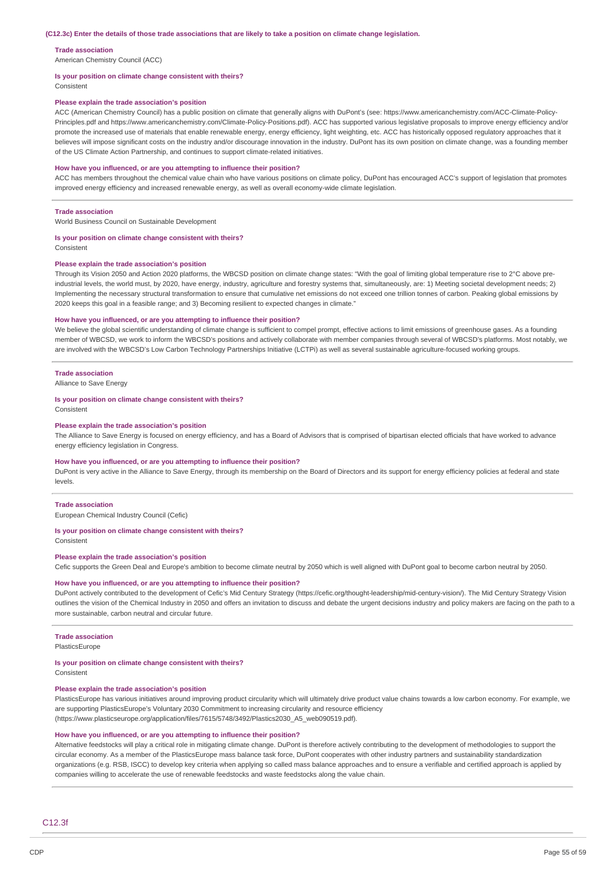#### **Trade association**

American Chemistry Council (ACC)

#### **Is your position on climate change consistent with theirs?**

Consistent

### **Please explain the trade association's position**

ACC (American Chemistry Council) has a public position on climate that generally aligns with DuPont's (see: https://www.americanchemistry.com/ACC-Climate-Policy-Principles.pdf and https://www.americanchemistry.com/Climate-Policy-Positions.pdf). ACC has supported various legislative proposals to improve energy efficiency and/or promote the increased use of materials that enable renewable energy, energy efficiency, light weighting, etc. ACC has historically opposed regulatory approaches that it believes will impose significant costs on the industry and/or discourage innovation in the industry. DuPont has its own position on climate change, was a founding member of the US Climate Action Partnership, and continues to support climate-related initiatives.

#### **How have you influenced, or are you attempting to influence their position?**

ACC has members throughout the chemical value chain who have various positions on climate policy, DuPont has encouraged ACC's support of legislation that promotes improved energy efficiency and increased renewable energy, as well as overall economy-wide climate legislation.

### **Trade association**

World Business Council on Sustainable Development

#### **Is your position on climate change consistent with theirs?**

Consistent

#### **Please explain the trade association's position**

Through its Vision 2050 and Action 2020 platforms, the WBCSD position on climate change states: "With the goal of limiting global temperature rise to 2°C above preindustrial levels, the world must, by 2020, have energy, industry, agriculture and forestry systems that, simultaneously, are: 1) Meeting societal development needs; 2) Implementing the necessary structural transformation to ensure that cumulative net emissions do not exceed one trillion tonnes of carbon. Peaking global emissions by 2020 keeps this goal in a feasible range; and 3) Becoming resilient to expected changes in climate."

### **How have you influenced, or are you attempting to influence their position?**

We believe the global scientific understanding of climate change is sufficient to compel prompt, effective actions to limit emissions of greenhouse gases. As a founding member of WBCSD, we work to inform the WBCSD's positions and actively collaborate with member companies through several of WBCSD's platforms. Most notably, we are involved with the WBCSD's Low Carbon Technology Partnerships Initiative (LCTPi) as well as several sustainable agriculture-focused working groups.

### **Trade association**

Alliance to Save Energy

#### **Is your position on climate change consistent with theirs?**

Consistent

#### **Please explain the trade association's position**

The Alliance to Save Energy is focused on energy efficiency, and has a Board of Advisors that is comprised of bipartisan elected officials that have worked to advance energy efficiency legislation in Congress.

#### **How have you influenced, or are you attempting to influence their position?**

DuPont is very active in the Alliance to Save Energy, through its membership on the Board of Directors and its support for energy efficiency policies at federal and state levels.

### **Trade association**

European Chemical Industry Council (Cefic)

### **Is your position on climate change consistent with theirs?**

Consistent

#### **Please explain the trade association's position**

Cefic supports the Green Deal and Europe's ambition to become climate neutral by 2050 which is well aligned with DuPont goal to become carbon neutral by 2050.

### **How have you influenced, or are you attempting to influence their position?**

DuPont actively contributed to the development of Cefic's Mid Century Strategy (https://cefic.org/thought-leadership/mid-century-vision/). The Mid Century Strategy Vision outlines the vision of the Chemical Industry in 2050 and offers an invitation to discuss and debate the urgent decisions industry and policy makers are facing on the path to a more sustainable, carbon neutral and circular future.

### **Trade association**

PlasticsEurope

### **Is your position on climate change consistent with theirs?**

Consistent

### **Please explain the trade association's position**

PlasticsEurope has various initiatives around improving product circularity which will ultimately drive product value chains towards a low carbon economy. For example, we are supporting PlasticsEurope's Voluntary 2030 Commitment to increasing circularity and resource efficiency (https://www.plasticseurope.org/application/files/7615/5748/3492/Plastics2030\_A5\_web090519.pdf).

### **How have you influenced, or are you attempting to influence their position?**

Alternative feedstocks will play a critical role in mitigating climate change. DuPont is therefore actively contributing to the development of methodologies to support the circular economy. As a member of the PlasticsEurope mass balance task force, DuPont cooperates with other industry partners and sustainability standardization organizations (e.g. RSB, ISCC) to develop key criteria when applying so called mass balance approaches and to ensure a verifiable and certified approach is applied by companies willing to accelerate the use of renewable feedstocks and waste feedstocks along the value chain.